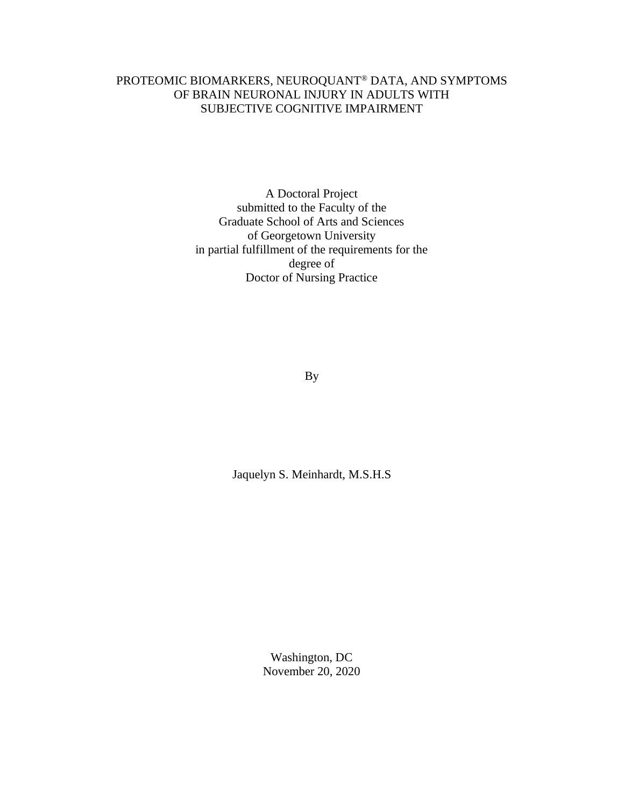## PROTEOMIC BIOMARKERS, NEUROQUANT® DATA, AND SYMPTOMS OF BRAIN NEURONAL INJURY IN ADULTS WITH SUBJECTIVE COGNITIVE IMPAIRMENT

A Doctoral Project submitted to the Faculty of the Graduate School of Arts and Sciences of Georgetown University in partial fulfillment of the requirements for the degree of Doctor of Nursing Practice

By

Jaquelyn S. Meinhardt, M.S.H.S

Washington, DC November 20, 2020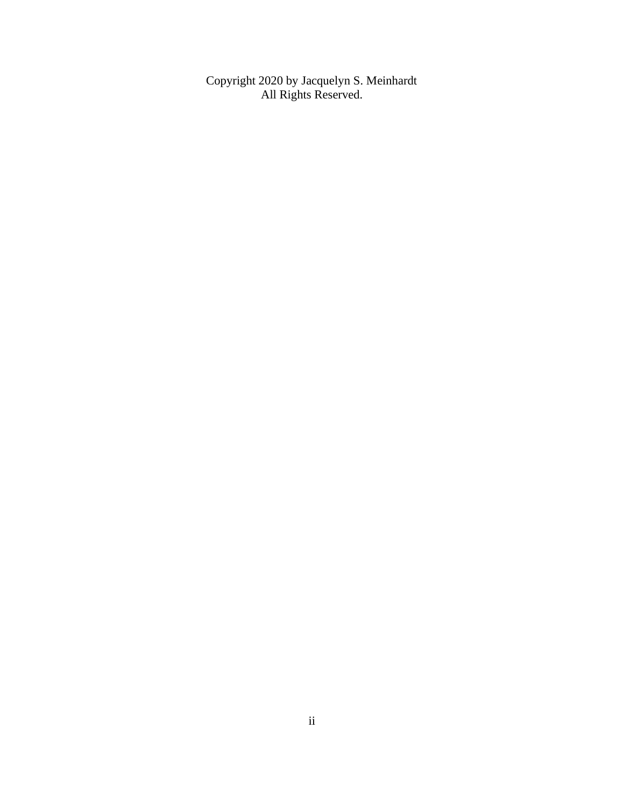Copyright 2020 by Jacquelyn S. Meinhardt All Rights Reserved.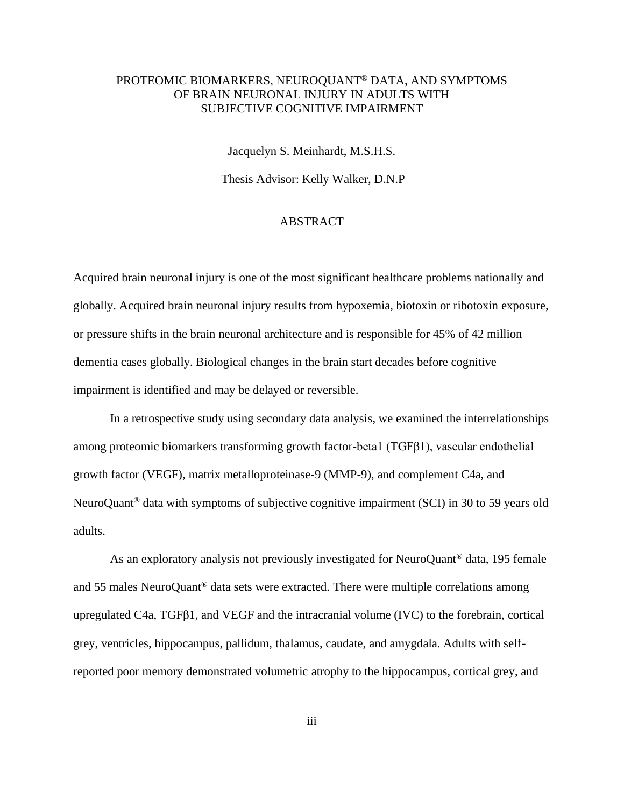## PROTEOMIC BIOMARKERS, NEUROQUANT® DATA, AND SYMPTOMS OF BRAIN NEURONAL INJURY IN ADULTS WITH SUBJECTIVE COGNITIVE IMPAIRMENT

Jacquelyn S. Meinhardt, M.S.H.S.

Thesis Advisor: Kelly Walker, D.N.P

### ABSTRACT

Acquired brain neuronal injury is one of the most significant healthcare problems nationally and globally. Acquired brain neuronal injury results from hypoxemia, biotoxin or ribotoxin exposure, or pressure shifts in the brain neuronal architecture and is responsible for 45% of 42 million dementia cases globally. Biological changes in the brain start decades before cognitive impairment is identified and may be delayed or reversible.

In a retrospective study using secondary data analysis, we examined the interrelationships among proteomic biomarkers transforming growth factor-beta1 (TGFβ1), vascular endothelial growth factor (VEGF), matrix metalloproteinase-9 (MMP-9), and complement C4a, and NeuroQuant® data with symptoms of subjective cognitive impairment (SCI) in 30 to 59 years old adults.

As an exploratory analysis not previously investigated for NeuroQuant<sup>®</sup> data, 195 female and 55 males NeuroQuant® data sets were extracted. There were multiple correlations among upregulated C4a, TGFβ1, and VEGF and the intracranial volume (IVC) to the forebrain, cortical grey, ventricles, hippocampus, pallidum, thalamus, caudate, and amygdala. Adults with selfreported poor memory demonstrated volumetric atrophy to the hippocampus, cortical grey, and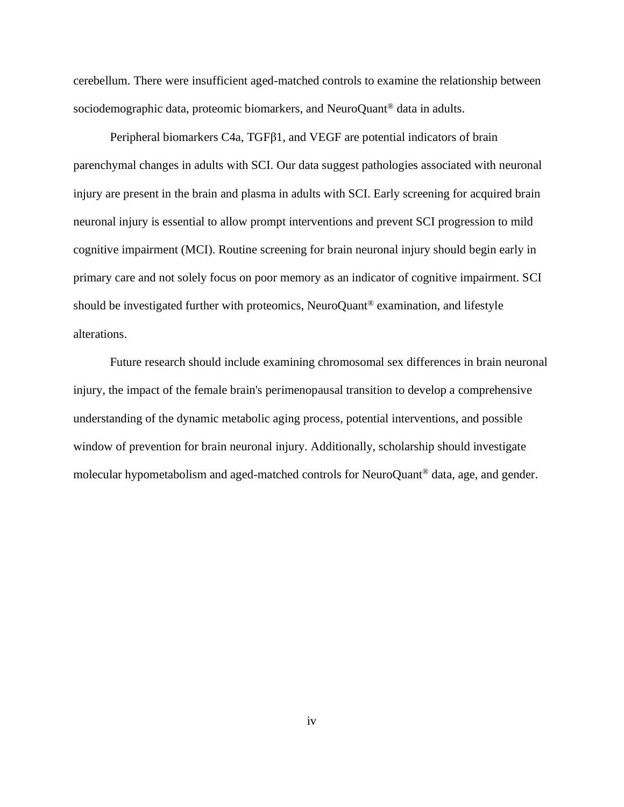cerebellum. There were insufficient aged-matched controls to examine the relationship between sociodemographic data, proteomic biomarkers, and NeuroQuant® data in adults.

Peripheral biomarkers C4a, TGFβ1, and VEGF are potential indicators of brain parenchymal changes in adults with SCI. Our data suggest pathologies associated with neuronal injury are present in the brain and plasma in adults with SCI. Early screening for acquired brain neuronal injury is essential to allow prompt interventions and prevent SCI progression to mild cognitive impairment (MCI). Routine screening for brain neuronal injury should begin early in primary care and not solely focus on poor memory as an indicator of cognitive impairment. SCI should be investigated further with proteomics, NeuroQuant® examination, and lifestyle alterations.

Future research should include examining chromosomal sex differences in brain neuronal injury, the impact of the female brain's perimenopausal transition to develop a comprehensive understanding of the dynamic metabolic aging process, potential interventions, and possible window of prevention for brain neuronal injury. Additionally, scholarship should investigate molecular hypometabolism and aged-matched controls for NeuroQuant® data, age, and gender.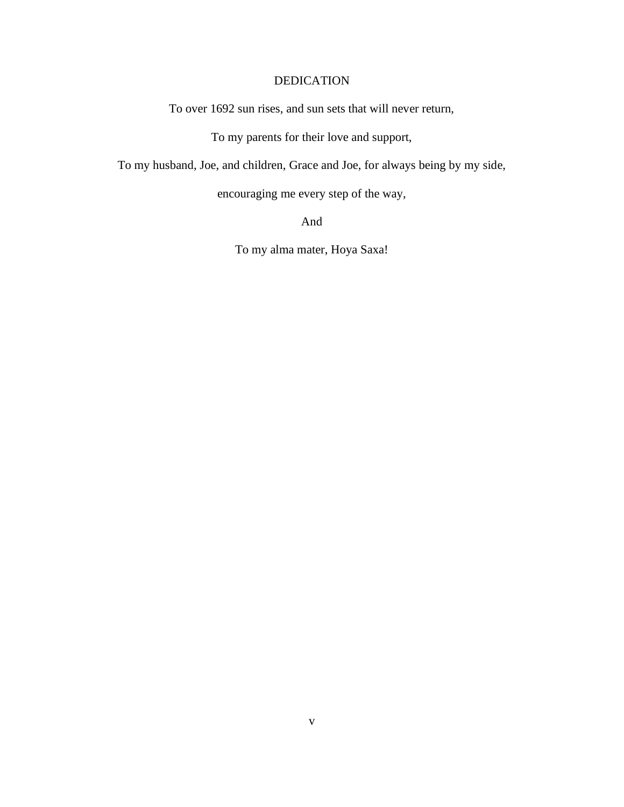## DEDICATION

To over 1692 sun rises, and sun sets that will never return,

To my parents for their love and support,

To my husband, Joe, and children, Grace and Joe, for always being by my side,

encouraging me every step of the way,

And

To my alma mater, Hoya Saxa!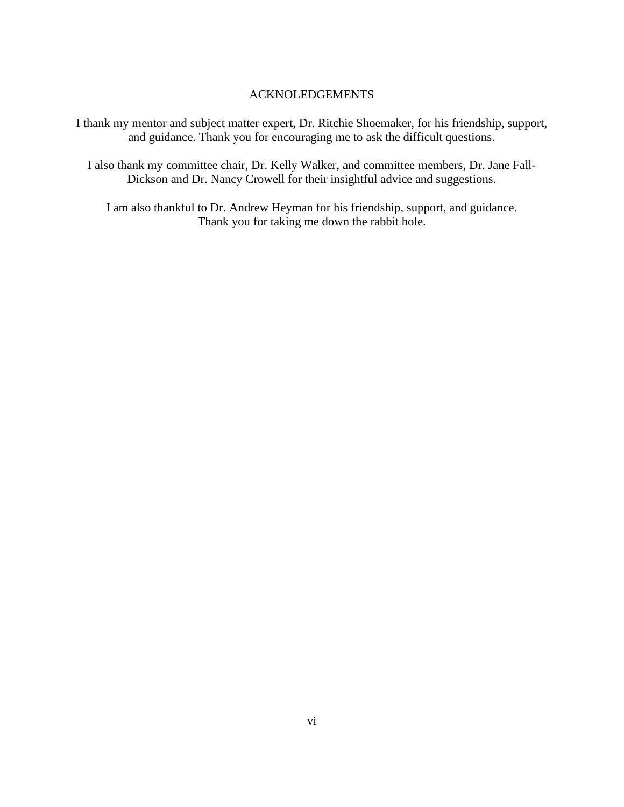### ACKNOLEDGEMENTS

I thank my mentor and subject matter expert, Dr. Ritchie Shoemaker, for his friendship, support, and guidance. Thank you for encouraging me to ask the difficult questions.

I also thank my committee chair, Dr. Kelly Walker, and committee members, Dr. Jane Fall-Dickson and Dr. Nancy Crowell for their insightful advice and suggestions.

I am also thankful to Dr. Andrew Heyman for his friendship, support, and guidance. Thank you for taking me down the rabbit hole.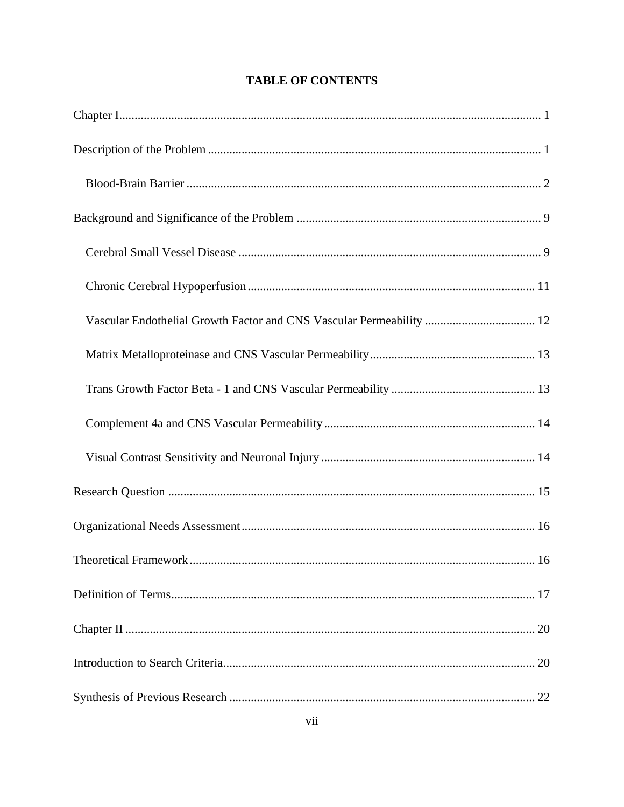| Vascular Endothelial Growth Factor and CNS Vascular Permeability  12 |
|----------------------------------------------------------------------|
|                                                                      |
|                                                                      |
|                                                                      |
|                                                                      |
|                                                                      |
|                                                                      |
| . 16                                                                 |
|                                                                      |
|                                                                      |
|                                                                      |
|                                                                      |

# **TABLE OF CONTENTS**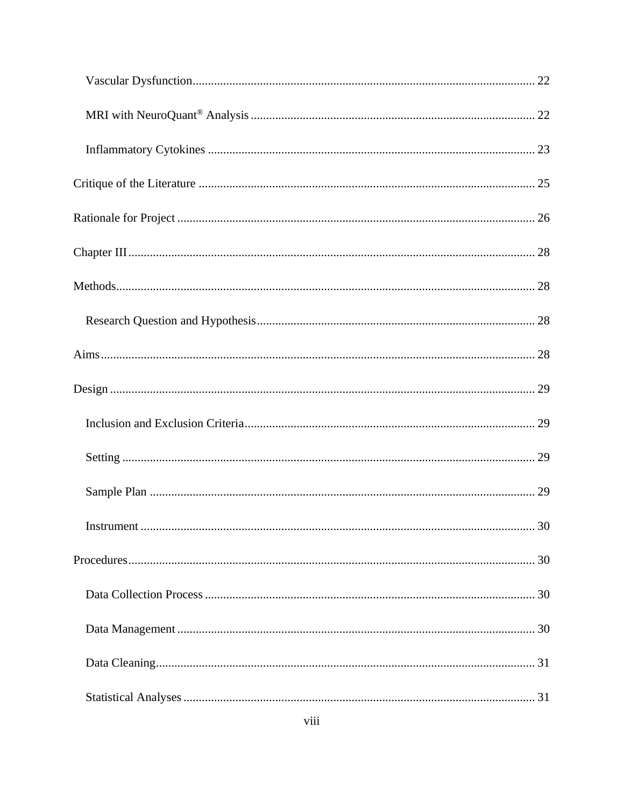| 30 |
|----|
|    |
|    |
|    |
|    |
|    |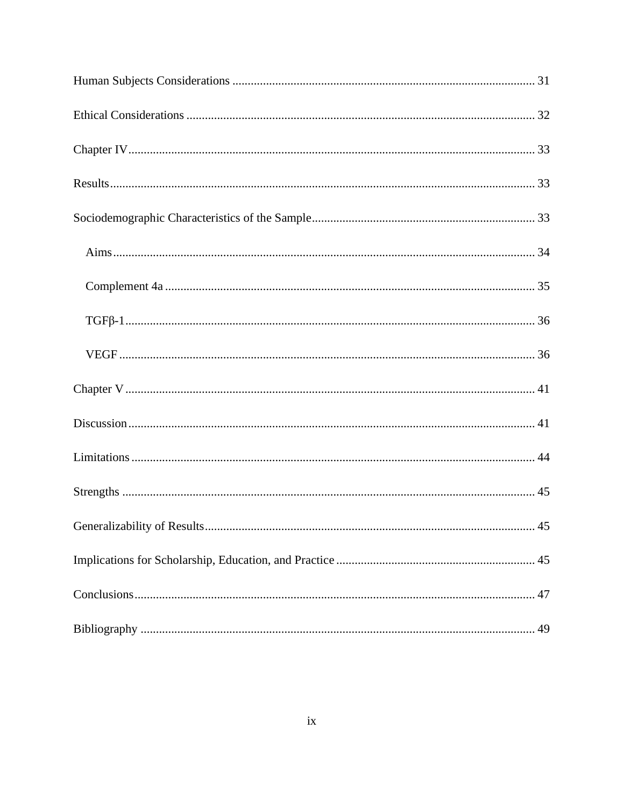| 45 |
|----|
|    |
|    |
| 49 |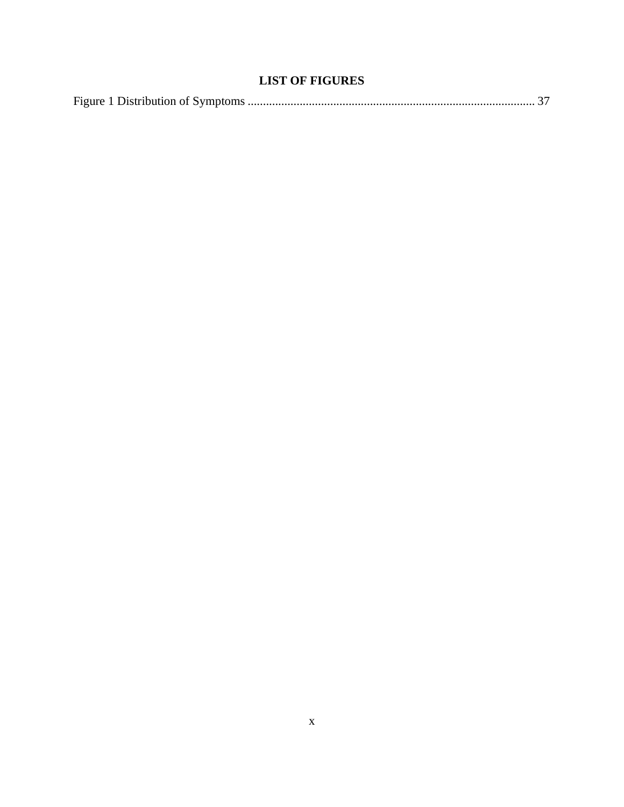# **LIST OF FIGURES**

|--|--|--|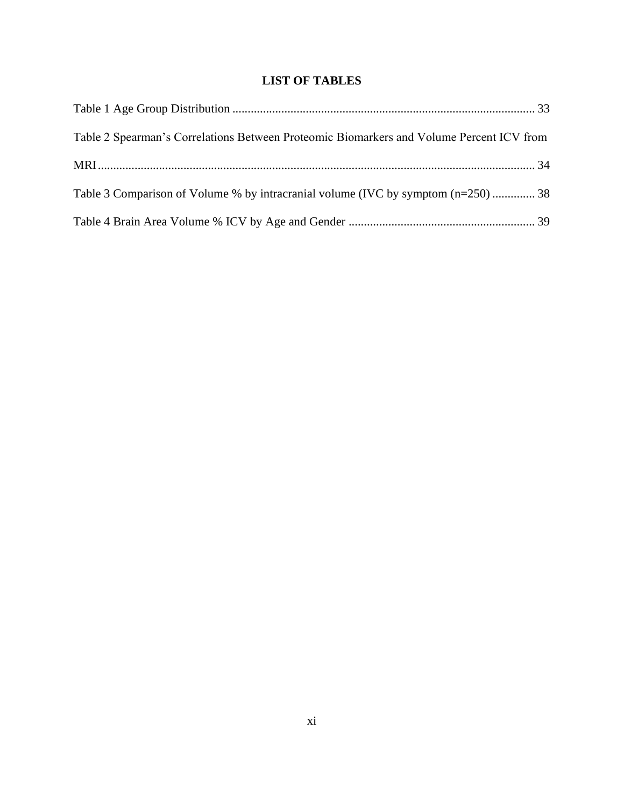# **LIST OF TABLES**

| Table 2 Spearman's Correlations Between Proteomic Biomarkers and Volume Percent ICV from |  |
|------------------------------------------------------------------------------------------|--|
|                                                                                          |  |
| Table 3 Comparison of Volume % by intracranial volume (IVC by symptom (n=250)  38        |  |
|                                                                                          |  |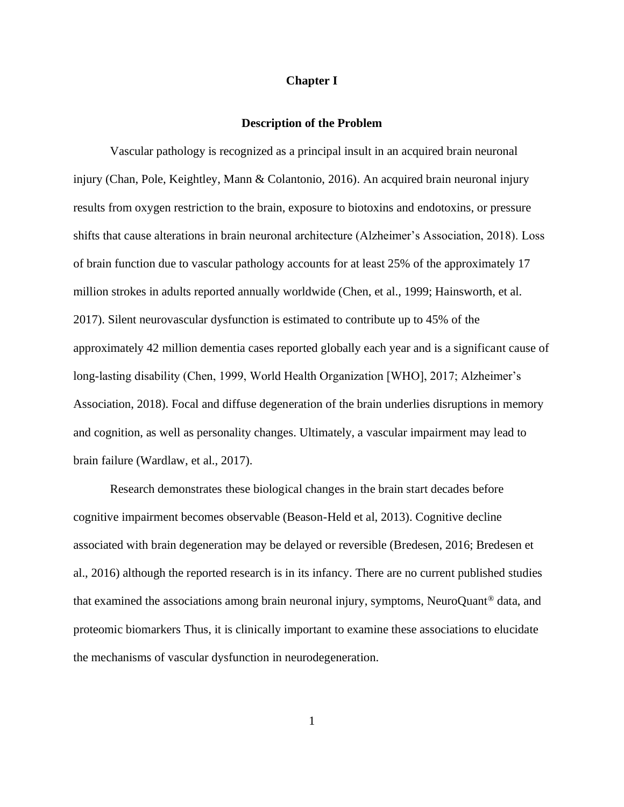### **Chapter I**

#### **Description of the Problem**

<span id="page-11-1"></span><span id="page-11-0"></span>Vascular pathology is recognized as a principal insult in an acquired brain neuronal injury (Chan, Pole, Keightley, Mann & Colantonio, 2016). An acquired brain neuronal injury results from oxygen restriction to the brain, exposure to biotoxins and endotoxins, or pressure shifts that cause alterations in brain neuronal architecture (Alzheimer's Association, 2018). Loss of brain function due to vascular pathology accounts for at least 25% of the approximately 17 million strokes in adults reported annually worldwide (Chen, et al., 1999; Hainsworth, et al. 2017). Silent neurovascular dysfunction is estimated to contribute up to 45% of the approximately 42 million dementia cases reported globally each year and is a significant cause of long-lasting disability (Chen, 1999, World Health Organization [WHO], 2017; Alzheimer's Association, 2018). Focal and diffuse degeneration of the brain underlies disruptions in memory and cognition, as well as personality changes. Ultimately, a vascular impairment may lead to brain failure (Wardlaw, et al., 2017).

Research demonstrates these biological changes in the brain start decades before cognitive impairment becomes observable (Beason-Held et al, 2013). Cognitive decline associated with brain degeneration may be delayed or reversible (Bredesen, 2016; Bredesen et al., 2016) although the reported research is in its infancy. There are no current published studies that examined the associations among brain neuronal injury, symptoms, NeuroQuant® data, and proteomic biomarkers Thus, it is clinically important to examine these associations to elucidate the mechanisms of vascular dysfunction in neurodegeneration.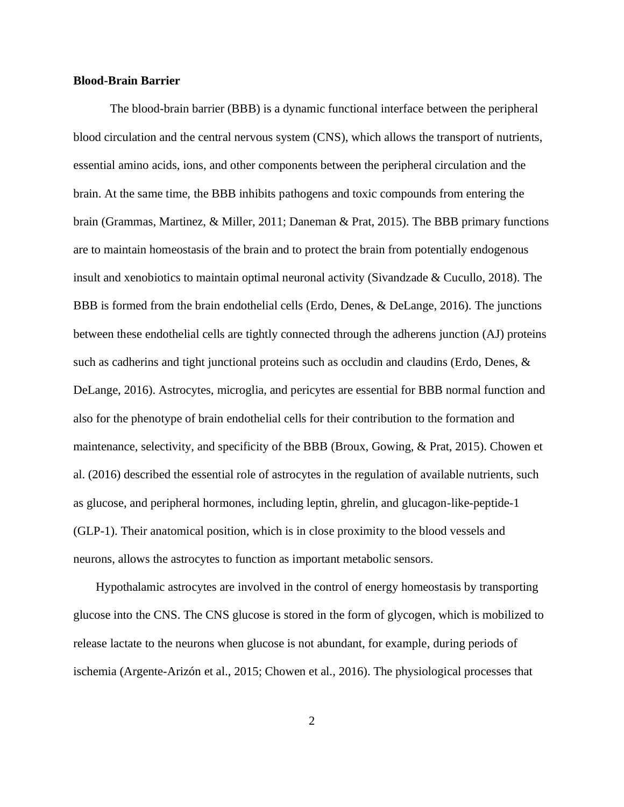#### <span id="page-12-0"></span>**Blood-Brain Barrier**

The blood-brain barrier (BBB) is a dynamic functional interface between the peripheral blood circulation and the central nervous system (CNS), which allows the transport of nutrients, essential amino acids, ions, and other components between the peripheral circulation and the brain. At the same time, the BBB inhibits pathogens and toxic compounds from entering the brain (Grammas, Martinez, & Miller, 2011; Daneman & Prat, 2015). The BBB primary functions are to maintain homeostasis of the brain and to protect the brain from potentially endogenous insult and xenobiotics to maintain optimal neuronal activity (Sivandzade & Cucullo, 2018). The BBB is formed from the brain endothelial cells (Erdo, Denes, & DeLange, 2016). The junctions between these endothelial cells are tightly connected through the adherens junction (AJ) proteins such as cadherins and tight junctional proteins such as occludin and claudins (Erdo, Denes, & DeLange, 2016). Astrocytes, microglia, and pericytes are essential for BBB normal function and also for the phenotype of brain endothelial cells for their contribution to the formation and maintenance, selectivity, and specificity of the BBB (Broux, Gowing, & Prat, 2015). Chowen et al. (2016) described the essential role of astrocytes in the regulation of available nutrients, such as glucose, and peripheral hormones, including leptin, ghrelin, and glucagon-like-peptide-1 (GLP-1). Their anatomical position, which is in close proximity to the blood vessels and neurons, allows the astrocytes to function as important metabolic sensors.

Hypothalamic astrocytes are involved in the control of energy homeostasis by transporting glucose into the CNS. The CNS glucose is stored in the form of glycogen, which is mobilized to release lactate to the neurons when glucose is not abundant, for example, during periods of ischemia (Argente-Arizón et al., [2015;](https://www.ncbi.nlm.nih.gov/pmc/articles/PMC5399017/#B7) Chowen et al., [2016\)](https://www.ncbi.nlm.nih.gov/pmc/articles/PMC5399017/#B31). The physiological processes that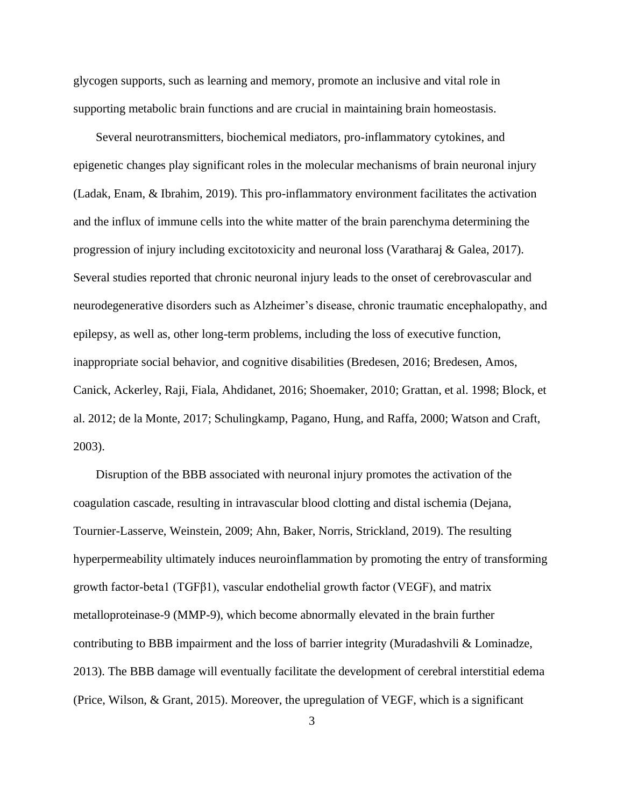glycogen supports, such as learning and memory, promote an inclusive and vital role in supporting metabolic brain functions and are crucial in maintaining brain homeostasis.

Several neurotransmitters, biochemical mediators, pro-inflammatory cytokines, and epigenetic changes play significant roles in the molecular mechanisms of brain neuronal injury (Ladak, Enam, & Ibrahim, 2019). This pro-inflammatory environment facilitates the activation and the influx of immune cells into the white matter of the brain parenchyma determining the progression of injury including excitotoxicity and neuronal loss (Varatharaj & Galea, 2017). Several studies reported that chronic neuronal injury leads to the onset of cerebrovascular and neurodegenerative disorders such as Alzheimer's disease, chronic traumatic encephalopathy, and epilepsy, as well as, other long-term problems, including the loss of executive function, inappropriate social behavior, and cognitive disabilities (Bredesen, 2016; Bredesen, Amos, Canick, Ackerley, Raji, Fiala, Ahdidanet, 2016; Shoemaker, 2010; Grattan, et al. 1998; Block, et al. 2012; de la Monte, 2017; Schulingkamp, Pagano, Hung, and Raffa, 2000; Watson and Craft, 2003).

Disruption of the BBB associated with neuronal injury promotes the activation of the coagulation cascade, resulting in intravascular blood clotting and distal ischemia (Dejana, Tournier-Lasserve, Weinstein, 2009; Ahn, Baker, Norris, Strickland, 2019). The resulting hyperpermeability ultimately induces neuroinflammation by promoting the entry of transforming growth factor-beta1 (TGFβ1), vascular endothelial growth factor (VEGF), and matrix metalloproteinase-9 (MMP-9), which become abnormally elevated in the brain further contributing to BBB impairment and the loss of barrier integrity (Muradashvili & Lominadze, 2013). The BBB damage will eventually facilitate the development of cerebral interstitial edema (Price, Wilson, & Grant, 2015). Moreover, the upregulation of VEGF, which is a significant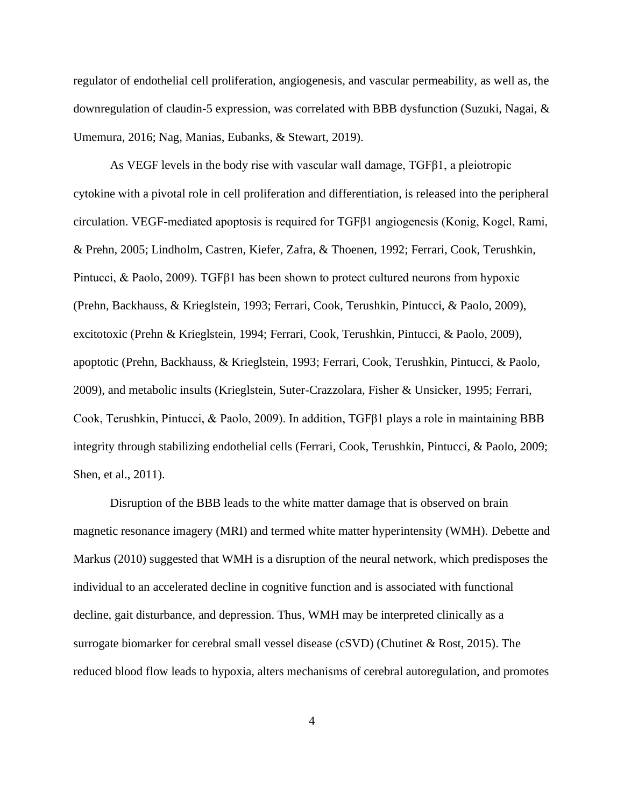regulator of endothelial cell proliferation, angiogenesis, and vascular permeability, as well as, the downregulation of claudin-5 expression, was correlated with BBB dysfunction (Suzuki, Nagai, & Umemura, 2016; Nag, Manias, Eubanks, & Stewart, 2019).

As VEGF levels in the body rise with vascular wall damage, TGFβ1, a pleiotropic cytokine with a pivotal role in cell proliferation and differentiation, is released into the peripheral circulation. VEGF-mediated apoptosis is required for TGFβ1 angiogenesis (Konig, Kogel, Rami, & Prehn, 2005; Lindholm, Castren, Kiefer, Zafra, & Thoenen, 1992; Ferrari, Cook, Terushkin, Pintucci, & Paolo, 2009). TGFβ1 has been shown to protect cultured neurons from hypoxic (Prehn, Backhauss, & Krieglstein, 1993; Ferrari, Cook, Terushkin, Pintucci, & Paolo, 2009), excitotoxic (Prehn & Krieglstein, 1994; Ferrari, Cook, Terushkin, Pintucci, & Paolo, 2009), apoptotic (Prehn, Backhauss, & Krieglstein, 1993; Ferrari, Cook, Terushkin, Pintucci, & Paolo, 2009), and metabolic insults (Krieglstein, Suter-Crazzolara, Fisher & Unsicker, 1995; Ferrari, Cook, Terushkin, Pintucci, & Paolo, 2009). In addition, TGFβ1 plays a role in maintaining BBB integrity through stabilizing endothelial cells (Ferrari, Cook, Terushkin, Pintucci, & Paolo, 2009; Shen, et al., 2011).

Disruption of the BBB leads to the white matter damage that is observed on brain magnetic resonance imagery (MRI) and termed white matter hyperintensity (WMH). Debette and Markus (2010) suggested that WMH is a disruption of the neural network, which predisposes the individual to an accelerated decline in cognitive function and is associated with functional decline, gait disturbance, and depression. Thus, WMH may be interpreted clinically as a surrogate biomarker for cerebral small vessel disease (cSVD) (Chutinet & Rost, 2015). The reduced blood flow leads to hypoxia, alters mechanisms of cerebral autoregulation, and promotes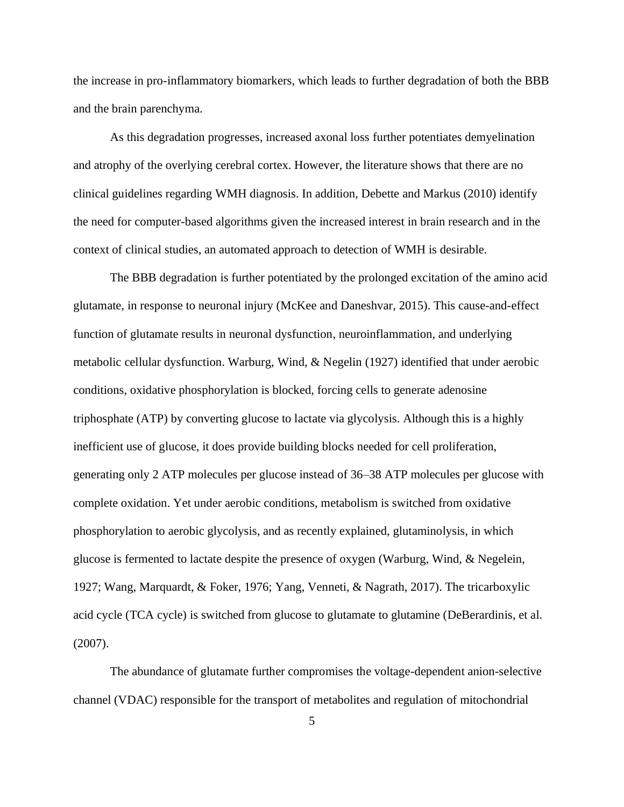the increase in pro-inflammatory biomarkers, which leads to further degradation of both the BBB and the brain parenchyma.

As this degradation progresses, increased axonal loss further potentiates demyelination and atrophy of the overlying cerebral cortex. However, the literature shows that there are no clinical guidelines regarding WMH diagnosis. In addition, Debette and Markus (2010) identify the need for computer-based algorithms given the increased interest in brain research and in the context of clinical studies, an automated approach to detection of WMH is desirable.

The BBB degradation is further potentiated by the prolonged excitation of the amino acid glutamate, in response to neuronal injury (McKee and Daneshvar, 2015). This cause-and-effect function of glutamate results in neuronal dysfunction, neuroinflammation, and underlying metabolic cellular dysfunction. Warburg, Wind, & Negelin (1927) identified that under aerobic conditions, oxidative phosphorylation is blocked, forcing cells to generate adenosine triphosphate (ATP) by converting glucose to lactate via glycolysis. Although this is a highly inefficient use of glucose, it does provide building blocks needed for cell proliferation, generating only 2 ATP molecules per glucose instead of 36–38 ATP molecules per glucose with complete oxidation. Yet under aerobic conditions, metabolism is switched from oxidative phosphorylation to aerobic glycolysis, and as recently explained, glutaminolysis, in which glucose is fermented to lactate despite the presence of oxygen (Warburg, Wind, & Negelein, 1927; Wang, Marquardt, & Foker, 1976; Yang, Venneti, & Nagrath, 2017). The tricarboxylic acid cycle (TCA cycle) is switched from glucose to glutamate to glutamine (DeBerardinis, et al. (2007).

The abundance of glutamate further compromises the voltage-dependent anion-selective channel (VDAC) responsible for the transport of metabolites and regulation of mitochondrial

5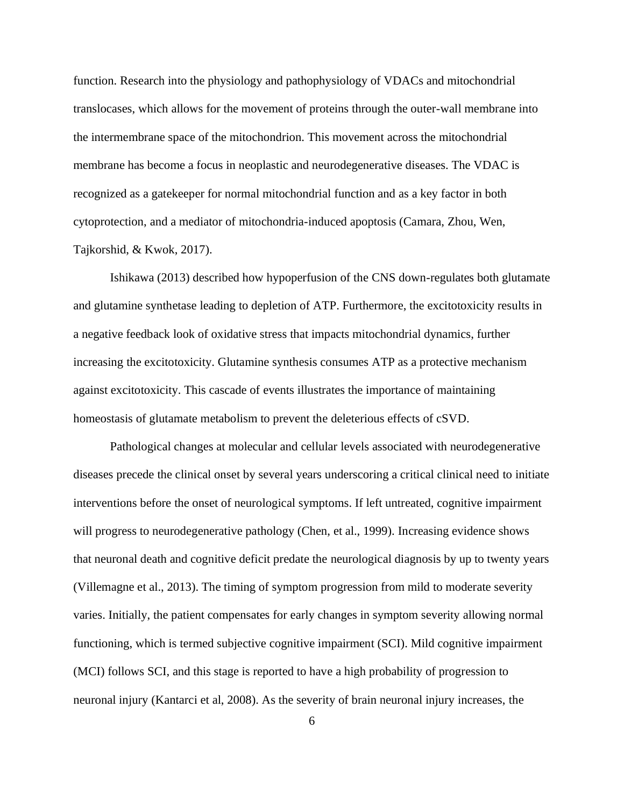function. Research into the physiology and pathophysiology of VDACs and mitochondrial translocases, which allows for the movement of proteins through the outer-wall membrane into the intermembrane space of the mitochondrion. This movement across the mitochondrial membrane has become a focus in neoplastic and neurodegenerative diseases. The VDAC is recognized as a gatekeeper for normal mitochondrial function and as a key factor in both cytoprotection, and a mediator of mitochondria-induced apoptosis (Camara, Zhou, Wen, Tajkorshid, & Kwok, 2017).

Ishikawa (2013) described how hypoperfusion of the CNS down-regulates both glutamate and glutamine synthetase leading to depletion of ATP. Furthermore, the excitotoxicity results in a negative feedback look of oxidative stress that impacts mitochondrial dynamics, further increasing the excitotoxicity. Glutamine synthesis consumes ATP as a protective mechanism against excitotoxicity. This cascade of events illustrates the importance of maintaining homeostasis of glutamate metabolism to prevent the deleterious effects of cSVD.

Pathological changes at molecular and cellular levels associated with neurodegenerative diseases precede the clinical onset by several years underscoring a critical clinical need to initiate interventions before the onset of neurological symptoms. If left untreated, cognitive impairment will progress to neurodegenerative pathology (Chen, et al., 1999). Increasing evidence shows that neuronal death and cognitive deficit predate the neurological diagnosis by up to twenty years (Villemagne et al., 2013). The timing of symptom progression from mild to moderate severity varies. Initially, the patient compensates for early changes in symptom severity allowing normal functioning, which is termed subjective cognitive impairment (SCI). Mild cognitive impairment (MCI) follows SCI, and this stage is reported to have a high probability of progression to neuronal injury (Kantarci et al, 2008). As the severity of brain neuronal injury increases, the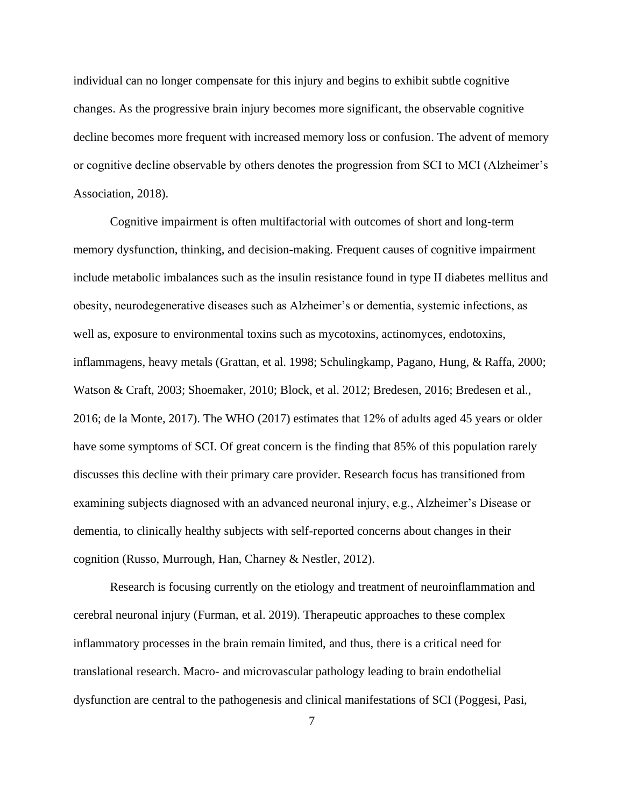individual can no longer compensate for this injury and begins to exhibit subtle cognitive changes. As the progressive brain injury becomes more significant, the observable cognitive decline becomes more frequent with increased memory loss or confusion. The advent of memory or cognitive decline observable by others denotes the progression from SCI to MCI (Alzheimer's Association, 2018).

Cognitive impairment is often multifactorial with outcomes of short and long-term memory dysfunction, thinking, and decision-making. Frequent causes of cognitive impairment include metabolic imbalances such as the insulin resistance found in type II diabetes mellitus and obesity, neurodegenerative diseases such as Alzheimer's or dementia, systemic infections, as well as, exposure to environmental toxins such as mycotoxins, actinomyces, endotoxins, inflammagens, heavy metals (Grattan, et al. 1998; Schulingkamp, Pagano, Hung, & Raffa, 2000; Watson & Craft, 2003; Shoemaker, 2010; Block, et al. 2012; Bredesen, 2016; Bredesen et al., 2016; de la Monte, 2017). The WHO (2017) estimates that 12% of adults aged 45 years or older have some symptoms of SCI. Of great concern is the finding that 85% of this population rarely discusses this decline with their primary care provider. Research focus has transitioned from examining subjects diagnosed with an advanced neuronal injury, e.g., Alzheimer's Disease or dementia, to clinically healthy subjects with self-reported concerns about changes in their cognition (Russo, Murrough, Han, Charney & Nestler, 2012).

Research is focusing currently on the etiology and treatment of neuroinflammation and cerebral neuronal injury (Furman, et al. 2019). Therapeutic approaches to these complex inflammatory processes in the brain remain limited, and thus, there is a critical need for translational research. Macro- and microvascular pathology leading to brain endothelial dysfunction are central to the pathogenesis and clinical manifestations of SCI (Poggesi, Pasi,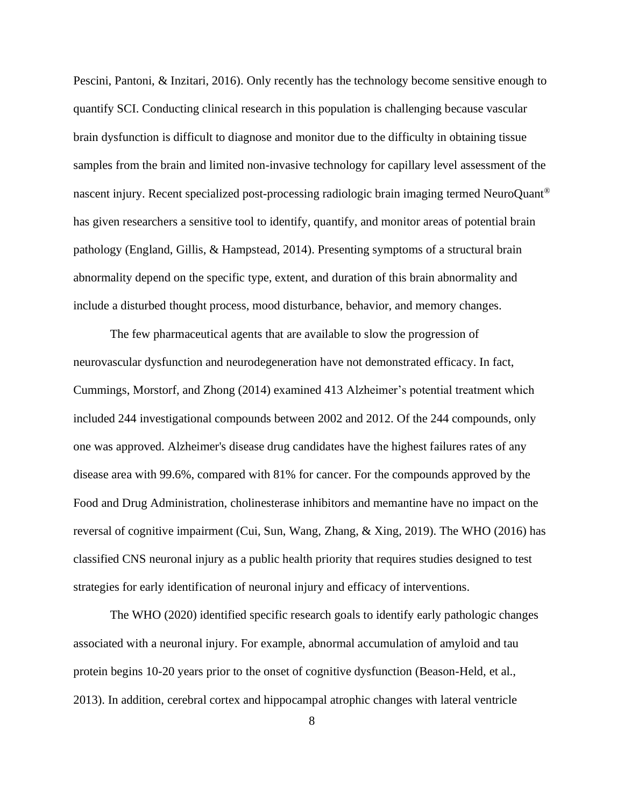Pescini, Pantoni, & Inzitari, 2016). Only recently has the technology become sensitive enough to quantify SCI. Conducting clinical research in this population is challenging because vascular brain dysfunction is difficult to diagnose and monitor due to the difficulty in obtaining tissue samples from the brain and limited non-invasive technology for capillary level assessment of the nascent injury. Recent specialized post-processing radiologic brain imaging termed NeuroQuant® has given researchers a sensitive tool to identify, quantify, and monitor areas of potential brain pathology (England, Gillis, & Hampstead, 2014). Presenting symptoms of a structural brain abnormality depend on the specific type, extent, and duration of this brain abnormality and include a disturbed thought process, mood disturbance, behavior, and memory changes.

The few pharmaceutical agents that are available to slow the progression of neurovascular dysfunction and neurodegeneration have not demonstrated efficacy. In fact, Cummings, Morstorf, and Zhong (2014) examined 413 Alzheimer's potential treatment which included 244 investigational compounds between 2002 and 2012. Of the 244 compounds, only one was approved. Alzheimer's disease drug candidates have the highest failures rates of any disease area with 99.6%, compared with 81% for cancer. For the compounds approved by the Food and Drug Administration, cholinesterase inhibitors and memantine have no impact on the reversal of cognitive impairment (Cui, Sun, Wang, Zhang, & Xing, 2019). The WHO (2016) has classified CNS neuronal injury as a public health priority that requires studies designed to test strategies for early identification of neuronal injury and efficacy of interventions.

The WHO (2020) identified specific research goals to identify early pathologic changes associated with a neuronal injury. For example, abnormal accumulation of amyloid and tau protein begins 10-20 years prior to the onset of cognitive dysfunction (Beason-Held, et al., 2013). In addition, cerebral cortex and hippocampal atrophic changes with lateral ventricle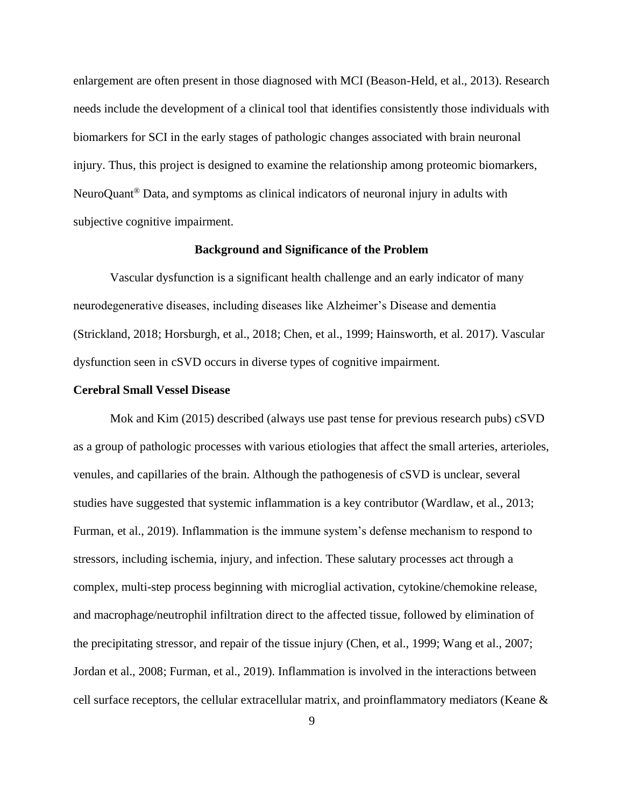enlargement are often present in those diagnosed with MCI (Beason-Held, et al., 2013). Research needs include the development of a clinical tool that identifies consistently those individuals with biomarkers for SCI in the early stages of pathologic changes associated with brain neuronal injury. Thus, this project is designed to examine the relationship among proteomic biomarkers, NeuroQuant® Data, and symptoms as clinical indicators of neuronal injury in adults with subjective cognitive impairment.

#### **Background and Significance of the Problem**

<span id="page-19-0"></span>Vascular dysfunction is a significant health challenge and an early indicator of many neurodegenerative diseases, including diseases like Alzheimer's Disease and dementia (Strickland, 2018; Horsburgh, et al., 2018; Chen, et al., 1999; Hainsworth, et al. 2017). Vascular dysfunction seen in cSVD occurs in diverse types of cognitive impairment.

#### <span id="page-19-1"></span>**Cerebral Small Vessel Disease**

Mok and Kim (2015) described (always use past tense for previous research pubs) cSVD as a group of pathologic processes with various etiologies that affect the small arteries, arterioles, venules, and capillaries of the brain. Although the pathogenesis of cSVD is unclear, several studies have suggested that systemic inflammation is a key contributor (Wardlaw, et al., 2013; Furman, et al., 2019). Inflammation is the immune system's defense mechanism to respond to stressors, including ischemia, injury, and infection. These salutary processes act through a complex, multi-step process beginning with microglial activation, cytokine/chemokine release, and macrophage/neutrophil infiltration direct to the affected tissue, followed by elimination of the precipitating stressor, and repair of the tissue injury (Chen, et al., 1999; Wang et al., 2007; Jordan et al., 2008; Furman, et al., 2019). Inflammation is involved in the interactions between cell surface receptors, the cellular extracellular matrix, and proinflammatory mediators (Keane &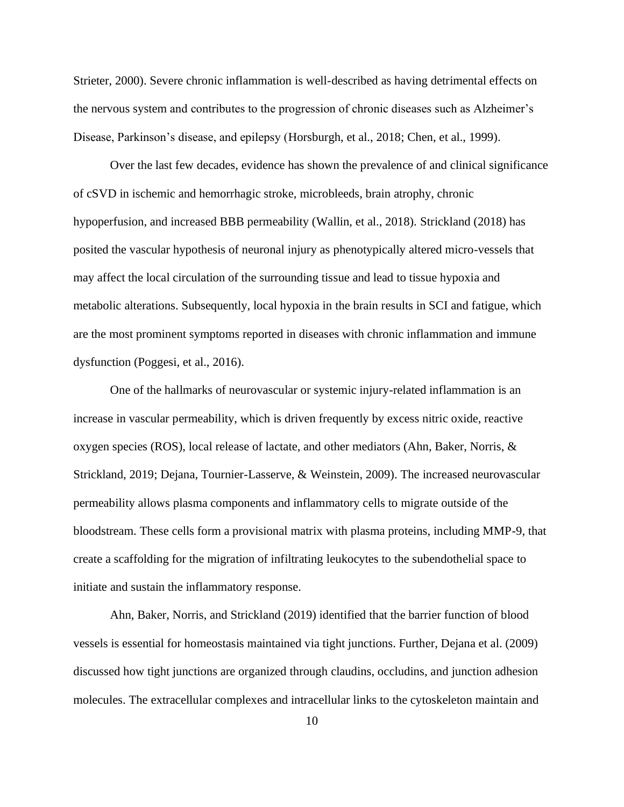Strieter, 2000). Severe chronic inflammation is well-described as having detrimental effects on the nervous system and contributes to the progression of chronic diseases such as Alzheimer's Disease, Parkinson's disease, and epilepsy (Horsburgh, et al., 2018; Chen, et al., 1999).

Over the last few decades, evidence has shown the prevalence of and clinical significance of cSVD in ischemic and hemorrhagic stroke, microbleeds, brain atrophy, chronic hypoperfusion, and increased BBB permeability (Wallin, et al., 2018). Strickland (2018) has posited the vascular hypothesis of neuronal injury as phenotypically altered micro-vessels that may affect the local circulation of the surrounding tissue and lead to tissue hypoxia and metabolic alterations. Subsequently, local hypoxia in the brain results in SCI and fatigue, which are the most prominent symptoms reported in diseases with chronic inflammation and immune dysfunction (Poggesi, et al., 2016).

One of the hallmarks of neurovascular or systemic injury-related inflammation is an increase in vascular permeability, which is driven frequently by excess nitric oxide, reactive oxygen species (ROS), local release of lactate, and other mediators (Ahn, Baker, Norris, & Strickland, 2019; Dejana, Tournier-Lasserve, & Weinstein, 2009). The increased neurovascular permeability allows plasma components and inflammatory cells to migrate outside of the bloodstream. These cells form a provisional matrix with plasma proteins, including MMP-9, that create a scaffolding for the migration of infiltrating leukocytes to the subendothelial space to initiate and sustain the inflammatory response.

Ahn, Baker, Norris, and Strickland (2019) identified that the barrier function of blood vessels is essential for homeostasis maintained via tight junctions. Further, Dejana et al. (2009) discussed how tight junctions are organized through claudins, occludins, and junction adhesion molecules. The extracellular complexes and intracellular links to the cytoskeleton maintain and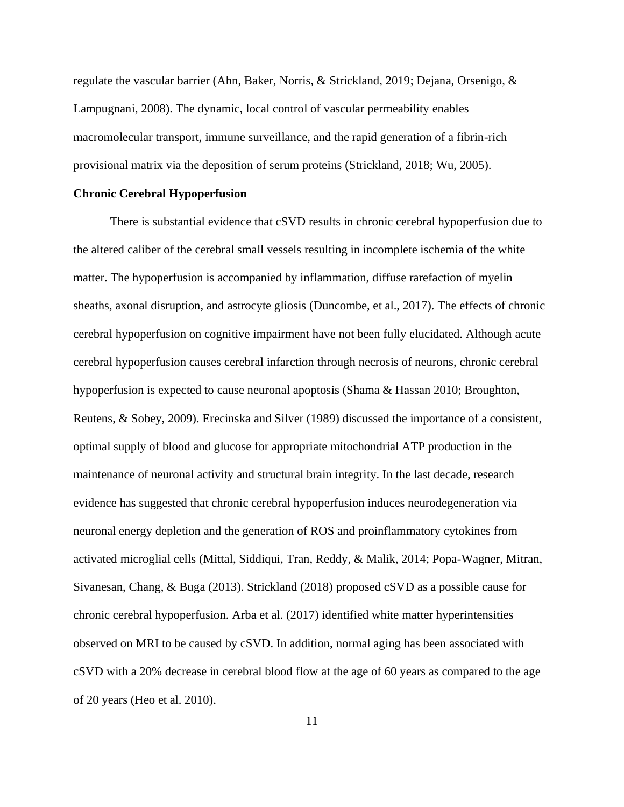regulate the vascular barrier (Ahn, Baker, Norris, & Strickland, 2019; Dejana, Orsenigo, & Lampugnani, 2008). The dynamic, local control of vascular permeability enables macromolecular transport, immune surveillance, and the rapid generation of a fibrin-rich provisional matrix via the deposition of serum proteins (Strickland, 2018; Wu, 2005).

#### <span id="page-21-0"></span>**Chronic Cerebral Hypoperfusion**

There is substantial evidence that cSVD results in chronic cerebral hypoperfusion due to the altered caliber of the cerebral small vessels resulting in incomplete ischemia of the white matter. The hypoperfusion is accompanied by inflammation, diffuse rarefaction of myelin sheaths, axonal disruption, and astrocyte gliosis (Duncombe, et al., 2017). The effects of chronic cerebral hypoperfusion on cognitive impairment have not been fully elucidated. Although acute cerebral hypoperfusion causes cerebral infarction through necrosis of neurons, chronic cerebral hypoperfusion is expected to cause neuronal apoptosis (Shama & Hassan 2010; Broughton, Reutens, & Sobey, 2009). Erecinska and Silver (1989) discussed the importance of a consistent, optimal supply of blood and glucose for appropriate mitochondrial ATP production in the maintenance of neuronal activity and structural brain integrity. In the last decade, research evidence has suggested that chronic cerebral hypoperfusion induces neurodegeneration via neuronal energy depletion and the generation of ROS and proinflammatory cytokines from activated microglial cells (Mittal, Siddiqui, Tran, Reddy, & Malik, 2014; Popa-Wagner, Mitran, Sivanesan, Chang, & Buga (2013). Strickland (2018) proposed cSVD as a possible cause for chronic cerebral hypoperfusion. Arba et al. (2017) identified white matter hyperintensities observed on MRI to be caused by cSVD. In addition, normal aging has been associated with cSVD with a 20% decrease in cerebral blood flow at the age of 60 years as compared to the age of 20 years (Heo et al. 2010).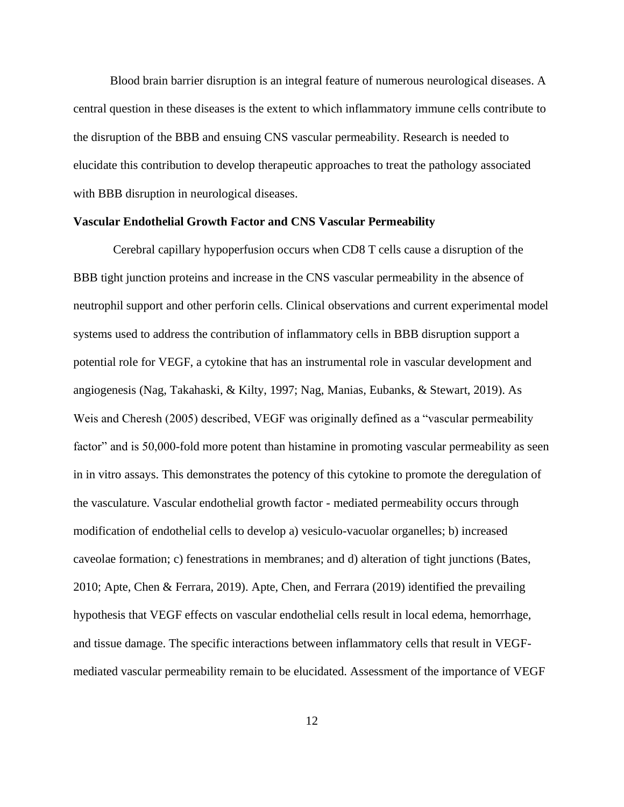Blood brain barrier disruption is an integral feature of numerous neurological diseases. A central question in these diseases is the extent to which inflammatory immune cells contribute to the disruption of the BBB and ensuing CNS vascular permeability. Research is needed to elucidate this contribution to develop therapeutic approaches to treat the pathology associated with BBB disruption in neurological diseases.

#### <span id="page-22-0"></span>**Vascular Endothelial Growth Factor and CNS Vascular Permeability**

Cerebral capillary hypoperfusion occurs when CD8 T cells cause a disruption of the BBB tight junction proteins and increase in the CNS vascular permeability in the absence of neutrophil support and other perforin cells. Clinical observations and current experimental model systems used to address the contribution of inflammatory cells in BBB disruption support a potential role for VEGF, a cytokine that has an instrumental role in vascular development and angiogenesis (Nag, Takahaski, & Kilty, 1997; Nag, Manias, Eubanks, & Stewart, 2019). As Weis and Cheresh (2005) described, VEGF was originally defined as a "vascular permeability factor" and is 50,000-fold more potent than histamine in promoting vascular permeability as seen in in vitro assays. This demonstrates the potency of this cytokine to promote the deregulation of the vasculature. Vascular endothelial growth factor - mediated permeability occurs through modification of endothelial cells to develop a) vesiculo-vacuolar organelles; b) increased caveolae formation; c) fenestrations in membranes; and d) alteration of tight junctions (Bates, 2010; Apte, Chen & Ferrara, 2019). Apte, Chen, and Ferrara (2019) identified the prevailing hypothesis that VEGF effects on vascular endothelial cells result in local edema, hemorrhage, and tissue damage. The specific interactions between inflammatory cells that result in VEGFmediated vascular permeability remain to be elucidated. Assessment of the importance of VEGF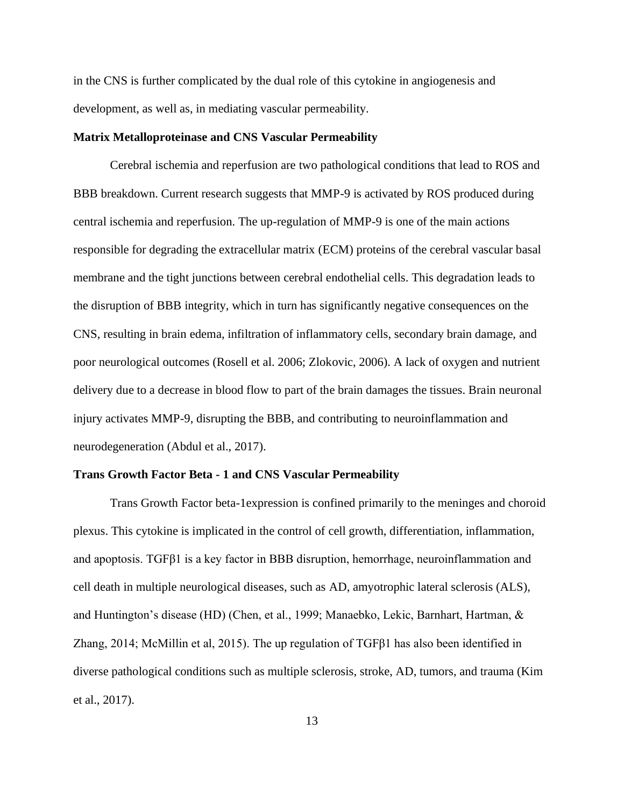in the CNS is further complicated by the dual role of this cytokine in angiogenesis and development, as well as, in mediating vascular permeability.

#### <span id="page-23-0"></span>**Matrix Metalloproteinase and CNS Vascular Permeability**

Cerebral ischemia and reperfusion are two pathological conditions that lead to ROS and BBB breakdown. Current research suggests that MMP-9 is activated by ROS produced during central ischemia and reperfusion. The up-regulation of MMP-9 is one of the main actions responsible for degrading the extracellular matrix (ECM) proteins of the cerebral vascular basal membrane and the tight junctions between cerebral endothelial cells. This degradation leads to the disruption of BBB integrity, which in turn has significantly negative consequences on the CNS, resulting in brain edema, infiltration of inflammatory cells, secondary brain damage, and poor neurological outcomes (Rosell et al. 2006; Zlokovic, 2006). A lack of oxygen and nutrient delivery due to a decrease in blood flow to part of the brain damages the tissues. Brain neuronal injury activates MMP-9, disrupting the BBB, and contributing to neuroinflammation and neurodegeneration (Abdul et al., 2017).

#### <span id="page-23-1"></span>**Trans Growth Factor Beta - 1 and CNS Vascular Permeability**

Trans Growth Factor beta-1expression is confined primarily to the meninges and choroid plexus. This cytokine is implicated in the control of cell growth, differentiation, inflammation, and apoptosis. TGFβ1 is a key factor in BBB disruption, hemorrhage, neuroinflammation and cell death in multiple neurological diseases, such as AD, amyotrophic lateral sclerosis (ALS), and Huntington's disease (HD) (Chen, et al., 1999; Manaebko, Lekic, Barnhart, Hartman, & Zhang, 2014; McMillin et al, 2015). The up regulation of  $TGFβ1$  has also been identified in diverse pathological conditions such as multiple sclerosis, stroke, AD, tumors, and trauma (Kim et al., 2017).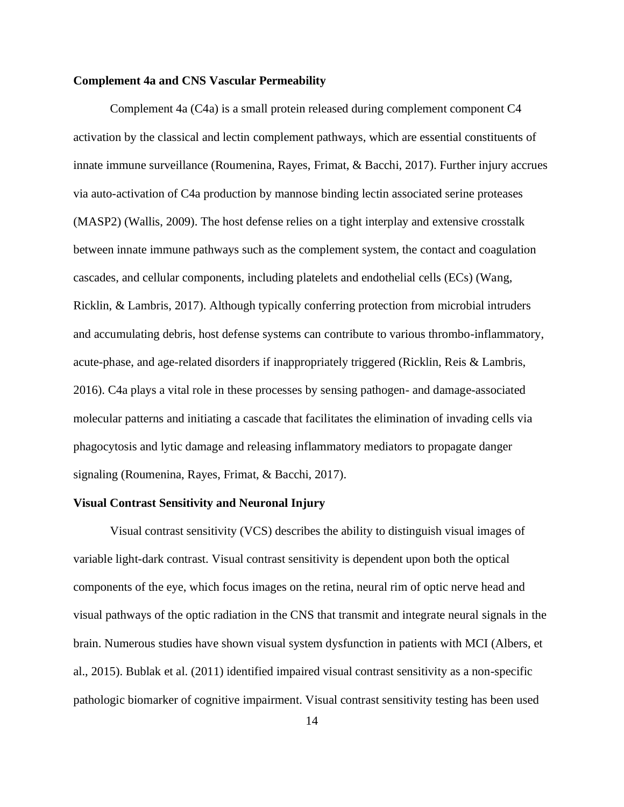#### <span id="page-24-0"></span>**Complement 4a and CNS Vascular Permeability**

Complement 4a (C4a) is a small protein released during complement component C4 activation by the classical and lectin complement pathways, which are essential constituents of innate immune surveillance (Roumenina, Rayes, Frimat, & Bacchi, 2017). Further injury accrues via auto-activation of C4a production by mannose binding lectin associated serine proteases (MASP2) (Wallis, 2009). The host defense relies on a tight interplay and extensive crosstalk between innate immune pathways such as the complement system, the contact and coagulation cascades, and cellular components, including platelets and endothelial cells (ECs) (Wang, Ricklin, & Lambris, 2017). Although typically conferring protection from microbial intruders and accumulating debris, host defense systems can contribute to various thrombo-inflammatory, acute-phase, and age-related disorders if inappropriately triggered (Ricklin, Reis & Lambris, 2016). C4a plays a vital role in these processes by sensing pathogen- and damage-associated molecular patterns and initiating a cascade that facilitates the elimination of invading cells via phagocytosis and lytic damage and releasing inflammatory mediators to propagate danger signaling (Roumenina, Rayes, Frimat, & Bacchi, 2017).

#### <span id="page-24-1"></span>**Visual Contrast Sensitivity and Neuronal Injury**

Visual contrast sensitivity (VCS) describes the ability to distinguish visual images of variable light-dark contrast. Visual contrast sensitivity is dependent upon both the optical components of the eye, which focus images on the retina, neural rim of optic nerve head and visual pathways of the optic radiation in the CNS that transmit and integrate neural signals in the brain. Numerous studies have shown visual system dysfunction in patients with MCI (Albers, et al., 2015). Bublak et al. (2011) identified impaired visual contrast sensitivity as a non-specific pathologic biomarker of cognitive impairment. Visual contrast sensitivity testing has been used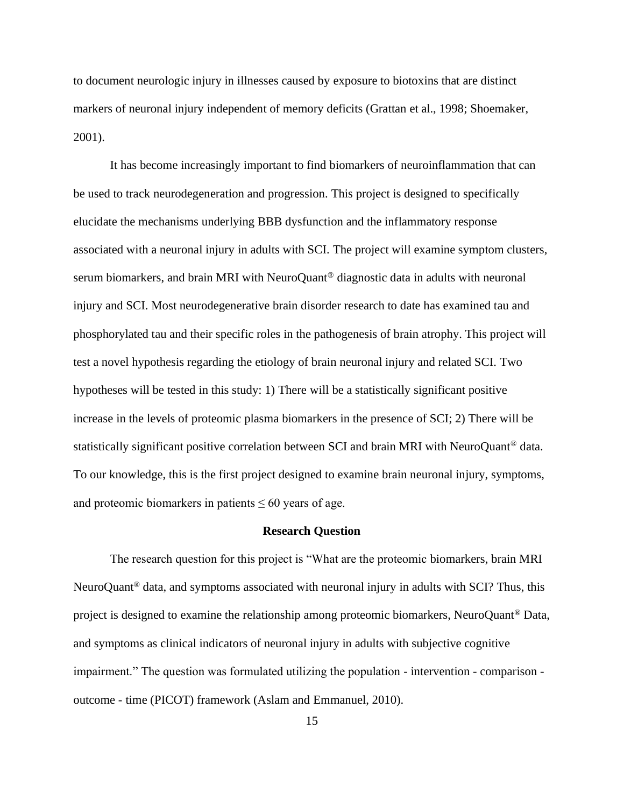to document neurologic injury in illnesses caused by exposure to biotoxins that are distinct markers of neuronal injury independent of memory deficits (Grattan et al., 1998; Shoemaker, 2001).

It has become increasingly important to find biomarkers of neuroinflammation that can be used to track neurodegeneration and progression. This project is designed to specifically elucidate the mechanisms underlying BBB dysfunction and the inflammatory response associated with a neuronal injury in adults with SCI. The project will examine symptom clusters, serum biomarkers, and brain MRI with NeuroQuant<sup>®</sup> diagnostic data in adults with neuronal injury and SCI. Most neurodegenerative brain disorder research to date has examined tau and phosphorylated tau and their specific roles in the pathogenesis of brain atrophy. This project will test a novel hypothesis regarding the etiology of brain neuronal injury and related SCI. Two hypotheses will be tested in this study: 1) There will be a statistically significant positive increase in the levels of proteomic plasma biomarkers in the presence of SCI; 2) There will be statistically significant positive correlation between SCI and brain MRI with NeuroQuant® data. To our knowledge, this is the first project designed to examine brain neuronal injury, symptoms, and proteomic biomarkers in patients  $\leq 60$  years of age.

#### **Research Question**

<span id="page-25-0"></span>The research question for this project is "What are the proteomic biomarkers, brain MRI NeuroQuant® data, and symptoms associated with neuronal injury in adults with SCI? Thus, this project is designed to examine the relationship among proteomic biomarkers, NeuroQuant® Data, and symptoms as clinical indicators of neuronal injury in adults with subjective cognitive impairment." The question was formulated utilizing the population - intervention - comparison outcome - time (PICOT) framework (Aslam and Emmanuel, 2010).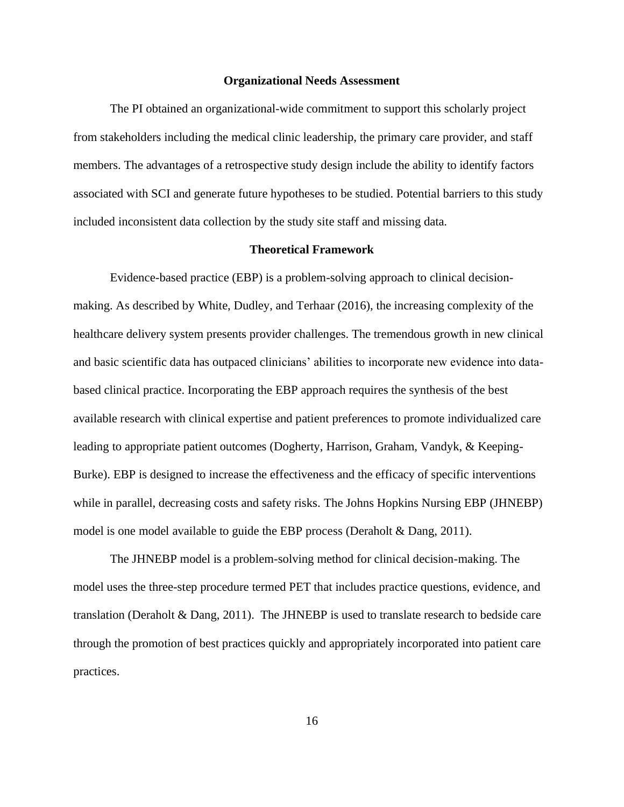#### **Organizational Needs Assessment**

<span id="page-26-0"></span>The PI obtained an organizational-wide commitment to support this scholarly project from stakeholders including the medical clinic leadership, the primary care provider, and staff members. The advantages of a retrospective study design include the ability to identify factors associated with SCI and generate future hypotheses to be studied. Potential barriers to this study included inconsistent data collection by the study site staff and missing data.

#### **Theoretical Framework**

<span id="page-26-1"></span>Evidence-based practice (EBP) is a problem-solving approach to clinical decisionmaking. As described by White, Dudley, and Terhaar (2016), the increasing complexity of the healthcare delivery system presents provider challenges. The tremendous growth in new clinical and basic scientific data has outpaced clinicians' abilities to incorporate new evidence into databased clinical practice. Incorporating the EBP approach requires the synthesis of the best available research with clinical expertise and patient preferences to promote individualized care leading to appropriate patient outcomes (Dogherty, Harrison, Graham, Vandyk, & Keeping-Burke). EBP is designed to increase the effectiveness and the efficacy of specific interventions while in parallel, decreasing costs and safety risks. The Johns Hopkins Nursing EBP (JHNEBP) model is one model available to guide the EBP process (Deraholt & Dang, 2011).

The JHNEBP model is a problem-solving method for clinical decision-making. The model uses the three-step procedure termed PET that includes practice questions, evidence, and translation (Deraholt & Dang, 2011). The JHNEBP is used to translate research to bedside care through the promotion of best practices quickly and appropriately incorporated into patient care practices.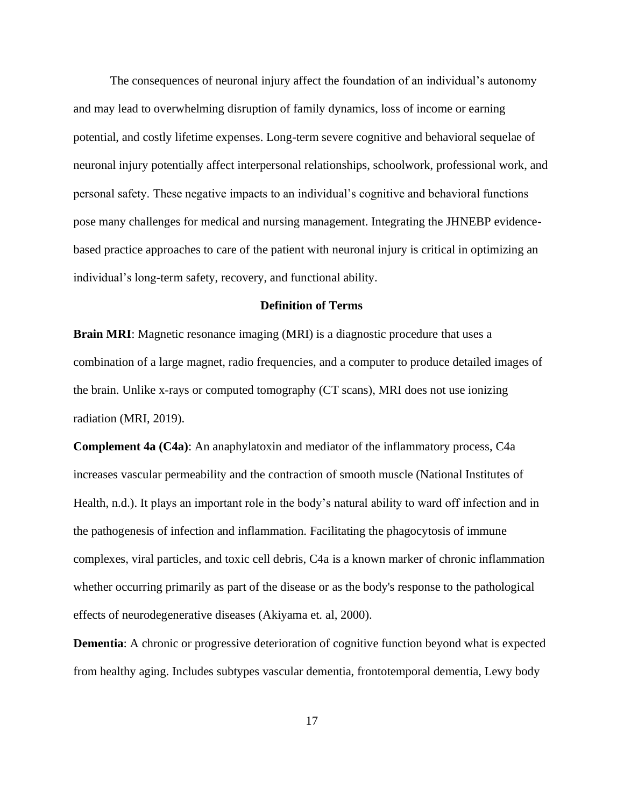The consequences of neuronal injury affect the foundation of an individual's autonomy and may lead to overwhelming disruption of family dynamics, loss of income or earning potential, and costly lifetime expenses. Long-term severe cognitive and behavioral sequelae of neuronal injury potentially affect interpersonal relationships, schoolwork, professional work, and personal safety. These negative impacts to an individual's cognitive and behavioral functions pose many challenges for medical and nursing management. Integrating the JHNEBP evidencebased practice approaches to care of the patient with neuronal injury is critical in optimizing an individual's long-term safety, recovery, and functional ability.

#### **Definition of Terms**

<span id="page-27-0"></span>**Brain MRI:** Magnetic resonance imaging (MRI) is a diagnostic procedure that uses a combination of a large magnet, radio frequencies, and a computer to produce detailed images of the brain. Unlike x-rays or computed tomography (CT scans), MRI does not use ionizing radiation (MRI, 2019).

**Complement 4a (C4a)**: An anaphylatoxin and mediator of the inflammatory process, C4a increases vascular permeability and the contraction of smooth muscle (National Institutes of Health, n.d.). It plays an important role in the body's natural ability to ward off infection and in the pathogenesis of infection and inflammation. Facilitating the phagocytosis of immune complexes, viral particles, and toxic cell debris, C4a is a known marker of chronic inflammation whether occurring primarily as part of the disease or as the body's response to the pathological effects of neurodegenerative diseases (Akiyama et. al, 2000).

**Dementia**: A chronic or progressive deterioration of cognitive function beyond what is expected from healthy aging. Includes subtypes vascular dementia, frontotemporal dementia, Lewy body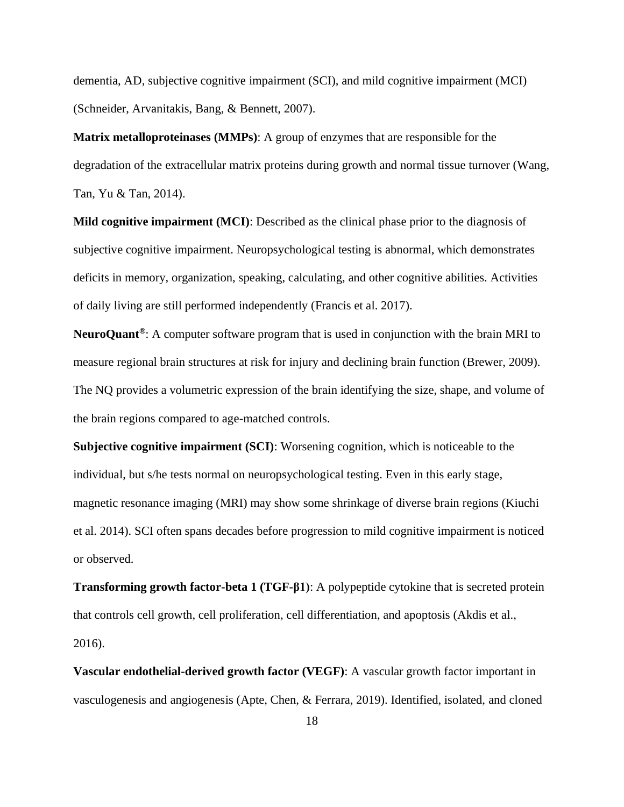dementia, AD, subjective cognitive impairment (SCI), and mild cognitive impairment (MCI) (Schneider, Arvanitakis, Bang, & Bennett, 2007).

**Matrix metalloproteinases (MMPs)**: A group of enzymes that are responsible for the degradation of the extracellular matrix proteins during growth and normal tissue turnover (Wang, Tan, Yu & Tan, 2014).

**Mild cognitive impairment (MCI)**: Described as the clinical phase prior to the diagnosis of subjective cognitive impairment. Neuropsychological testing is abnormal, which demonstrates deficits in memory, organization, speaking, calculating, and other cognitive abilities. Activities of daily living are still performed independently (Francis et al. 2017).

**NeuroQuant®**: A computer software program that is used in conjunction with the brain MRI to measure regional brain structures at risk for injury and declining brain function (Brewer, 2009). The NQ provides a volumetric expression of the brain identifying the size, shape, and volume of the brain regions compared to age-matched controls.

**Subjective cognitive impairment (SCI)**: Worsening cognition, which is noticeable to the individual, but s/he tests normal on neuropsychological testing. Even in this early stage, magnetic resonance imaging (MRI) may show some shrinkage of diverse brain regions (Kiuchi et al. 2014). SCI often spans decades before progression to mild cognitive impairment is noticed or observed.

**Transforming growth factor-beta 1 (TGF-β1)**: A polypeptide cytokine that is secreted protein that controls [cell growth,](https://en.wikipedia.org/wiki/Cell_growth) [cell proliferation,](https://en.wikipedia.org/wiki/Cell_proliferation) [cell differentiation,](https://en.wikipedia.org/wiki/Cell_differentiation) and [apoptosis](https://en.wikipedia.org/wiki/Apoptosis) (Akdis et al., 2016).

**Vascular endothelial-derived growth factor (VEGF)**: A vascular growth factor important in vasculogenesis and angiogenesis (Apte, Chen, & Ferrara, 2019). Identified, isolated, and cloned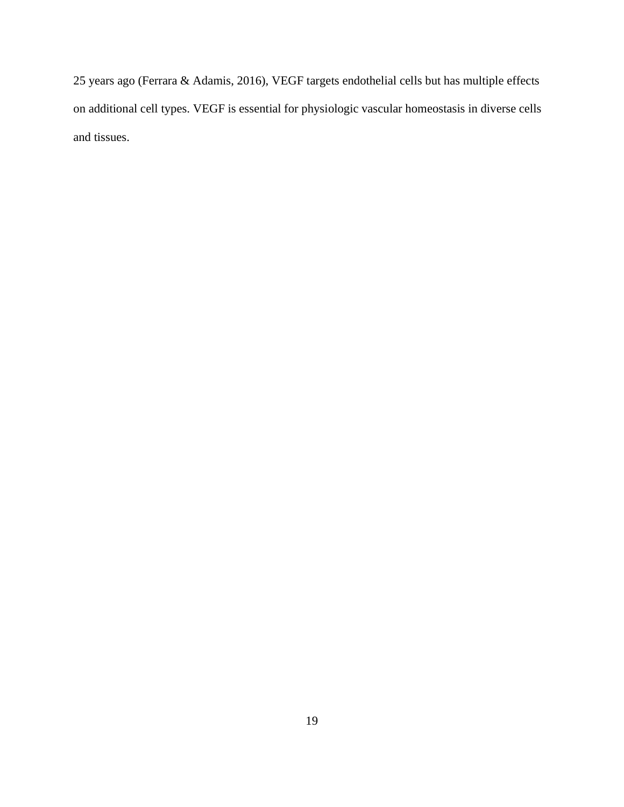25 years ago (Ferrara & Adamis, 2016), VEGF targets endothelial cells but has multiple effects on additional cell types. VEGF is essential for physiologic vascular homeostasis in diverse cells and tissues.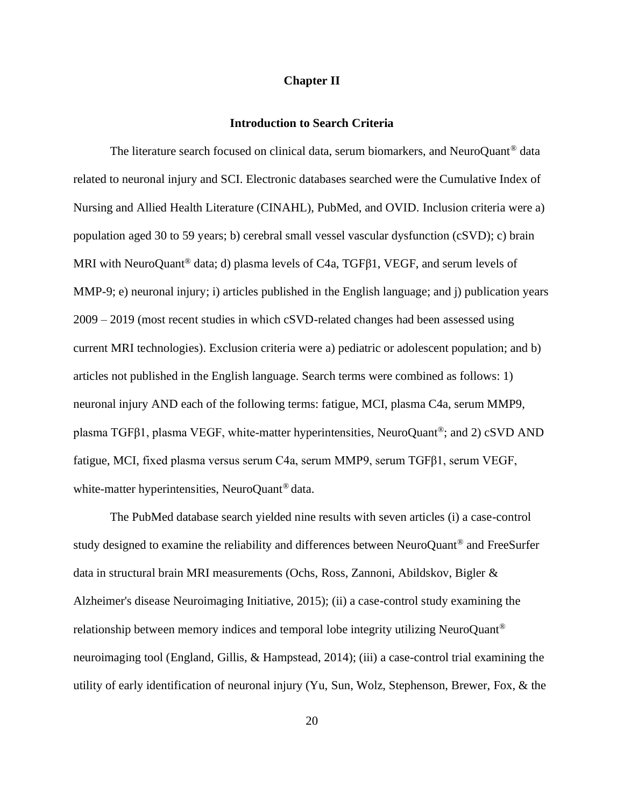### **Chapter II**

### **Introduction to Search Criteria**

<span id="page-30-1"></span><span id="page-30-0"></span>The literature search focused on clinical data, serum biomarkers, and NeuroQuant<sup>®</sup> data related to neuronal injury and SCI. Electronic databases searched were the Cumulative Index of Nursing and Allied Health Literature (CINAHL), PubMed, and OVID. Inclusion criteria were a) population aged 30 to 59 years; b) cerebral small vessel vascular dysfunction (cSVD); c) brain MRI with NeuroQuant<sup>®</sup> data; d) plasma levels of C4a, TGFβ1, VEGF, and serum levels of MMP-9; e) neuronal injury; i) articles published in the English language; and j) publication years 2009 – 2019 (most recent studies in which cSVD-related changes had been assessed using current MRI technologies). Exclusion criteria were a) pediatric or adolescent population; and b) articles not published in the English language. Search terms were combined as follows: 1) neuronal injury AND each of the following terms: fatigue, MCI, plasma C4a, serum MMP9, plasma TGFβ1, plasma VEGF, white-matter hyperintensities, NeuroQuant®; and 2) cSVD AND fatigue, MCI, fixed plasma versus serum C4a, serum MMP9, serum TGFβ1, serum VEGF, white-matter hyperintensities, NeuroQuant<sup>®</sup> data.

The PubMed database search yielded nine results with seven articles (i) a case-control study designed to examine the reliability and differences between NeuroQuant® and FreeSurfer data in structural brain MRI measurements (Ochs, Ross, Zannoni, Abildskov, Bigler & Alzheimer's disease Neuroimaging Initiative, 2015); (ii) a case-control study examining the relationship between memory indices and temporal lobe integrity utilizing NeuroQuant® neuroimaging tool (England, Gillis, & Hampstead, 2014); (iii) a case-control trial examining the utility of early identification of neuronal injury (Yu, Sun, Wolz, Stephenson, Brewer, Fox, & the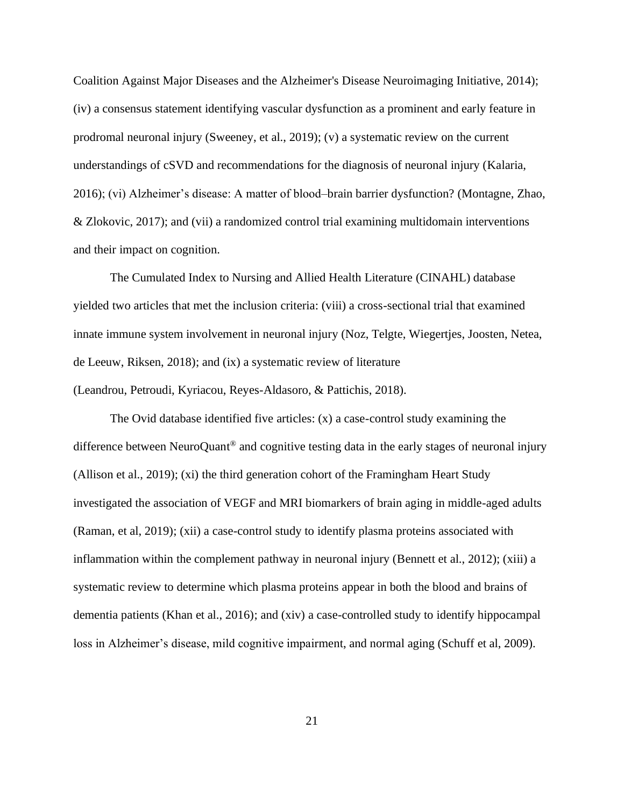Coalition Against Major Diseases and the Alzheimer's Disease Neuroimaging Initiative, 2014); (iv) a consensus statement identifying vascular dysfunction as a prominent and early feature in prodromal neuronal injury (Sweeney, et al., 2019); (v) a systematic review on the current understandings of cSVD and recommendations for the diagnosis of neuronal injury (Kalaria, 2016); (vi) Alzheimer's disease: A matter of blood–brain barrier dysfunction? (Montagne, Zhao, & Zlokovic, 2017); and (vii) a randomized control trial examining multidomain interventions and their impact on cognition.

The Cumulated Index to Nursing and Allied Health Literature (CINAHL) database yielded two articles that met the inclusion criteria: (viii) a cross-sectional trial that examined innate immune system involvement in neuronal injury (Noz, Telgte, Wiegertjes, Joosten, Netea, de Leeuw, Riksen, 2018); and (ix) a systematic review of literature (Leandrou, Petroudi, Kyriacou, Reyes-Aldasoro, & Pattichis, 2018).

The Ovid database identified five articles: (x) a case-control study examining the difference between NeuroQuant® and cognitive testing data in the early stages of neuronal injury (Allison et al., 2019); (xi) the third generation cohort of the Framingham Heart Study investigated the association of VEGF and MRI biomarkers of brain aging in middle-aged adults (Raman, et al, 2019); (xii) a case-control study to identify plasma proteins associated with inflammation within the complement pathway in neuronal injury (Bennett et al., 2012); (xiii) a systematic review to determine which plasma proteins appear in both the blood and brains of dementia patients (Khan et al., 2016); and (xiv) a case-controlled study to identify hippocampal loss in Alzheimer's disease, mild cognitive impairment, and normal aging (Schuff et al, 2009).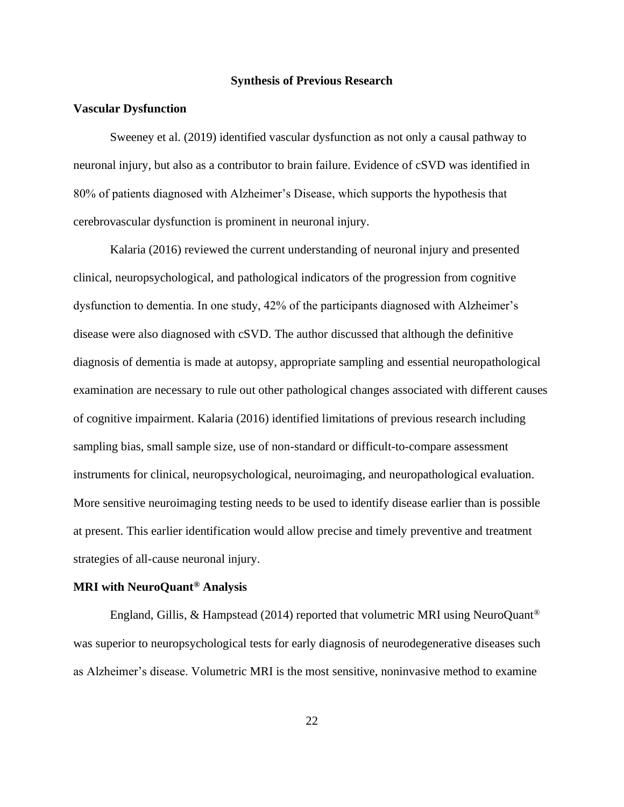#### **Synthesis of Previous Research**

#### <span id="page-32-1"></span><span id="page-32-0"></span>**Vascular Dysfunction**

Sweeney et al. (2019) identified vascular dysfunction as not only a causal pathway to neuronal injury, but also as a contributor to brain failure. Evidence of cSVD was identified in 80% of patients diagnosed with Alzheimer's Disease, which supports the hypothesis that cerebrovascular dysfunction is prominent in neuronal injury.

Kalaria (2016) reviewed the current understanding of neuronal injury and presented clinical, neuropsychological, and pathological indicators of the progression from cognitive dysfunction to dementia. In one study, 42% of the participants diagnosed with Alzheimer's disease were also diagnosed with cSVD. The author discussed that although the definitive diagnosis of dementia is made at autopsy, appropriate sampling and essential neuropathological examination are necessary to rule out other pathological changes associated with different causes of cognitive impairment. Kalaria (2016) identified limitations of previous research including sampling bias, small sample size, use of non-standard or difficult-to-compare assessment instruments for clinical, neuropsychological, neuroimaging, and neuropathological evaluation. More sensitive neuroimaging testing needs to be used to identify disease earlier than is possible at present. This earlier identification would allow precise and timely preventive and treatment strategies of all-cause neuronal injury.

## <span id="page-32-2"></span>**MRI with NeuroQuant® Analysis**

England, Gillis, & Hampstead (2014) reported that volumetric MRI using NeuroQuant<sup>®</sup> was superior to neuropsychological tests for early diagnosis of neurodegenerative diseases such as Alzheimer's disease. Volumetric MRI is the most sensitive, noninvasive method to examine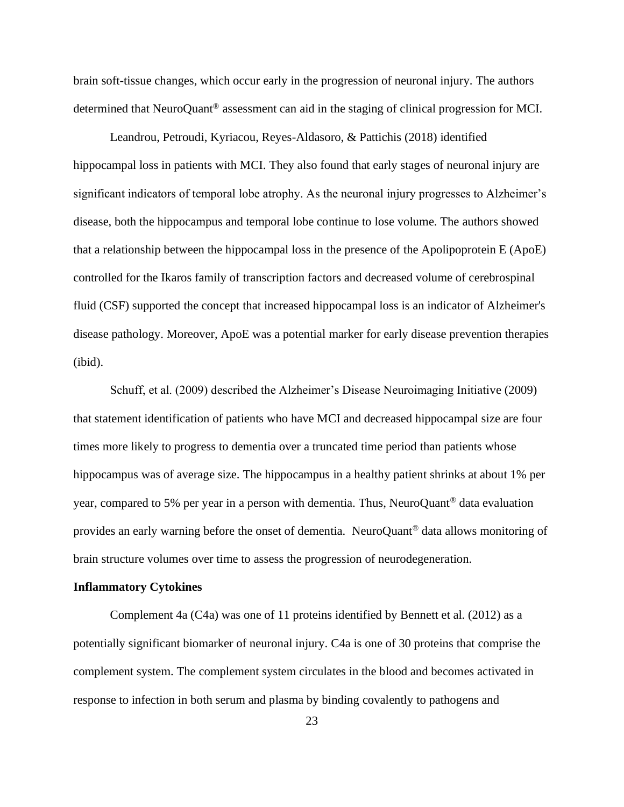brain soft-tissue changes, which occur early in the progression of neuronal injury. The authors determined that NeuroQuant® assessment can aid in the staging of clinical progression for MCI.

Leandrou, Petroudi, Kyriacou, Reyes-Aldasoro, & Pattichis (2018) identified hippocampal loss in patients with MCI. They also found that early stages of neuronal injury are significant indicators of temporal lobe atrophy. As the neuronal injury progresses to Alzheimer's disease, both the hippocampus and temporal lobe continue to lose volume. The authors showed that a relationship between the hippocampal loss in the presence of the Apolipoprotein E (ApoE) controlled for the Ikaros family of transcription factors and decreased volume of cerebrospinal fluid (CSF) supported the concept that increased hippocampal loss is an indicator of Alzheimer's disease pathology. Moreover, ApoE was a potential marker for early disease prevention therapies (ibid).

Schuff, et al. (2009) described the Alzheimer's Disease Neuroimaging Initiative (2009) that statement identification of patients who have MCI and decreased hippocampal size are four times more likely to progress to dementia over a truncated time period than patients whose hippocampus was of average size. The hippocampus in a healthy patient shrinks at about 1% per year, compared to 5% per year in a person with dementia. Thus, NeuroQuant® data evaluation provides an early warning before the onset of dementia. NeuroQuant® data allows monitoring of brain structure volumes over time to assess the progression of neurodegeneration.

#### <span id="page-33-0"></span>**Inflammatory Cytokines**

Complement 4a  $(C4a)$  was one of 11 proteins identified by Bennett et al. (2012) as a potentially significant biomarker of neuronal injury. C4a is one of 30 proteins that comprise the complement system. The complement system circulates in the blood and becomes activated in response to infection in both serum and plasma by binding covalently to pathogens and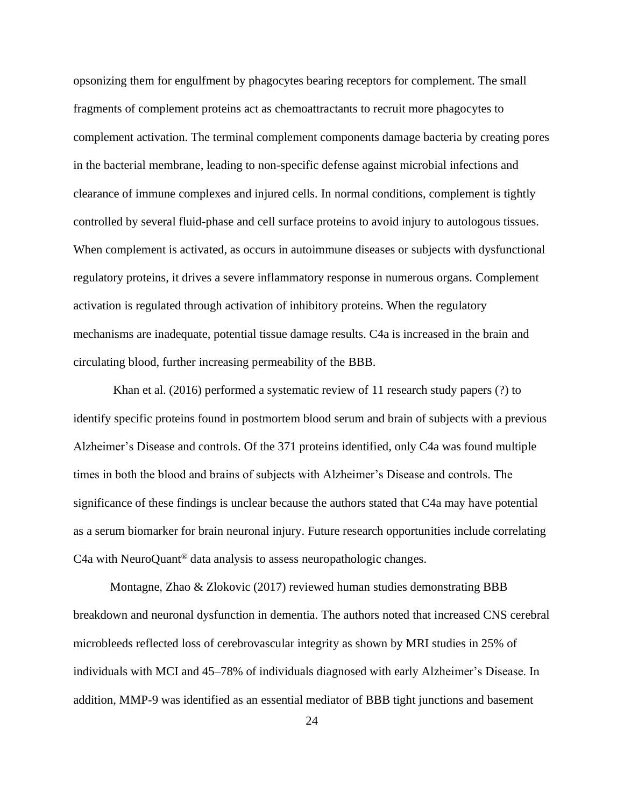opsonizing them for engulfment by phagocytes bearing receptors for complement. The small fragments of complement proteins act as chemoattractants to recruit more phagocytes to complement activation. The terminal complement components damage bacteria by creating pores in the bacterial membrane, leading to non-specific defense against microbial infections and clearance of immune complexes and injured cells. In normal conditions, complement is tightly controlled by several fluid-phase and cell surface proteins to avoid injury to autologous tissues. When complement is activated, as occurs in autoimmune diseases or subjects with dysfunctional regulatory proteins, it drives a severe inflammatory response in numerous organs. Complement activation is regulated through activation of inhibitory proteins. When the regulatory mechanisms are inadequate, potential tissue damage results. C4a is increased in the brain and circulating blood, further increasing permeability of the BBB.

Khan et al. (2016) performed a systematic review of 11 research study papers (?) to identify specific proteins found in postmortem blood serum and brain of subjects with a previous Alzheimer's Disease and controls. Of the 371 proteins identified, only C4a was found multiple times in both the blood and brains of subjects with Alzheimer's Disease and controls. The significance of these findings is unclear because the authors stated that C4a may have potential as a serum biomarker for brain neuronal injury. Future research opportunities include correlating C4a with NeuroQuant® data analysis to assess neuropathologic changes.

Montagne, Zhao & Zlokovic (2017) reviewed human studies demonstrating BBB breakdown and neuronal dysfunction in dementia. The authors noted that increased CNS cerebral microbleeds reflected loss of cerebrovascular integrity as shown by MRI studies in 25% of individuals with MCI and 45–78% of individuals diagnosed with early Alzheimer's Disease. In addition, MMP-9 was identified as an essential mediator of BBB tight junctions and basement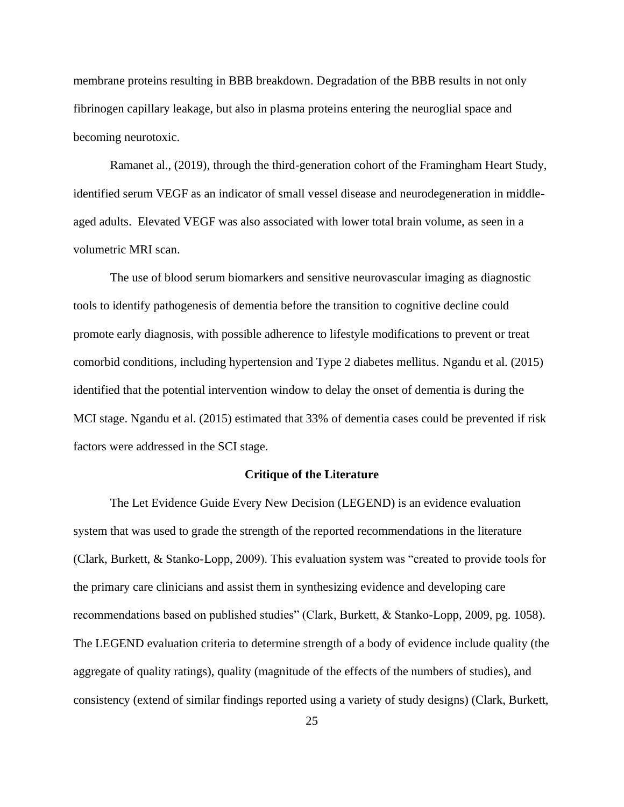membrane proteins resulting in BBB breakdown. Degradation of the BBB results in not only fibrinogen capillary leakage, but also in plasma proteins entering the neuroglial space and becoming neurotoxic.

Ramanet al., (2019), through the third-generation cohort of the Framingham Heart Study, identified serum VEGF as an indicator of small vessel disease and neurodegeneration in middleaged adults. Elevated VEGF was also associated with lower total brain volume, as seen in a volumetric MRI scan.

The use of blood serum biomarkers and sensitive neurovascular imaging as diagnostic tools to identify pathogenesis of dementia before the transition to cognitive decline could promote early diagnosis, with possible adherence to lifestyle modifications to prevent or treat comorbid conditions, including hypertension and Type 2 diabetes mellitus. Ngandu et al. (2015) identified that the potential intervention window to delay the onset of dementia is during the MCI stage. Ngandu et al. (2015) estimated that 33% of dementia cases could be prevented if risk factors were addressed in the SCI stage.

#### **Critique of the Literature**

<span id="page-35-0"></span>The Let Evidence Guide Every New Decision (LEGEND) is an evidence evaluation system that was used to grade the strength of the reported recommendations in the literature (Clark, Burkett, & Stanko-Lopp, 2009). This evaluation system was "created to provide tools for the primary care clinicians and assist them in synthesizing evidence and developing care recommendations based on published studies" (Clark, Burkett, & Stanko-Lopp, 2009, pg. 1058). The LEGEND evaluation criteria to determine strength of a body of evidence include quality (the aggregate of quality ratings), quality (magnitude of the effects of the numbers of studies), and consistency (extend of similar findings reported using a variety of study designs) (Clark, Burkett,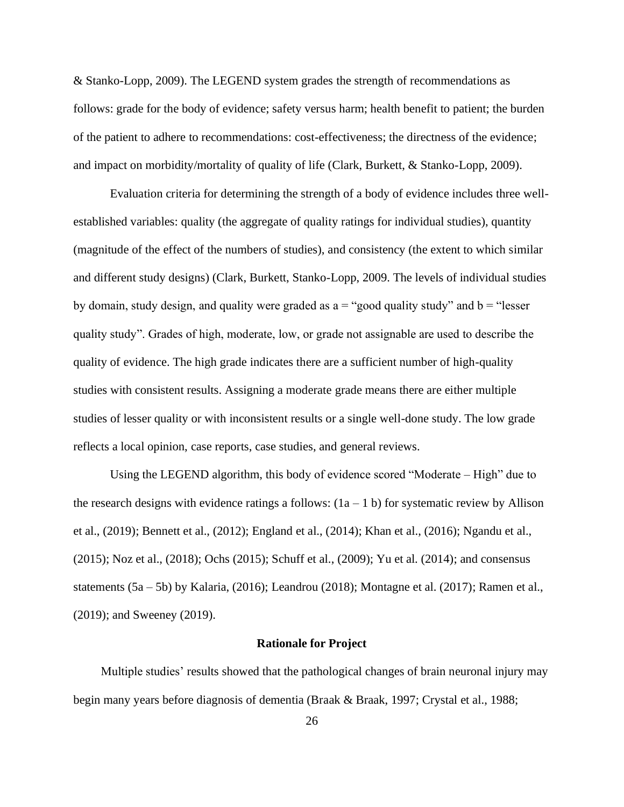& Stanko-Lopp, 2009). The LEGEND system grades the strength of recommendations as follows: grade for the body of evidence; safety versus harm; health benefit to patient; the burden of the patient to adhere to recommendations: cost-effectiveness; the directness of the evidence; and impact on morbidity/mortality of quality of life (Clark, Burkett, & Stanko-Lopp, 2009).

Evaluation criteria for determining the strength of a body of evidence includes three wellestablished variables: quality (the aggregate of quality ratings for individual studies), quantity (magnitude of the effect of the numbers of studies), and consistency (the extent to which similar and different study designs) (Clark, Burkett, Stanko-Lopp, 2009. The levels of individual studies by domain, study design, and quality were graded as  $a =$  "good quality study" and  $b =$  "lesser" quality study". Grades of high, moderate, low, or grade not assignable are used to describe the quality of evidence. The high grade indicates there are a sufficient number of high-quality studies with consistent results. Assigning a moderate grade means there are either multiple studies of lesser quality or with inconsistent results or a single well-done study. The low grade reflects a local opinion, case reports, case studies, and general reviews.

Using the LEGEND algorithm, this body of evidence scored "Moderate – High" due to the research designs with evidence ratings a follows:  $(1a - 1 b)$  for systematic review by Allison et al., (2019); Bennett et al., (2012); England et al., (2014); Khan et al., (2016); Ngandu et al., (2015); Noz et al., (2018); Ochs (2015); Schuff et al., (2009); Yu et al. (2014); and consensus statements (5a – 5b) by Kalaria, (2016); Leandrou (2018); Montagne et al. (2017); Ramen et al., (2019); and Sweeney (2019).

#### **Rationale for Project**

 Multiple studies' results showed that the pathological changes of brain neuronal injury may begin many years before diagnosis of dementia (Braak & Braak, 1997; Crystal et al., 1988;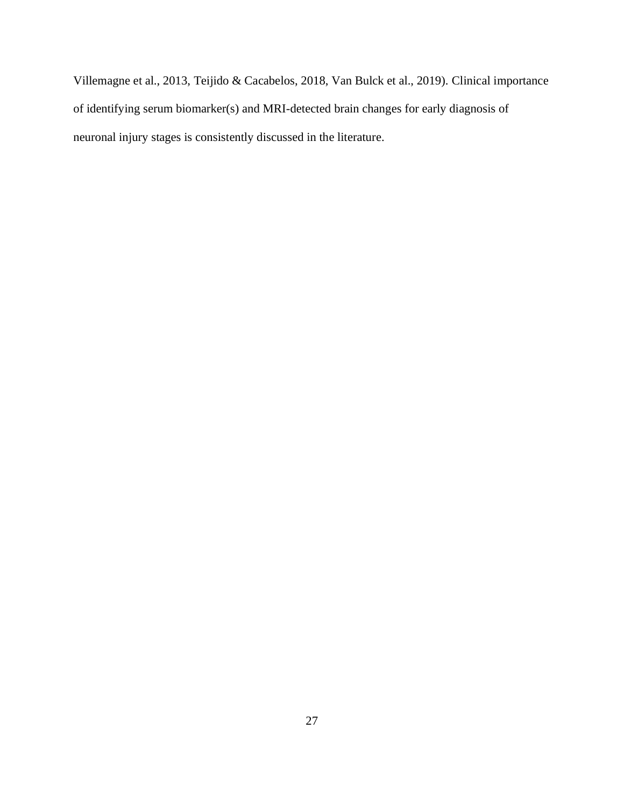Villemagne et al., 2013, Teijido & Cacabelos, 2018, Van Bulck et al., 2019). Clinical importance of identifying serum biomarker(s) and MRI-detected brain changes for early diagnosis of neuronal injury stages is consistently discussed in the literature.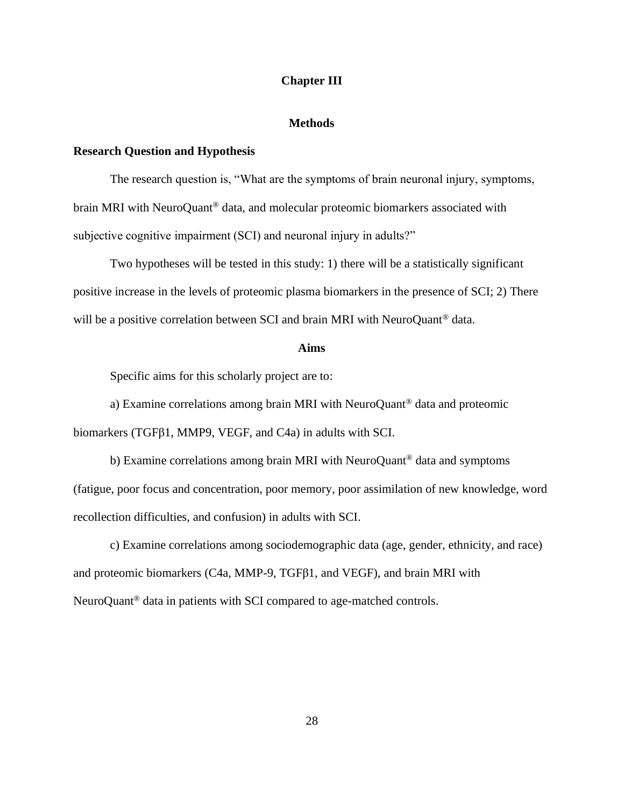### **Chapter III**

### **Methods**

### **Research Question and Hypothesis**

The research question is, "What are the symptoms of brain neuronal injury, symptoms, brain MRI with NeuroQuant® data, and molecular proteomic biomarkers associated with subjective cognitive impairment (SCI) and neuronal injury in adults?"

Two hypotheses will be tested in this study: 1) there will be a statistically significant positive increase in the levels of proteomic plasma biomarkers in the presence of SCI; 2) There will be a positive correlation between SCI and brain MRI with NeuroQuant<sup>®</sup> data.

### **Aims**

Specific aims for this scholarly project are to:

a) Examine correlations among brain MRI with NeuroQuant® data and proteomic biomarkers (TGFβ1, MMP9, VEGF, and C4a) in adults with SCI.

b) Examine correlations among brain MRI with NeuroQuant<sup>®</sup> data and symptoms (fatigue, poor focus and concentration, poor memory, poor assimilation of new knowledge, word recollection difficulties, and confusion) in adults with SCI.

c) Examine correlations among sociodemographic data (age, gender, ethnicity, and race) and proteomic biomarkers (C4a, MMP-9, TGFβ1, and VEGF), and brain MRI with NeuroQuant® data in patients with SCI compared to age-matched controls.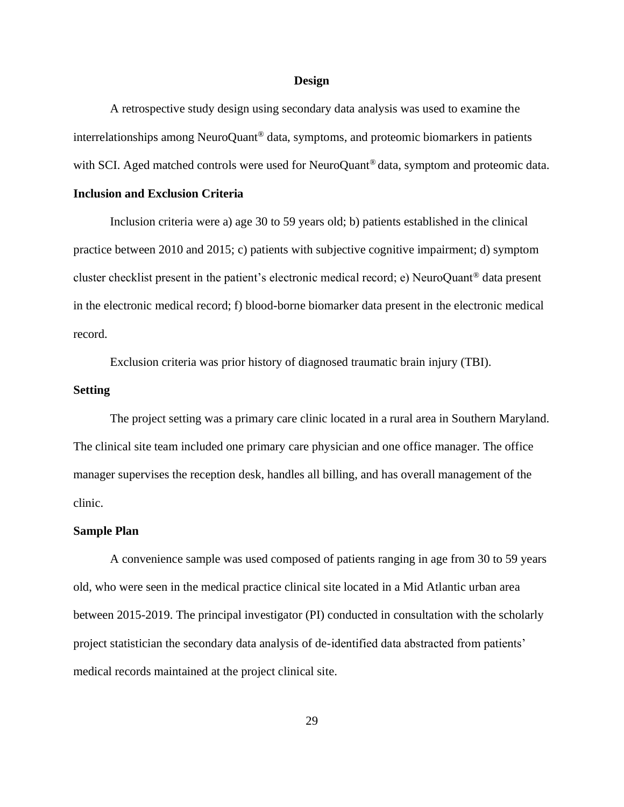#### **Design**

A retrospective study design using secondary data analysis was used to examine the interrelationships among NeuroQuant® data, symptoms, and proteomic biomarkers in patients with SCI. Aged matched controls were used for NeuroQuant<sup>®</sup> data, symptom and proteomic data.

## **Inclusion and Exclusion Criteria**

Inclusion criteria were a) age 30 to 59 years old; b) patients established in the clinical practice between 2010 and 2015; c) patients with subjective cognitive impairment; d) symptom cluster checklist present in the patient's electronic medical record; e) NeuroQuant® data present in the electronic medical record; f) blood-borne biomarker data present in the electronic medical record.

Exclusion criteria was prior history of diagnosed traumatic brain injury (TBI).

## **Setting**

The project setting was a primary care clinic located in a rural area in Southern Maryland. The clinical site team included one primary care physician and one office manager. The office manager supervises the reception desk, handles all billing, and has overall management of the clinic.

#### **Sample Plan**

A convenience sample was used composed of patients ranging in age from 30 to 59 years old, who were seen in the medical practice clinical site located in a Mid Atlantic urban area between 2015-2019. The principal investigator (PI) conducted in consultation with the scholarly project statistician the secondary data analysis of de-identified data abstracted from patients' medical records maintained at the project clinical site.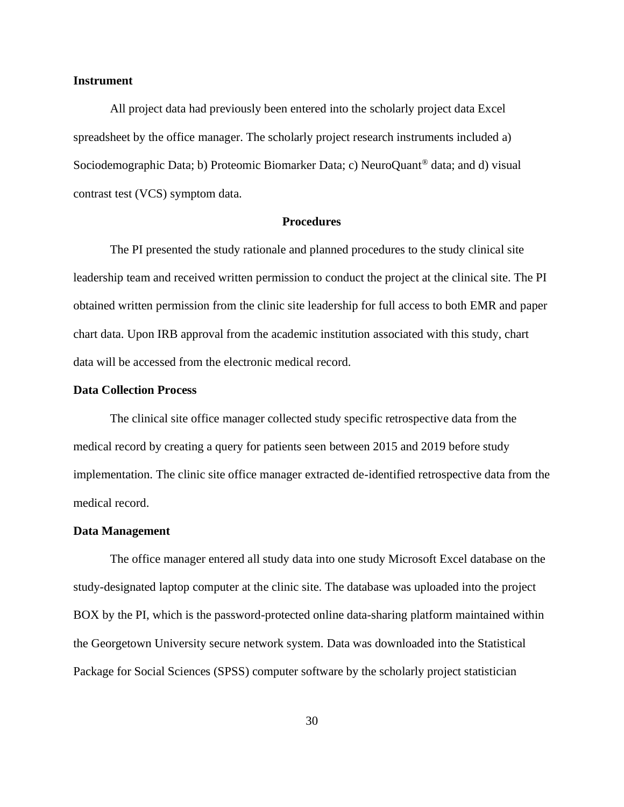### **Instrument**

All project data had previously been entered into the scholarly project data Excel spreadsheet by the office manager. The scholarly project research instruments included a) Sociodemographic Data; b) Proteomic Biomarker Data; c) NeuroQuant® data; and d) visual contrast test (VCS) symptom data.

### **Procedures**

The PI presented the study rationale and planned procedures to the study clinical site leadership team and received written permission to conduct the project at the clinical site. The PI obtained written permission from the clinic site leadership for full access to both EMR and paper chart data. Upon IRB approval from the academic institution associated with this study, chart data will be accessed from the electronic medical record.

### **Data Collection Process**

The clinical site office manager collected study specific retrospective data from the medical record by creating a query for patients seen between 2015 and 2019 before study implementation. The clinic site office manager extracted de-identified retrospective data from the medical record.

#### **Data Management**

The office manager entered all study data into one study Microsoft Excel database on the study-designated laptop computer at the clinic site. The database was uploaded into the project BOX by the PI, which is the password-protected online data-sharing platform maintained within the Georgetown University secure network system. Data was downloaded into the Statistical Package for Social Sciences (SPSS) computer software by the scholarly project statistician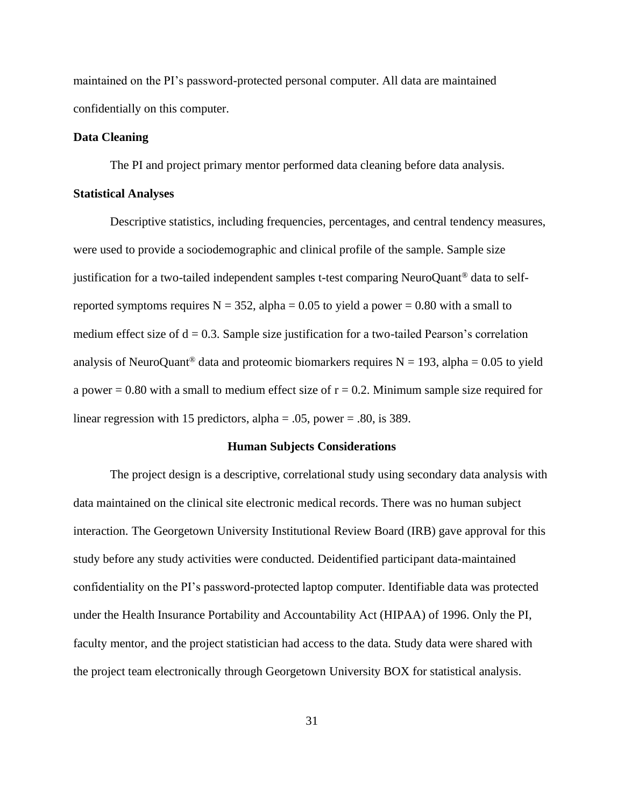maintained on the PI's password-protected personal computer. All data are maintained confidentially on this computer.

#### **Data Cleaning**

The PI and project primary mentor performed data cleaning before data analysis.

#### **Statistical Analyses**

Descriptive statistics, including frequencies, percentages, and central tendency measures, were used to provide a sociodemographic and clinical profile of the sample. Sample size justification for a two-tailed independent samples t-test comparing NeuroQuant® data to selfreported symptoms requires  $N = 352$ , alpha = 0.05 to yield a power = 0.80 with a small to medium effect size of  $d = 0.3$ . Sample size justification for a two-tailed Pearson's correlation analysis of NeuroQuant<sup>®</sup> data and proteomic biomarkers requires  $N = 193$ , alpha = 0.05 to yield a power  $= 0.80$  with a small to medium effect size of  $r = 0.2$ . Minimum sample size required for linear regression with 15 predictors, alpha =  $.05$ , power =  $.80$ , is 389.

# **Human Subjects Considerations**

The project design is a descriptive, correlational study using secondary data analysis with data maintained on the clinical site electronic medical records. There was no human subject interaction. The Georgetown University Institutional Review Board (IRB) gave approval for this study before any study activities were conducted. Deidentified participant data-maintained confidentiality on the PI's password-protected laptop computer. Identifiable data was protected under the Health Insurance Portability and Accountability Act (HIPAA) of 1996. Only the PI, faculty mentor, and the project statistician had access to the data. Study data were shared with the project team electronically through Georgetown University BOX for statistical analysis.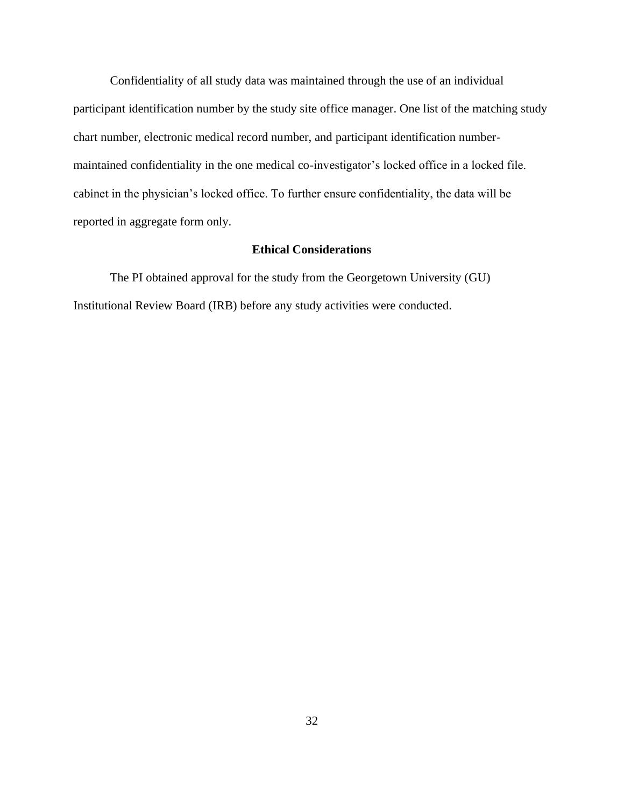Confidentiality of all study data was maintained through the use of an individual participant identification number by the study site office manager. One list of the matching study chart number, electronic medical record number, and participant identification numbermaintained confidentiality in the one medical co-investigator's locked office in a locked file. cabinet in the physician's locked office. To further ensure confidentiality, the data will be reported in aggregate form only.

# **Ethical Considerations**

The PI obtained approval for the study from the Georgetown University (GU) Institutional Review Board (IRB) before any study activities were conducted.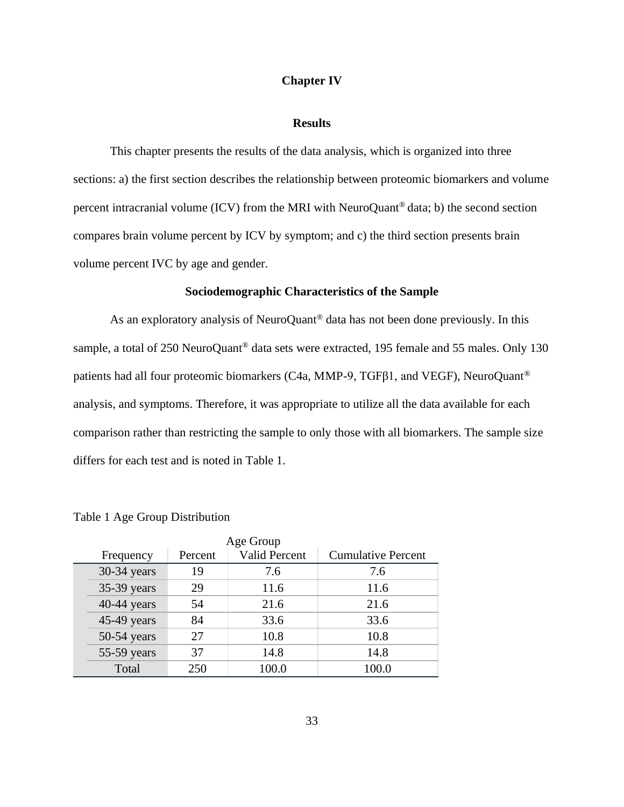#### **Chapter IV**

#### **Results**

This chapter presents the results of the data analysis, which is organized into three sections: a) the first section describes the relationship between proteomic biomarkers and volume percent intracranial volume (ICV) from the MRI with NeuroQuant® data; b) the second section compares brain volume percent by ICV by symptom; and c) the third section presents brain volume percent IVC by age and gender.

# **Sociodemographic Characteristics of the Sample**

As an exploratory analysis of NeuroQuant<sup>®</sup> data has not been done previously. In this sample, a total of 250 NeuroQuant<sup>®</sup> data sets were extracted, 195 female and 55 males. Only 130 patients had all four proteomic biomarkers (C4a, MMP-9, TGFβ1, and VEGF), NeuroQuant® analysis, and symptoms. Therefore, it was appropriate to utilize all the data available for each comparison rather than restricting the sample to only those with all biomarkers. The sample size differs for each test and is noted in Table 1.

| Age Group |               |         |                      |                           |  |
|-----------|---------------|---------|----------------------|---------------------------|--|
|           | Frequency     | Percent | <b>Valid Percent</b> | <b>Cumulative Percent</b> |  |
|           | 30-34 years   | 19      | 7.6                  | 7.6                       |  |
|           | 35-39 years   | 29      | 11.6                 | 11.6                      |  |
|           | 40-44 years   | 54      | 21.6                 | 21.6                      |  |
|           | 45-49 years   | 84      | 33.6                 | 33.6                      |  |
|           | $50-54$ years | 27      | 10.8                 | 10.8                      |  |
|           | 55-59 years   | 37      | 14.8                 | 14.8                      |  |
|           | Total         | 250     | 100.0                | 100.0                     |  |

Table 1 Age Group Distribution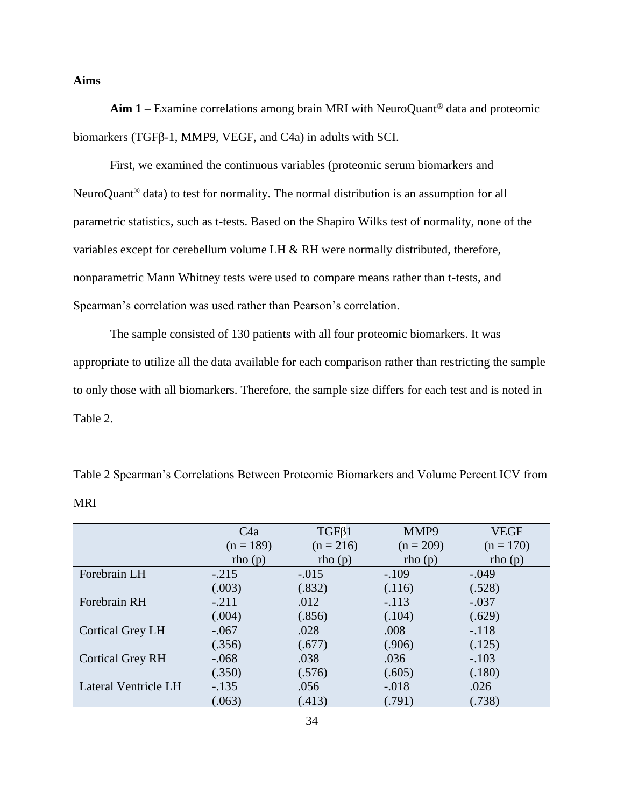# **Aims**

**Aim 1** – Examine correlations among brain MRI with NeuroQuant® data and proteomic biomarkers (TGFβ-1, MMP9, VEGF, and C4a) in adults with SCI.

First, we examined the continuous variables (proteomic serum biomarkers and NeuroQuant® data) to test for normality. The normal distribution is an assumption for all parametric statistics, such as t-tests. Based on the Shapiro Wilks test of normality, none of the variables except for cerebellum volume LH & RH were normally distributed, therefore, nonparametric Mann Whitney tests were used to compare means rather than t-tests, and Spearman's correlation was used rather than Pearson's correlation.

The sample consisted of 130 patients with all four proteomic biomarkers. It was appropriate to utilize all the data available for each comparison rather than restricting the sample to only those with all biomarkers. Therefore, the sample size differs for each test and is noted in Table 2.

Table 2 Spearman's Correlations Between Proteomic Biomarkers and Volume Percent ICV from MRI

|                             | C4a         | $TGF\beta1$ | MMP9        | <b>VEGF</b> |
|-----------------------------|-------------|-------------|-------------|-------------|
|                             | $(n = 189)$ | $(n = 216)$ | $(n = 209)$ | $(n = 170)$ |
|                             | rho(p)      | rho(p)      | rho(p)      | rho(p)      |
| Forebrain LH                | $-.215$     | $-.015$     | $-.109$     | $-.049$     |
|                             | (.003)      | (.832)      | (.116)      | (.528)      |
| Forebrain RH                | $-.211$     | .012        | $-.113$     | $-.037$     |
|                             | (.004)      | (.856)      | (.104)      | (.629)      |
| <b>Cortical Grey LH</b>     | $-.067$     | .028        | .008        | $-.118$     |
|                             | (.356)      | (.677)      | (.906)      | (.125)      |
| <b>Cortical Grey RH</b>     | $-.068$     | .038        | .036        | $-.103$     |
|                             | (.350)      | (.576)      | (.605)      | (.180)      |
| <b>Lateral Ventricle LH</b> | $-.135$     | .056        | $-.018$     | .026        |
|                             | (.063)      | (.413)      | (.791)      | (738)       |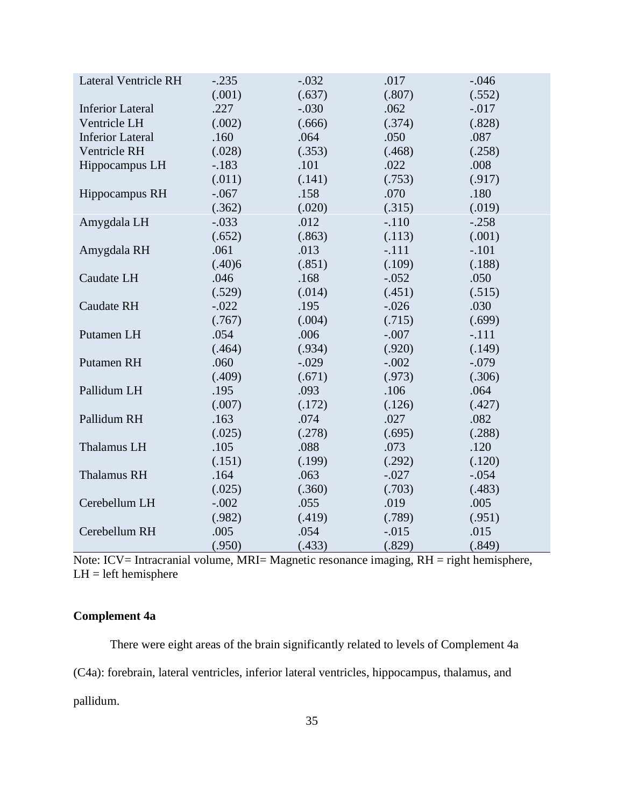| <b>Lateral Ventricle RH</b> | $-.235$ | $-.032$ | .017    | $-.046$  |
|-----------------------------|---------|---------|---------|----------|
|                             | (.001)  | (.637)  | (.807)  | (.552)   |
| <b>Inferior Lateral</b>     | .227    | $-.030$ | .062    | $-0.017$ |
| Ventricle LH                | (.002)  | (.666)  | (.374)  | (.828)   |
| <b>Inferior Lateral</b>     | .160    | .064    | .050    | .087     |
| Ventricle RH                | (.028)  | (.353)  | (.468)  | (.258)   |
| Hippocampus LH              | $-183$  | .101    | .022    | .008     |
|                             | (.011)  | (.141)  | (.753)  | (.917)   |
| Hippocampus RH              | $-.067$ | .158    | .070    | .180     |
|                             | (.362)  | (.020)  | (.315)  | (.019)   |
| Amygdala LH                 | $-.033$ | .012    | $-.110$ | $-.258$  |
|                             | (.652)  | (.863)  | (.113)  | (.001)   |
| Amygdala RH                 | .061    | .013    | $-.111$ | $-.101$  |
|                             | (.40)6  | (.851)  | (.109)  | (.188)   |
| Caudate LH                  | .046    | .168    | $-.052$ | .050     |
|                             | (.529)  | (.014)  | (.451)  | (.515)   |
| <b>Caudate RH</b>           | $-.022$ | .195    | $-.026$ | .030     |
|                             | (.767)  | (.004)  | (.715)  | (.699)   |
| Putamen LH                  | .054    | .006    | $-.007$ | $-.111$  |
|                             | (.464)  | (.934)  | (.920)  | (.149)   |
| Putamen RH                  | .060    | $-.029$ | $-.002$ | $-.079$  |
|                             | (.409)  | (.671)  | (.973)  | (.306)   |
| Pallidum LH                 | .195    | .093    | .106    | .064     |
|                             | (.007)  | (.172)  | (.126)  | (.427)   |
| Pallidum RH                 | .163    | .074    | .027    | .082     |
|                             | (.025)  | (.278)  | (.695)  | (.288)   |
| Thalamus LH                 | .105    | .088    | .073    | .120     |
|                             | (.151)  | (.199)  | (.292)  | (.120)   |
| <b>Thalamus RH</b>          | .164    | .063    | $-.027$ | $-.054$  |
|                             | (.025)  | (.360)  | (.703)  | (.483)   |
| Cerebellum LH               | $-.002$ | .055    | .019    | .005     |
|                             | (.982)  | (.419)  | (.789)  | (.951)   |
| Cerebellum RH               | .005    | .054    | $-.015$ | .015     |
|                             | (.950)  | (.433)  | (.829)  | (.849)   |

Note: ICV= Intracranial volume, MRI= Magnetic resonance imaging, RH = right hemisphere, LH = left hemisphere

# **Complement 4a**

There were eight areas of the brain significantly related to levels of Complement 4a (C4a): forebrain, lateral ventricles, inferior lateral ventricles, hippocampus, thalamus, and pallidum.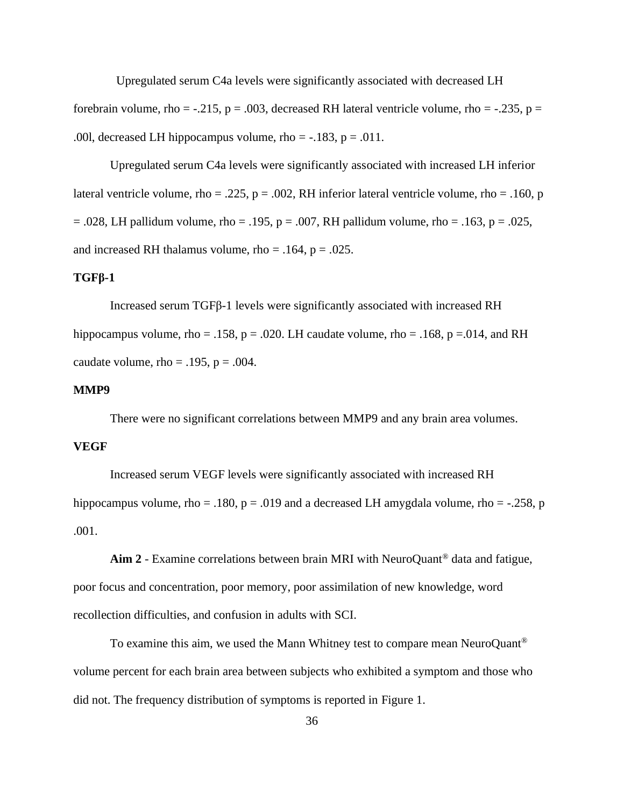Upregulated serum C4a levels were significantly associated with decreased LH forebrain volume, rho =  $-.215$ , p =  $.003$ , decreased RH lateral ventricle volume, rho =  $-.235$ , p = .00l, decreased LH hippocampus volume, rho =  $-.183$ , p = .011.

Upregulated serum C4a levels were significantly associated with increased LH inferior lateral ventricle volume, rho = .225, p = .002, RH inferior lateral ventricle volume, rho = .160, p  $= .028$ , LH pallidum volume, rho  $= .195$ , p  $= .007$ , RH pallidum volume, rho  $= .163$ , p  $= .025$ , and increased RH thalamus volume, rho =  $.164$ , p =  $.025$ .

### **TGFβ-1**

Increased serum TGFβ-1 levels were significantly associated with increased RH hippocampus volume, rho = .158, p = .020. LH caudate volume, rho = .168, p = .014, and RH caudate volume, rho =  $.195$ , p =  $.004$ .

#### **MMP9**

There were no significant correlations between MMP9 and any brain area volumes.

#### **VEGF**

Increased serum VEGF levels were significantly associated with increased RH hippocampus volume, rho = .180,  $p = .019$  and a decreased LH amygdala volume, rho = -.258, p .001.

**Aim 2** - Examine correlations between brain MRI with NeuroQuant® data and fatigue, poor focus and concentration, poor memory, poor assimilation of new knowledge, word recollection difficulties, and confusion in adults with SCI.

To examine this aim, we used the Mann Whitney test to compare mean NeuroQuant® volume percent for each brain area between subjects who exhibited a symptom and those who did not. The frequency distribution of symptoms is reported in Figure 1.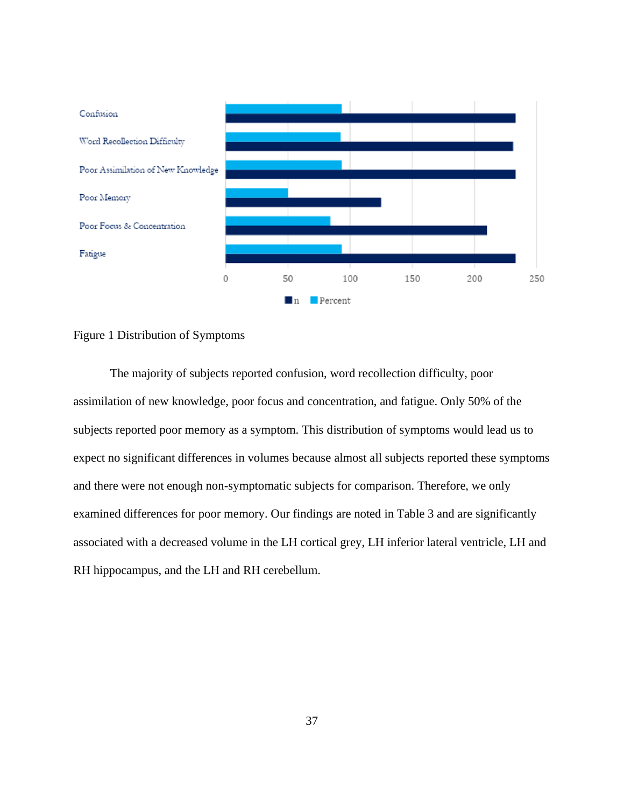

Figure 1 Distribution of Symptoms

The majority of subjects reported confusion, word recollection difficulty, poor assimilation of new knowledge, poor focus and concentration, and fatigue. Only 50% of the subjects reported poor memory as a symptom. This distribution of symptoms would lead us to expect no significant differences in volumes because almost all subjects reported these symptoms and there were not enough non-symptomatic subjects for comparison. Therefore, we only examined differences for poor memory. Our findings are noted in Table 3 and are significantly associated with a decreased volume in the LH cortical grey, LH inferior lateral ventricle, LH and RH hippocampus, and the LH and RH cerebellum.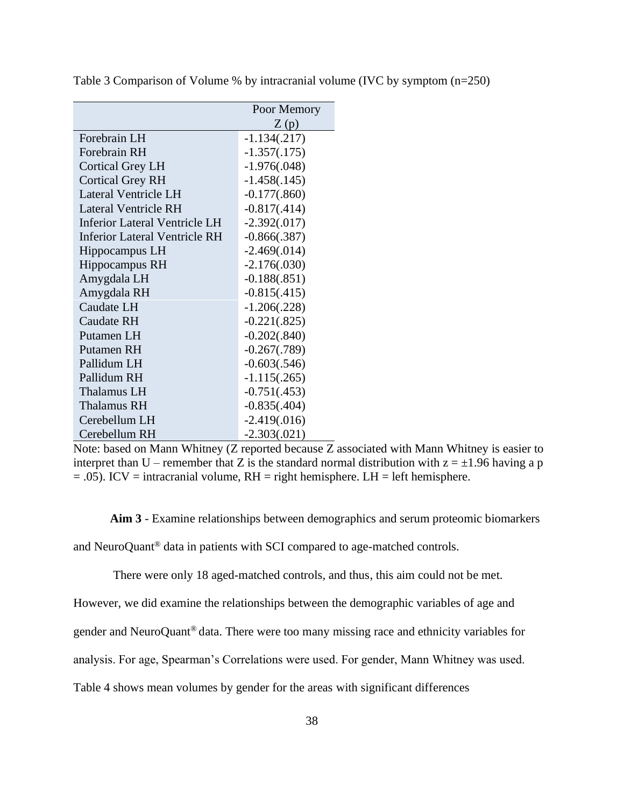|                                      | Poor Memory    |
|--------------------------------------|----------------|
|                                      | Z(p)           |
| Forebrain LH                         | $-1.134(.217)$ |
| Forebrain RH                         | $-1.357(.175)$ |
| <b>Cortical Grey LH</b>              | $-1.976(.048)$ |
| <b>Cortical Grey RH</b>              | $-1.458(.145)$ |
| Lateral Ventricle LH                 | $-0.177(.860)$ |
| <b>Lateral Ventricle RH</b>          | $-0.817(.414)$ |
| Inferior Lateral Ventricle LH        | $-2.392(.017)$ |
| <b>Inferior Lateral Ventricle RH</b> | $-0.866(.387)$ |
| Hippocampus LH                       | $-2.469(.014)$ |
| Hippocampus RH                       | $-2.176(.030)$ |
| Amygdala LH                          | $-0.188(.851)$ |
| Amygdala RH                          | $-0.815(.415)$ |
| Caudate LH                           | $-1.206(.228)$ |
| Caudate RH                           | $-0.221(.825)$ |
| Putamen LH                           | $-0.202(.840)$ |
| Putamen RH                           | $-0.267(.789)$ |
| Pallidum LH                          | $-0.603(.546)$ |
| Pallidum RH                          | $-1.115(.265)$ |
| Thalamus LH                          | $-0.751(.453)$ |
| Thalamus RH                          | $-0.835(.404)$ |
| Cerebellum LH                        | $-2.419(.016)$ |
| Cerebellum RH                        | $-2.303(.021)$ |

Table 3 Comparison of Volume % by intracranial volume (IVC by symptom (n=250)

Note: based on Mann Whitney (Z reported because Z associated with Mann Whitney is easier to interpret than U – remember that Z is the standard normal distribution with  $z = \pm 1.96$  having a p  $= .05$ ). ICV = intracranial volume, RH = right hemisphere. LH = left hemisphere.

**Aim 3** - Examine relationships between demographics and serum proteomic biomarkers and NeuroQuant® data in patients with SCI compared to age-matched controls.

There were only 18 aged-matched controls, and thus, this aim could not be met.

However, we did examine the relationships between the demographic variables of age and

gender and NeuroQuant® data. There were too many missing race and ethnicity variables for

analysis. For age, Spearman's Correlations were used. For gender, Mann Whitney was used.

Table 4 shows mean volumes by gender for the areas with significant differences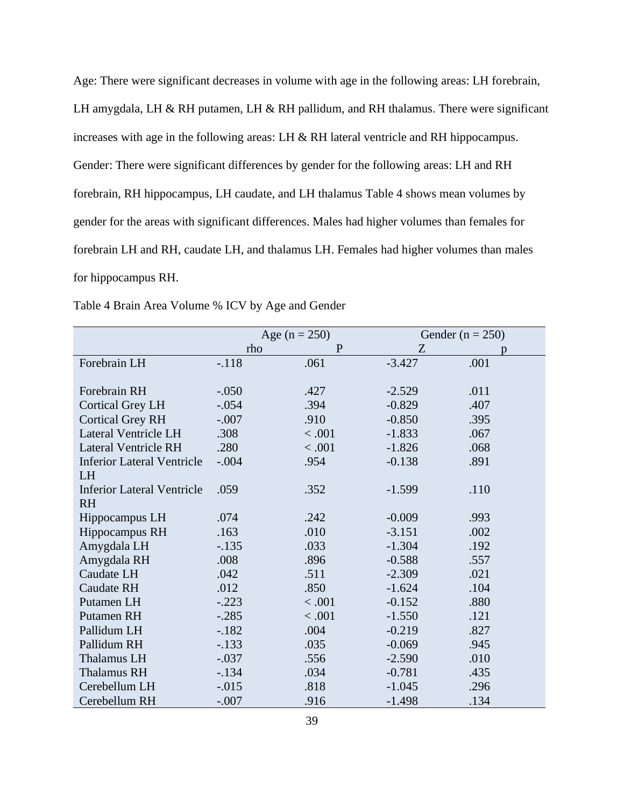Age: There were significant decreases in volume with age in the following areas: LH forebrain, LH amygdala, LH & RH putamen, LH & RH pallidum, and RH thalamus. There were significant increases with age in the following areas: LH & RH lateral ventricle and RH hippocampus. Gender: There were significant differences by gender for the following areas: LH and RH forebrain, RH hippocampus, LH caudate, and LH thalamus Table 4 shows mean volumes by gender for the areas with significant differences. Males had higher volumes than females for forebrain LH and RH, caudate LH, and thalamus LH. Females had higher volumes than males for hippocampus RH.

|                                   | Age $(n = 250)$ |              | Gender ( $n = 250$ ) |      |
|-----------------------------------|-----------------|--------------|----------------------|------|
|                                   | rho             | $\mathbf{P}$ | Z                    | D    |
| Forebrain LH                      | $-.118$         | .061         | $-3.427$             | .001 |
|                                   |                 |              |                      |      |
| Forebrain RH                      | $-.050$         | .427         | $-2.529$             | .011 |
| <b>Cortical Grey LH</b>           | $-.054$         | .394         | $-0.829$             | .407 |
| <b>Cortical Grey RH</b>           | $-.007$         | .910         | $-0.850$             | .395 |
| Lateral Ventricle LH              | .308            | < .001       | $-1.833$             | .067 |
| <b>Lateral Ventricle RH</b>       | .280            | < .001       | $-1.826$             | .068 |
| <b>Inferior Lateral Ventricle</b> | $-.004$         | .954         | $-0.138$             | .891 |
| LH                                |                 |              |                      |      |
| <b>Inferior Lateral Ventricle</b> | .059            | .352         | $-1.599$             | .110 |
| <b>RH</b>                         |                 |              |                      |      |
| Hippocampus LH                    | .074            | .242         | $-0.009$             | .993 |
| Hippocampus RH                    | .163            | .010         | $-3.151$             | .002 |
| Amygdala LH                       | $-.135$         | .033         | $-1.304$             | .192 |
| Amygdala RH                       | .008            | .896         | $-0.588$             | .557 |
| Caudate LH                        | .042            | .511         | $-2.309$             | .021 |
| Caudate RH                        | .012            | .850         | $-1.624$             | .104 |
| Putamen LH                        | $-.223$         | < .001       | $-0.152$             | .880 |
| <b>Putamen RH</b>                 | $-.285$         | < .001       | $-1.550$             | .121 |
| Pallidum LH                       | $-.182$         | .004         | $-0.219$             | .827 |
| Pallidum RH                       | $-.133$         | .035         | $-0.069$             | .945 |
| <b>Thalamus LH</b>                | $-.037$         | .556         | $-2.590$             | .010 |
| <b>Thalamus RH</b>                | $-134$          | .034         | $-0.781$             | .435 |
| Cerebellum LH                     | $-0.015$        | .818         | $-1.045$             | .296 |
| Cerebellum RH                     | $-.007$         | .916         | $-1.498$             | .134 |

Table 4 Brain Area Volume % ICV by Age and Gender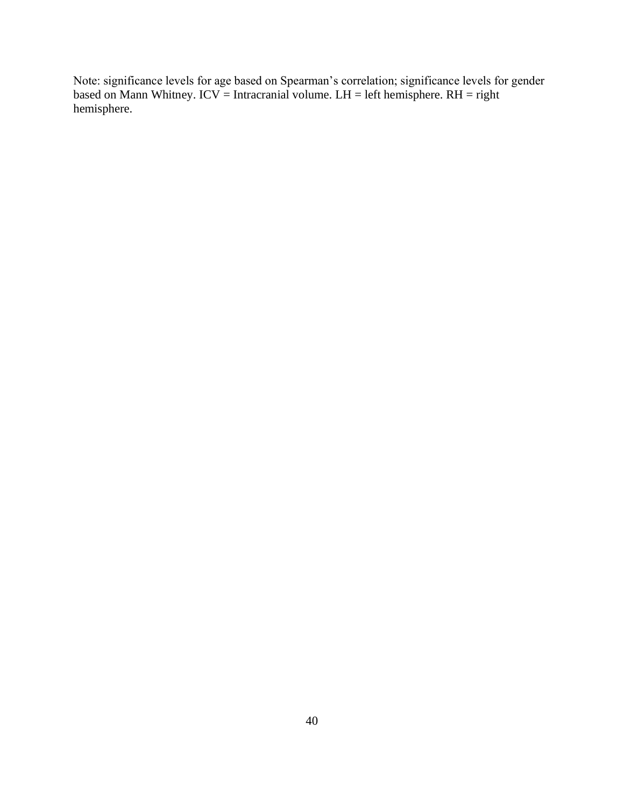Note: significance levels for age based on Spearman's correlation; significance levels for gender based on Mann Whitney. ICV = Intracranial volume.  $LH = left$  hemisphere.  $RH = right$ hemisphere.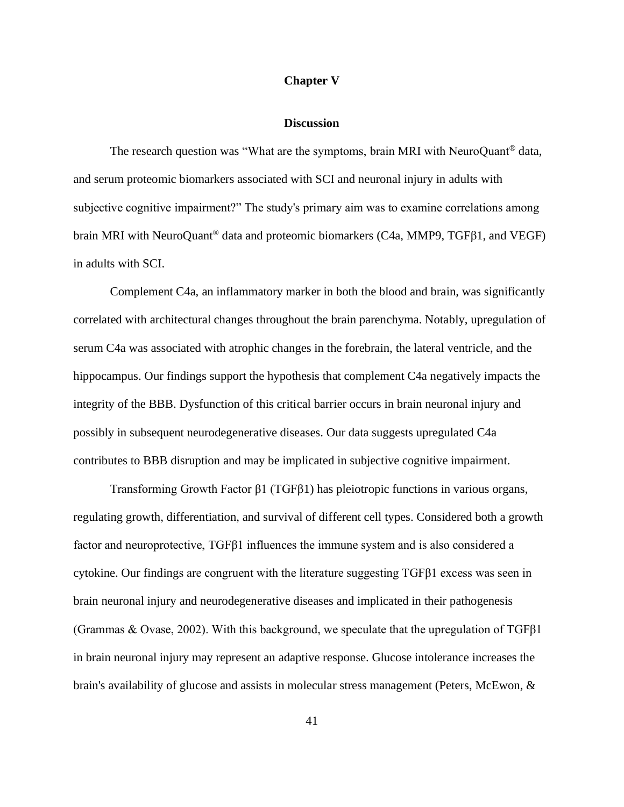### **Chapter V**

#### **Discussion**

The research question was "What are the symptoms, brain MRI with NeuroQuant<sup>®</sup> data, and serum proteomic biomarkers associated with SCI and neuronal injury in adults with subjective cognitive impairment?" The study's primary aim was to examine correlations among brain MRI with NeuroQuant® data and proteomic biomarkers (C4a, MMP9, TGFβ1, and VEGF) in adults with SCI.

Complement C4a, an inflammatory marker in both the blood and brain, was significantly correlated with architectural changes throughout the brain parenchyma. Notably, upregulation of serum C4a was associated with atrophic changes in the forebrain, the lateral ventricle, and the hippocampus. Our findings support the hypothesis that complement C4a negatively impacts the integrity of the BBB. Dysfunction of this critical barrier occurs in brain neuronal injury and possibly in subsequent neurodegenerative diseases. Our data suggests upregulated C4a contributes to BBB disruption and may be implicated in subjective cognitive impairment.

Transforming Growth Factor β1 (TGFβ1) has pleiotropic functions in various organs, regulating growth, differentiation, and survival of different cell types. Considered both a growth factor and neuroprotective, TGFβ1 influences the immune system and is also considered a cytokine. Our findings are congruent with the literature suggesting TGFβ1 excess was seen in brain neuronal injury and neurodegenerative diseases and implicated in their pathogenesis (Grammas & Ovase, 2002). With this background, we speculate that the upregulation of TGFβ1 in brain neuronal injury may represent an adaptive response. Glucose intolerance increases the brain's availability of glucose and assists in molecular stress management (Peters, McEwon, &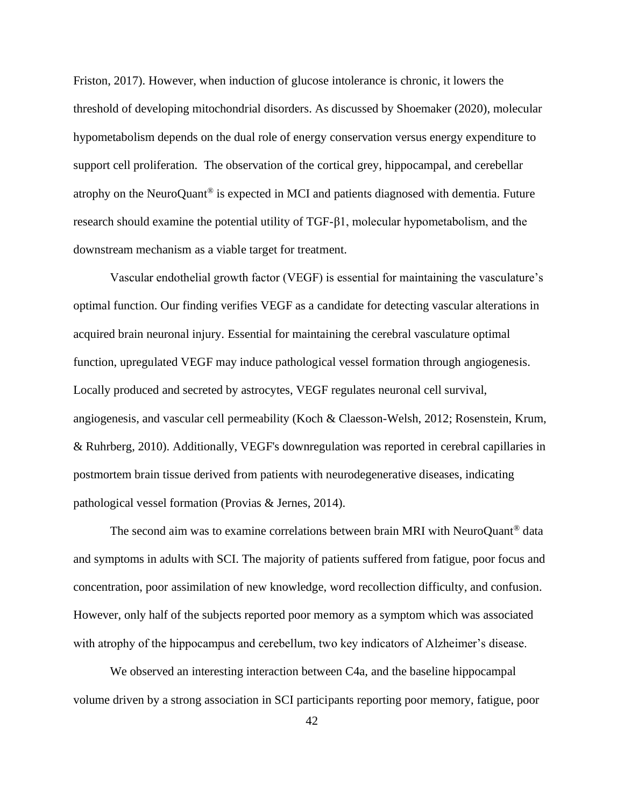Friston, 2017). However, when induction of glucose intolerance is chronic, it lowers the threshold of developing mitochondrial disorders. As discussed by Shoemaker (2020), molecular hypometabolism depends on the dual role of energy conservation versus energy expenditure to support cell proliferation. The observation of the cortical grey, hippocampal, and cerebellar atrophy on the NeuroQuant® is expected in MCI and patients diagnosed with dementia. Future research should examine the potential utility of TGF-β1, molecular hypometabolism, and the downstream mechanism as a viable target for treatment.

Vascular endothelial growth factor (VEGF) is essential for maintaining the vasculature's optimal function. Our finding verifies VEGF as a candidate for detecting vascular alterations in acquired brain neuronal injury. Essential for maintaining the cerebral vasculature optimal function, upregulated VEGF may induce pathological vessel formation through angiogenesis. Locally produced and secreted by astrocytes, VEGF regulates neuronal cell survival, angiogenesis, and vascular cell permeability (Koch & Claesson-Welsh, 2012; Rosenstein, Krum, & Ruhrberg, 2010). Additionally, VEGF's downregulation was reported in cerebral capillaries in postmortem brain tissue derived from patients with neurodegenerative diseases, indicating pathological vessel formation (Provias & Jernes, 2014).

The second aim was to examine correlations between brain MRI with NeuroQuant® data and symptoms in adults with SCI. The majority of patients suffered from fatigue, poor focus and concentration, poor assimilation of new knowledge, word recollection difficulty, and confusion. However, only half of the subjects reported poor memory as a symptom which was associated with atrophy of the hippocampus and cerebellum, two key indicators of Alzheimer's disease.

We observed an interesting interaction between C4a, and the baseline hippocampal volume driven by a strong association in SCI participants reporting poor memory, fatigue, poor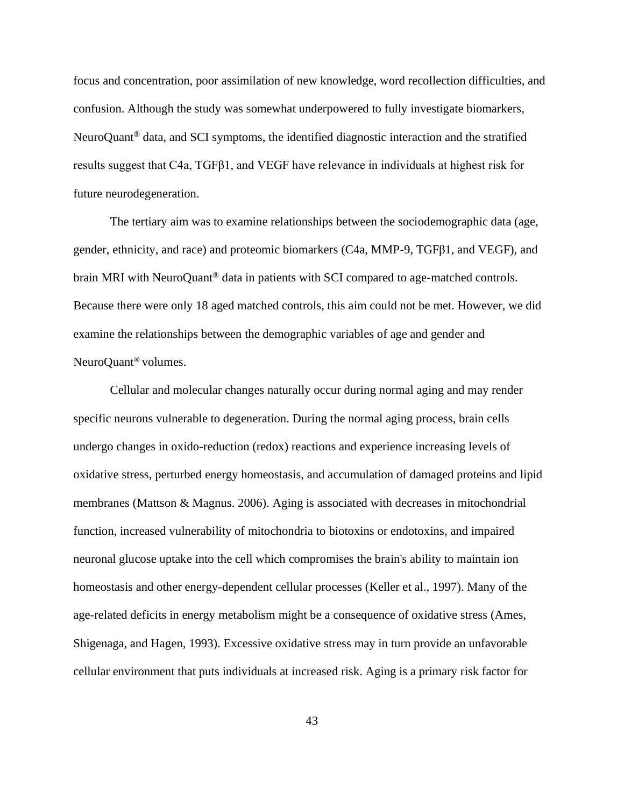focus and concentration, poor assimilation of new knowledge, word recollection difficulties, and confusion. Although the study was somewhat underpowered to fully investigate biomarkers, NeuroQuant® data, and SCI symptoms, the identified diagnostic interaction and the stratified results suggest that C4a, TGFβ1, and VEGF have relevance in individuals at highest risk for future neurodegeneration.

The tertiary aim was to examine relationships between the sociodemographic data (age, gender, ethnicity, and race) and proteomic biomarkers (C4a, MMP-9, TGFβ1, and VEGF), and brain MRI with NeuroQuant<sup>®</sup> data in patients with SCI compared to age-matched controls. Because there were only 18 aged matched controls, this aim could not be met. However, we did examine the relationships between the demographic variables of age and gender and NeuroQuant® volumes.

Cellular and molecular changes naturally occur during normal aging and may render specific neurons vulnerable to degeneration. During the normal aging process, brain cells undergo changes in oxido-reduction (redox) reactions and experience increasing levels of oxidative stress, perturbed energy homeostasis, and accumulation of damaged proteins and lipid membranes (Mattson & Magnus. 2006). Aging is associated with decreases in mitochondrial function, increased vulnerability of mitochondria to biotoxins or endotoxins, and impaired neuronal glucose uptake into the cell which compromises the brain's ability to maintain ion homeostasis and other energy-dependent cellular processes (Keller et al., 1997). Many of the age-related deficits in energy metabolism might be a consequence of oxidative stress (Ames, Shigenaga, and Hagen, 1993). Excessive oxidative stress may in turn provide an unfavorable cellular environment that puts individuals at increased risk. Aging is a primary risk factor for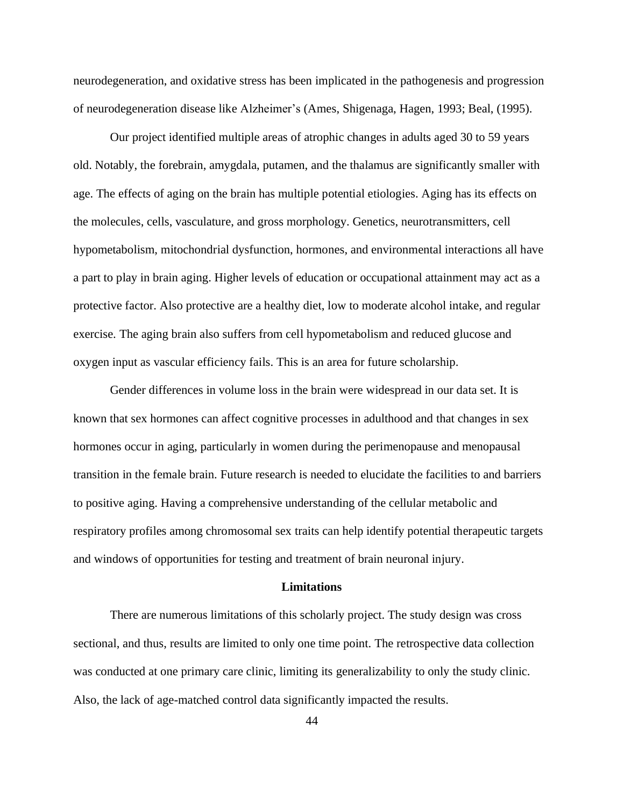neurodegeneration, and oxidative stress has been implicated in the pathogenesis and progression of neurodegeneration disease like Alzheimer's (Ames, Shigenaga, Hagen, 1993; Beal, (1995).

Our project identified multiple areas of atrophic changes in adults aged 30 to 59 years old. Notably, the forebrain, amygdala, putamen, and the thalamus are significantly smaller with age. The effects of aging on the brain has multiple potential etiologies. Aging has its effects on the molecules, cells, vasculature, and gross morphology. Genetics, neurotransmitters, cell hypometabolism, mitochondrial dysfunction, hormones, and environmental interactions all have a part to play in brain aging. Higher levels of education or occupational attainment may act as a protective factor. Also protective are a healthy diet, low to moderate alcohol intake, and regular exercise. The aging brain also suffers from cell hypometabolism and reduced glucose and oxygen input as vascular efficiency fails. This is an area for future scholarship.

Gender differences in volume loss in the brain were widespread in our data set. It is known that sex hormones can affect cognitive processes in adulthood and that changes in sex hormones occur in aging, particularly in women during the perimenopause and menopausal transition in the female brain. Future research is needed to elucidate the facilities to and barriers to positive aging. Having a comprehensive understanding of the cellular metabolic and respiratory profiles among chromosomal sex traits can help identify potential therapeutic targets and windows of opportunities for testing and treatment of brain neuronal injury.

#### **Limitations**

There are numerous limitations of this scholarly project. The study design was cross sectional, and thus, results are limited to only one time point. The retrospective data collection was conducted at one primary care clinic, limiting its generalizability to only the study clinic. Also, the lack of age-matched control data significantly impacted the results.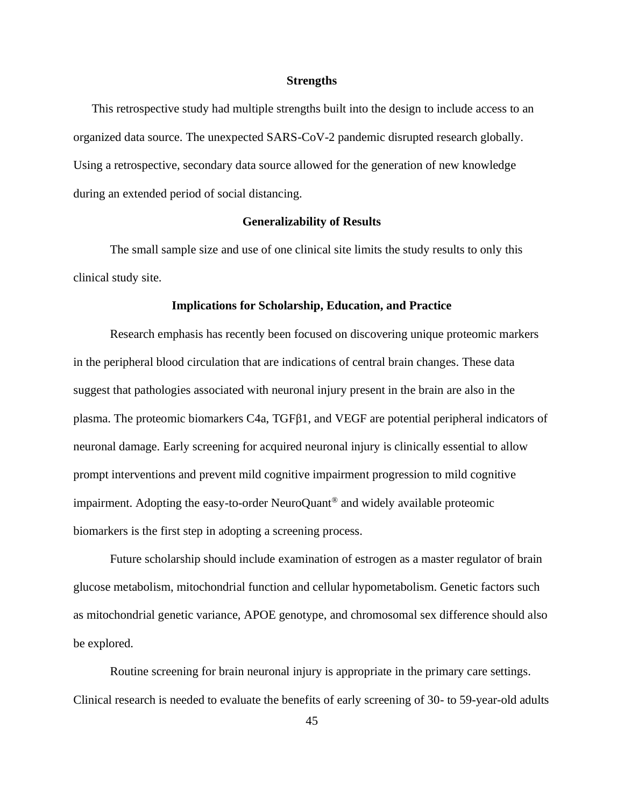#### **Strengths**

This retrospective study had multiple strengths built into the design to include access to an organized data source. The unexpected SARS-CoV-2 pandemic disrupted research globally. Using a retrospective, secondary data source allowed for the generation of new knowledge during an extended period of social distancing.

### **Generalizability of Results**

The small sample size and use of one clinical site limits the study results to only this clinical study site.

#### **Implications for Scholarship, Education, and Practice**

Research emphasis has recently been focused on discovering unique proteomic markers in the peripheral blood circulation that are indications of central brain changes. These data suggest that pathologies associated with neuronal injury present in the brain are also in the plasma. The proteomic biomarkers C4a, TGFβ1, and VEGF are potential peripheral indicators of neuronal damage. Early screening for acquired neuronal injury is clinically essential to allow prompt interventions and prevent mild cognitive impairment progression to mild cognitive impairment. Adopting the easy-to-order NeuroQuant® and widely available proteomic biomarkers is the first step in adopting a screening process.

Future scholarship should include examination of estrogen as a master regulator of brain glucose metabolism, mitochondrial function and cellular hypometabolism. Genetic factors such as mitochondrial genetic variance, APOE genotype, and chromosomal sex difference should also be explored.

Routine screening for brain neuronal injury is appropriate in the primary care settings. Clinical research is needed to evaluate the benefits of early screening of 30- to 59-year-old adults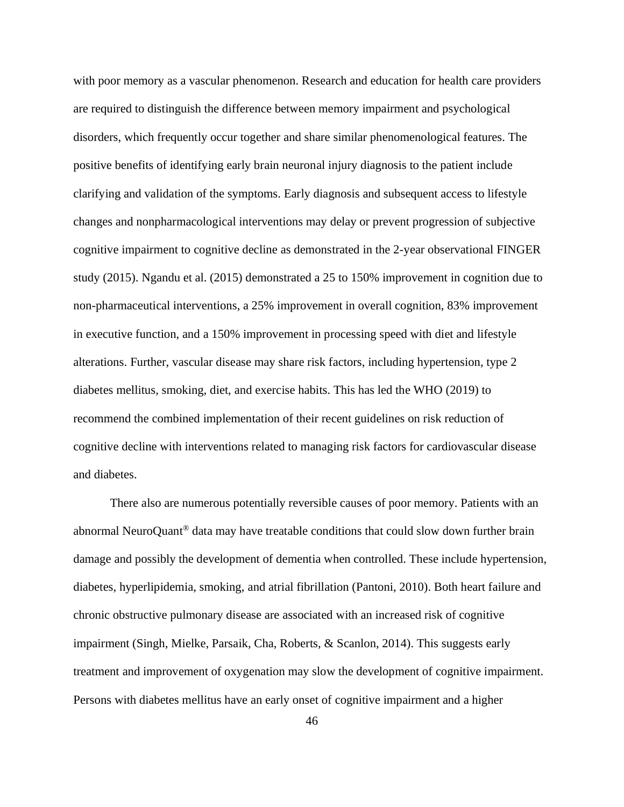with poor memory as a vascular phenomenon. Research and education for health care providers are required to distinguish the difference between memory impairment and psychological disorders, which frequently occur together and share similar phenomenological features. The positive benefits of identifying early brain neuronal injury diagnosis to the patient include clarifying and validation of the symptoms. Early diagnosis and subsequent access to lifestyle changes and nonpharmacological interventions may delay or prevent progression of subjective cognitive impairment to cognitive decline as demonstrated in the 2-year observational FINGER study (2015). Ngandu et al. (2015) demonstrated a 25 to 150% improvement in cognition due to non-pharmaceutical interventions, a 25% improvement in overall cognition, 83% improvement in executive function, and a 150% improvement in processing speed with diet and lifestyle alterations. Further, vascular disease may share risk factors, including hypertension, type 2 diabetes mellitus, smoking, diet, and exercise habits. This has led the WHO (2019) to recommend the combined implementation of their recent guidelines on risk reduction of cognitive decline with interventions related to managing risk factors for cardiovascular disease and diabetes.

There also are numerous potentially reversible causes of poor memory. Patients with an abnormal NeuroQuant® data may have treatable conditions that could slow down further brain damage and possibly the development of dementia when controlled. These include hypertension, diabetes, hyperlipidemia, smoking, and atrial fibrillation (Pantoni, 2010). Both heart failure and chronic obstructive pulmonary disease are associated with an increased risk of cognitive impairment (Singh, Mielke, Parsaik, Cha, Roberts, & Scanlon, 2014). This suggests early treatment and improvement of oxygenation may slow the development of cognitive impairment. Persons with diabetes mellitus have an early onset of cognitive impairment and a higher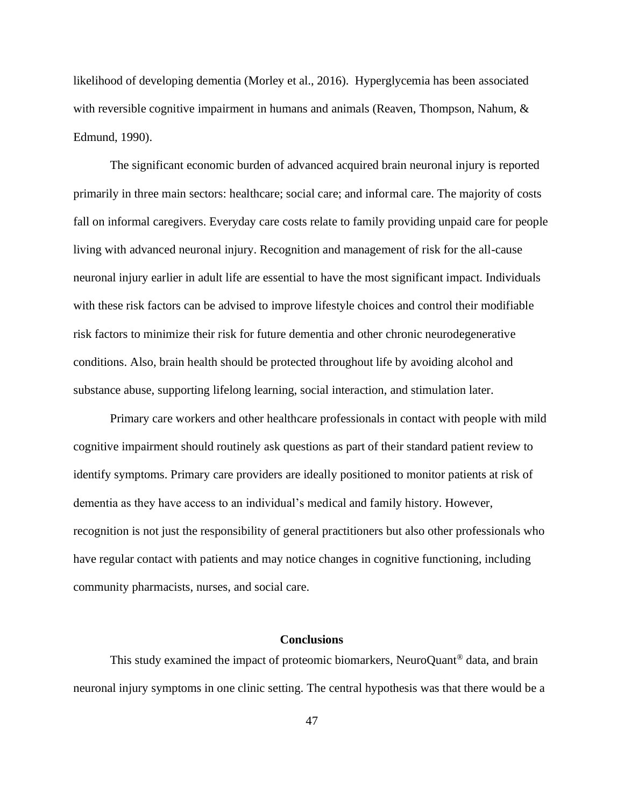likelihood of developing dementia (Morley et al., 2016). Hyperglycemia has been associated with reversible cognitive impairment in humans and animals (Reaven, Thompson, Nahum, & Edmund, 1990).

The significant economic burden of advanced acquired brain neuronal injury is reported primarily in three main sectors: healthcare; social care; and informal care. The majority of costs fall on informal caregivers. Everyday care costs relate to family providing unpaid care for people living with advanced neuronal injury. Recognition and management of risk for the all-cause neuronal injury earlier in adult life are essential to have the most significant impact. Individuals with these risk factors can be advised to improve lifestyle choices and control their modifiable risk factors to minimize their risk for future dementia and other chronic neurodegenerative conditions. Also, brain health should be protected throughout life by avoiding alcohol and substance abuse, supporting lifelong learning, social interaction, and stimulation later.

Primary care workers and other healthcare professionals in contact with people with mild cognitive impairment should routinely ask questions as part of their standard patient review to identify symptoms. Primary care providers are ideally positioned to monitor patients at risk of dementia as they have access to an individual's medical and family history. However, recognition is not just the responsibility of general practitioners but also other professionals who have regular contact with patients and may notice changes in cognitive functioning, including community pharmacists, nurses, and social care.

## **Conclusions**

This study examined the impact of proteomic biomarkers, NeuroQuant® data, and brain neuronal injury symptoms in one clinic setting. The central hypothesis was that there would be a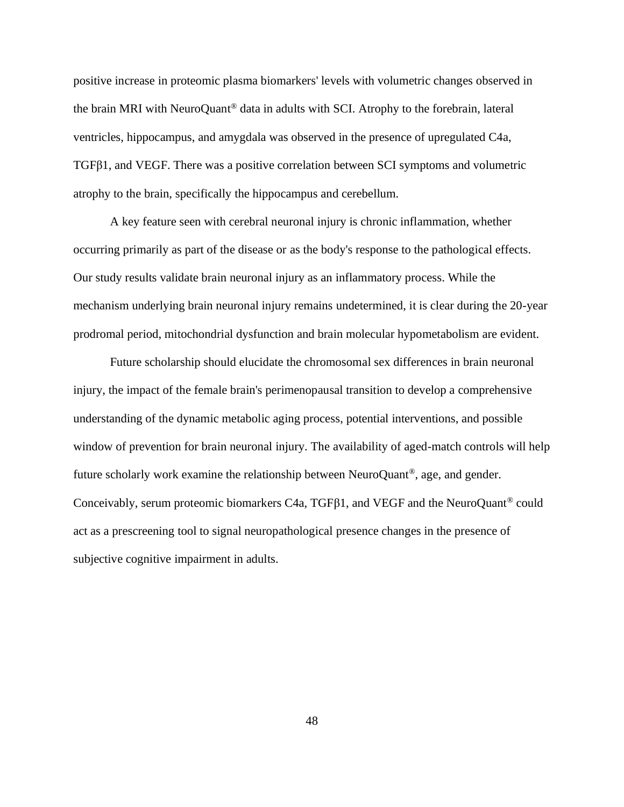positive increase in proteomic plasma biomarkers' levels with volumetric changes observed in the brain MRI with NeuroQuant® data in adults with SCI. Atrophy to the forebrain, lateral ventricles, hippocampus, and amygdala was observed in the presence of upregulated C4a, TGFβ1, and VEGF. There was a positive correlation between SCI symptoms and volumetric atrophy to the brain, specifically the hippocampus and cerebellum.

A key feature seen with cerebral neuronal injury is chronic inflammation, whether occurring primarily as part of the disease or as the body's response to the pathological effects. Our study results validate brain neuronal injury as an inflammatory process. While the mechanism underlying brain neuronal injury remains undetermined, it is clear during the 20-year prodromal period, mitochondrial dysfunction and brain molecular hypometabolism are evident.

Future scholarship should elucidate the chromosomal sex differences in brain neuronal injury, the impact of the female brain's perimenopausal transition to develop a comprehensive understanding of the dynamic metabolic aging process, potential interventions, and possible window of prevention for brain neuronal injury. The availability of aged-match controls will help future scholarly work examine the relationship between NeuroQuant®, age, and gender. Conceivably, serum proteomic biomarkers C4a, TGFβ1, and VEGF and the NeuroQuant® could act as a prescreening tool to signal neuropathological presence changes in the presence of subjective cognitive impairment in adults.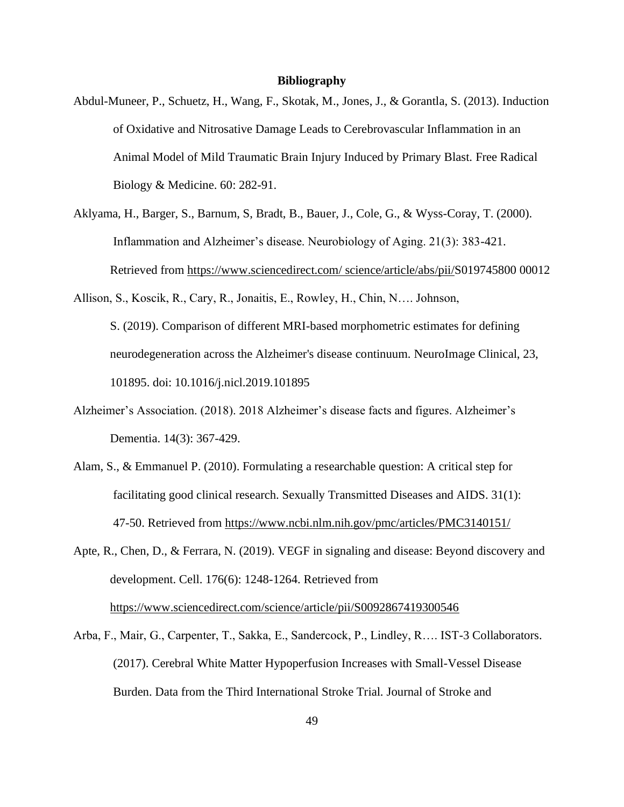### **Bibliography**

- Abdul-Muneer, P., Schuetz, H., Wang, F., Skotak, M., Jones, J., & Gorantla, S. (2013). Induction of Oxidative and Nitrosative Damage Leads to Cerebrovascular Inflammation in an Animal Model of Mild Traumatic Brain Injury Induced by Primary Blast. Free Radical Biology & Medicine. 60: 282-91.
- Aklyama, H., Barger, S., Barnum, S, Bradt, B., Bauer, J., Cole, G., & Wyss-Coray, T. (2000). Inflammation and Alzheimer's disease. Neurobiology of Aging. 21(3): 383-421. Retrieved from [https://www.sciencedirect.com/ science/article/abs/pii/S](https://www.sciencedirect.com/science/article/abs/pii/)019745800 00012
- Allison, S., Koscik, R., Cary, R., Jonaitis, E., Rowley, H., Chin, N…. Johnson, S. (2019). Comparison of different MRI-based morphometric estimates for defining neurodegeneration across the Alzheimer's disease continuum. NeuroImage Clinical, 23, 101895. doi: 10.1016/j.nicl.2019.101895
- Alzheimer's Association. (2018). 2018 Alzheimer's disease facts and figures. Alzheimer's Dementia. 14(3): 367-429.
- Alam, S., & Emmanuel P. (2010). Formulating a researchable question: A critical step for facilitating good clinical research. Sexually Transmitted Diseases and AIDS. 31(1): 47-50. Retrieved from<https://www.ncbi.nlm.nih.gov/pmc/articles/PMC3140151/>
- Apte, R., Chen, D., & Ferrara, N. (2019). VEGF in signaling and disease: Beyond discovery and development. Cell. 176(6): 1248-1264. Retrieved from <https://www.sciencedirect.com/science/article/pii/S0092867419300546>
- Arba, F., Mair, G., Carpenter, T., Sakka, E., Sandercock, P., Lindley, R…. IST-3 Collaborators. (2017). Cerebral White Matter Hypoperfusion Increases with Small-Vessel Disease Burden. Data from the Third International Stroke Trial. Journal of Stroke and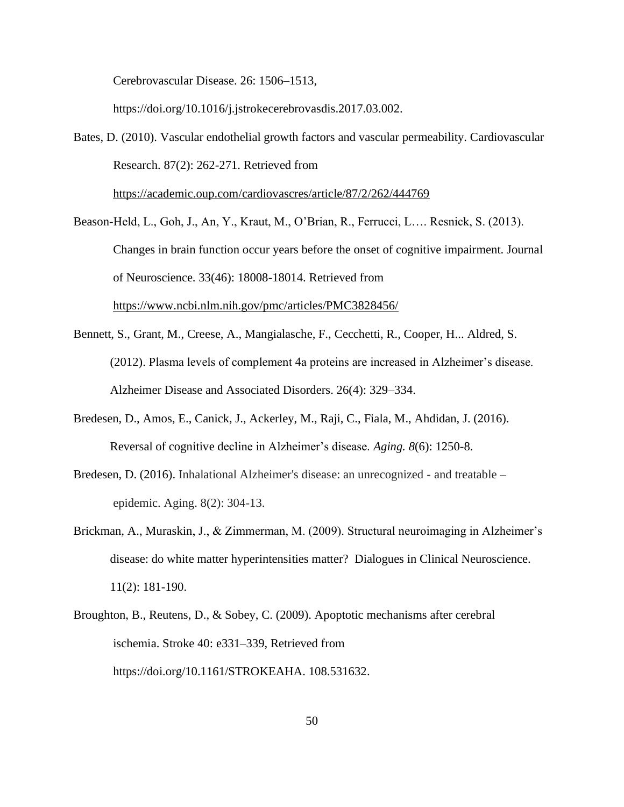Cerebrovascular Disease. 26: 1506–1513,

<https://doi.org/10.1016/j.jstrokecerebrovasdis.2017.03.002>.

Bates, D. (2010). Vascular endothelial growth factors and vascular permeability. Cardiovascular Research. 87(2): 262-271. Retrieved from

<https://academic.oup.com/cardiovascres/article/87/2/262/444769>

Beason-Held, L., Goh, J., An, Y., Kraut, M., O'Brian, R., Ferrucci, L…. Resnick, S. (2013). Changes in brain function occur years before the onset of cognitive impairment. Journal of Neuroscience. 33(46): 18008-18014. Retrieved from <https://www.ncbi.nlm.nih.gov/pmc/articles/PMC3828456/>

- Bennett, S., Grant, M., Creese, A., Mangialasche, F., Cecchetti, R., Cooper, H... Aldred, S. (2012). Plasma levels of complement 4a proteins are increased in Alzheimer's disease. Alzheimer Disease and Associated Disorders. 26(4): 329–334.
- Bredesen, D., Amos, E., Canick, J., Ackerley, M., Raji, C., Fiala, M., Ahdidan, J. (2016). Reversal of cognitive decline in Alzheimer's disease. *Aging. 8*(6): 1250-8.
- Bredesen, D. (2016). Inhalational Alzheimer's disease: an unrecognized and treatable epidemic. Aging. 8(2): 304-13.
- Brickman, A., Muraskin, J., & Zimmerman, M. (2009). Structural neuroimaging in Alzheimer's disease: do white matter hyperintensities matter? Dialogues in Clinical Neuroscience. 11(2): 181-190.
- Broughton, B., Reutens, D., & Sobey, C. (2009). Apoptotic mechanisms after cerebral ischemia. Stroke 40: e331–339, Retrieved from [https://doi.org/10.1161/STROKEAHA. 108.531632.](https://doi.org/10.1161/STROKEAHA.108.531632)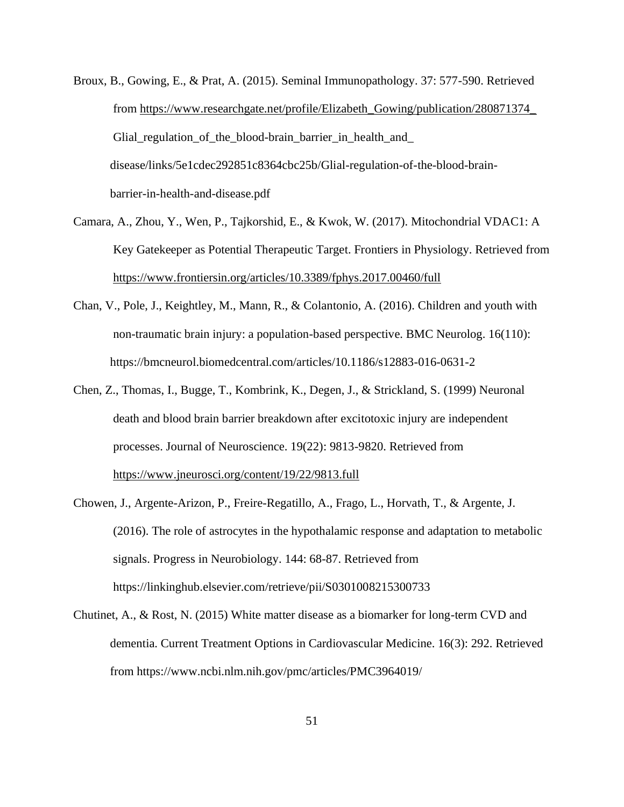- Broux, B., Gowing, E., & Prat, A. (2015). Seminal Immunopathology. 37: 577-590. Retrieved from [https://www.researchgate.net/profile/Elizabeth\\_Gowing/publication/280871374\\_](https://www.researchgate.net/profile/Elizabeth_Gowing/publication/280871374_) Glial\_regulation\_of\_the\_blood-brain\_barrier\_in\_health\_and\_ disease/links/5e1cdec292851c8364cbc25b/Glial-regulation-of-the-blood-brainbarrier-in-health-and-disease.pdf
- Camara, A., Zhou, Y., Wen, P., Tajkorshid, E., & Kwok, W. (2017). Mitochondrial VDAC1: A Key Gatekeeper as Potential Therapeutic Target. Frontiers in Physiology. Retrieved from <https://www.frontiersin.org/articles/10.3389/fphys.2017.00460/full>
- Chan, V., Pole, J., Keightley, M., Mann, R., & Colantonio, A. (2016). Children and youth with non-traumatic brain injury: a population-based perspective. BMC Neurolog. 16(110): https://bmcneurol.biomedcentral.com/articles/10.1186/s12883-016-0631-2
- Chen, Z., Thomas, I., Bugge, T., Kombrink, K., Degen, J., & Strickland, S. (1999) Neuronal death and blood brain barrier breakdown after excitotoxic injury are independent processes. Journal of Neuroscience. 19(22): 9813-9820. Retrieved from <https://www.jneurosci.org/content/19/22/9813.full>
- Chowen, J., Argente-Arizon, P., Freire-Regatillo, A., Frago, L., Horvath, T., & Argente, J. (2016). The role of astrocytes in the hypothalamic response and adaptation to metabolic signals. Progress in Neurobiology. 144: 68-87. Retrieved from https://linkinghub.elsevier.com/retrieve/pii/S0301008215300733
- Chutinet, A., & Rost, N. (2015) White matter disease as a biomarker for long-term CVD and dementia. Current Treatment Options in Cardiovascular Medicine. 16(3): 292. Retrieved from https://www.ncbi.nlm.nih.gov/pmc/articles/PMC3964019/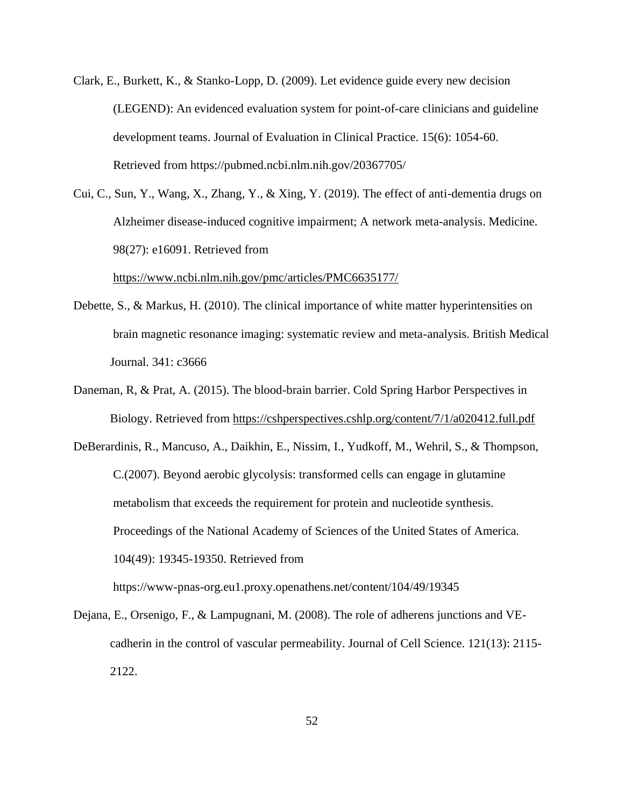- Clark, E., Burkett, K., & Stanko-Lopp, D. (2009). Let evidence guide every new decision (LEGEND): An evidenced evaluation system for point-of-care clinicians and guideline development teams. Journal of Evaluation in Clinical Practice. 15(6): 1054-60. Retrieved from https://pubmed.ncbi.nlm.nih.gov/20367705/
- Cui, C., Sun, Y., Wang, X., Zhang, Y., & Xing, Y. (2019). The effect of anti-dementia drugs on Alzheimer disease-induced cognitive impairment; A network meta-analysis. Medicine. 98(27): e16091. Retrieved from

<https://www.ncbi.nlm.nih.gov/pmc/articles/PMC6635177/>

- Debette, S., & Markus, H. (2010). The clinical importance of white matter hyperintensities on brain magnetic resonance imaging: systematic review and meta-analysis. British Medical Journal. 341: c3666
- Daneman, R, & Prat, A. (2015). The blood-brain barrier. Cold Spring Harbor Perspectives in Biology. Retrieved from<https://cshperspectives.cshlp.org/content/7/1/a020412.full.pdf>
- DeBerardinis, R., Mancuso, A., Daikhin, E., Nissim, I., Yudkoff, M., Wehril, S., & Thompson, C.(2007). Beyond aerobic glycolysis: transformed cells can engage in glutamine metabolism that exceeds the requirement for protein and nucleotide synthesis. Proceedings of the National Academy of Sciences of the United States of America. 104(49): 19345-19350. Retrieved from

https://www-pnas-org.eu1.proxy.openathens.net/content/104/49/19345

Dejana, E., Orsenigo, F., & Lampugnani, M. (2008). The role of adherens junctions and VEcadherin in the control of vascular permeability. Journal of Cell Science. 121(13): 2115- 2122.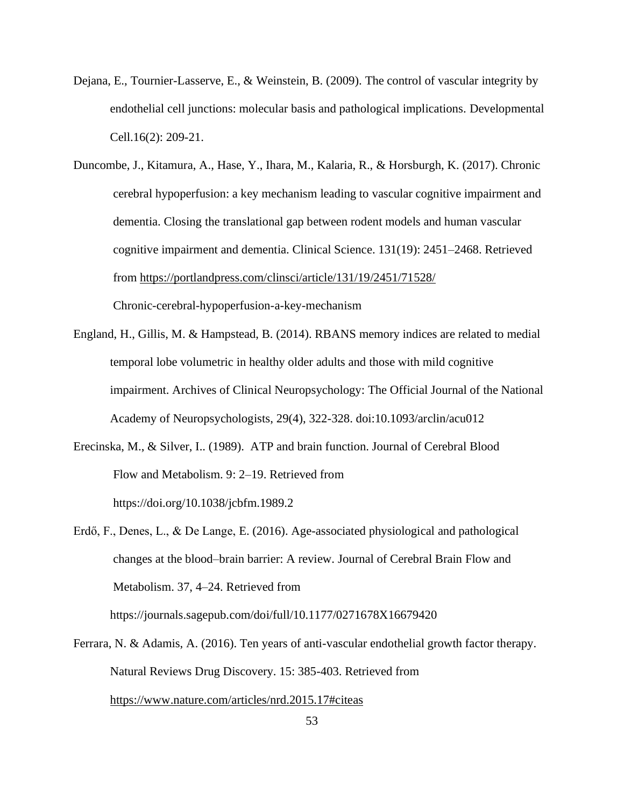- Dejana, E., Tournier-Lasserve, E., & Weinstein, B. (2009). The control of vascular integrity by endothelial cell junctions: molecular basis and pathological implications. Developmental Cell.16(2): 209-21.
- Duncombe, J., Kitamura, A., Hase, Y., Ihara, M., Kalaria, R., & Horsburgh, K. (2017). Chronic cerebral hypoperfusion: a key mechanism leading to vascular cognitive impairment and dementia. Closing the translational gap between rodent models and human vascular cognitive impairment and dementia. Clinical Science. 131(19): 2451–2468. Retrieved from<https://portlandpress.com/clinsci/article/131/19/2451/71528/> Chronic-cerebral-hypoperfusion-a-key-mechanism
- England, H., Gillis, M. & Hampstead, B. (2014). RBANS memory indices are related to medial temporal lobe volumetric in healthy older adults and those with mild cognitive impairment. Archives of Clinical Neuropsychology: The Official Journal of the National Academy of Neuropsychologists, 29(4), 322-328. doi:10.1093/arclin/acu012
- Erecinska, M., & Silver, I.. (1989). ATP and brain function. Journal of Cerebral Blood Flow and Metabolism. 9: 2–19. Retrieved from <https://doi.org/10.1038/jcbfm.1989.2>
- Erdő, F., Denes, L., & De Lange, E. (2016). Age-associated physiological and pathological changes at the blood–brain barrier: A review. Journal of Cerebral Brain Flow and Metabolism. 37, 4–24. Retrieved from https://journals.sagepub.com/doi/full/10.1177/0271678X16679420
- Ferrara, N. & Adamis, A. (2016). Ten years of anti-vascular endothelial growth factor therapy. Natural Reviews Drug Discovery. 15: 385-403. Retrieved from <https://www.nature.com/articles/nrd.2015.17#citeas>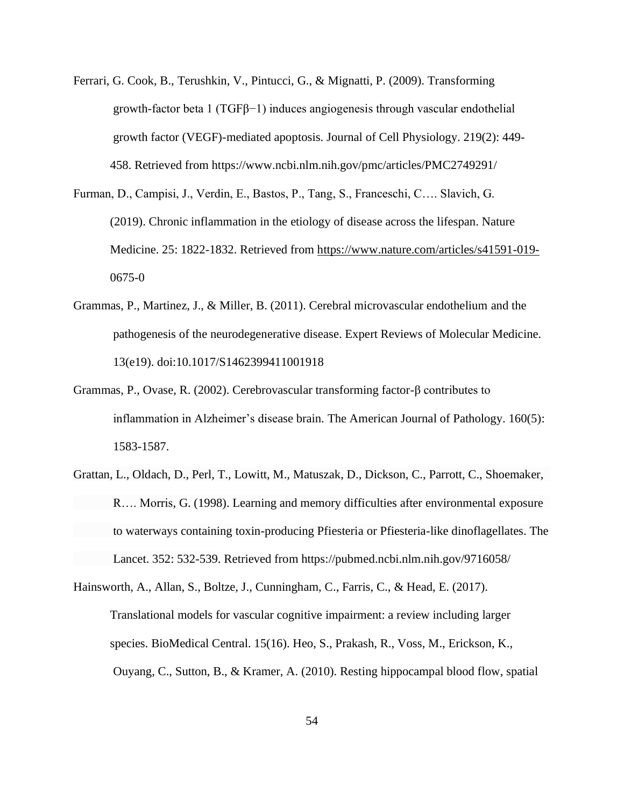- Ferrari, G. Cook, B., Terushkin, V., Pintucci, G., & Mignatti, P. (2009). Transforming growth-factor beta 1 (TGF $\beta$ -1) induces angiogenesis through vascular endothelial growth factor (VEGF)-mediated apoptosis. Journal of Cell Physiology. 219(2): 449- 458. Retrieved from https://www.ncbi.nlm.nih.gov/pmc/articles/PMC2749291/
- Furman, D., Campisi, J., Verdin, E., Bastos, P., Tang, S., Franceschi, C…. Slavich, G. (2019). Chronic inflammation in the etiology of disease across the lifespan. Nature Medicine. 25: 1822-1832. Retrieved from<https://www.nature.com/articles/s41591-019-> 0675-0
- Grammas, P., Martinez, J., & Miller, B. (2011). Cerebral microvascular endothelium and the pathogenesis of the neurodegenerative disease. Expert Reviews of Molecular Medicine. 13(e19). doi:10.1017/S1462399411001918
- Grammas, P., Ovase, R. (2002). Cerebrovascular transforming factor-β contributes to inflammation in Alzheimer's disease brain. The American Journal of Pathology. 160(5): 1583-1587.
- [Grattan, L., Oldach, D., Perl, T., Lowitt, M., Matuszak, D., Dickson, C., Parrott, C., Shoemaker,](https://www.survivingmold.com/docs/Learning_and_Memory.PDF) [R…. Morris, G. \(1998\). Learning and memory difficulties after environmental exposure](https://www.survivingmold.com/docs/Learning_and_Memory.PDF) [to waterways containing toxin-producing Pfiesteria or Pfiesteria-like dinoflagellates. The](https://www.survivingmold.com/docs/Learning_and_Memory.PDF) [Lancet. 352: 532-539.](https://www.survivingmold.com/docs/Learning_and_Memory.PDF) Retrieved from https://pubmed.ncbi.nlm.nih.gov/9716058/

Hainsworth, A., Allan, S., Boltze, J., Cunningham, C., Farris, C., & Head, E. (2017). Translational models for vascular cognitive impairment: a review including larger species. BioMedical Central. 15(16). Heo, S., Prakash, R., Voss, M., Erickson, K., Ouyang, C., Sutton, B., & Kramer, A. (2010). Resting hippocampal blood flow, spatial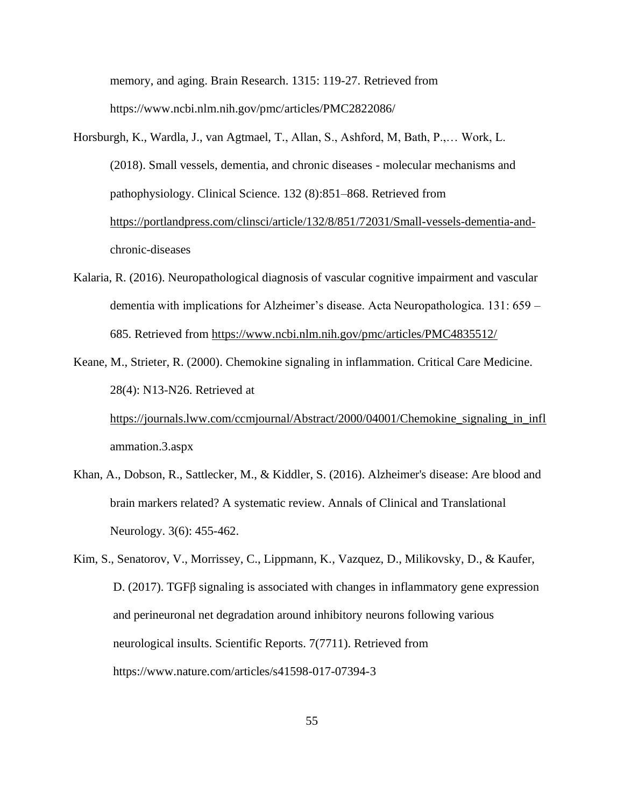memory, and aging. Brain Research. 1315: 119-27. Retrieved from https://www.ncbi.nlm.nih.gov/pmc/articles/PMC2822086/

- Horsburgh, K., Wardla, J., van Agtmael, T., Allan, S., Ashford, M, Bath, P.,… Work, L. (2018). Small vessels, dementia, and chronic diseases - molecular mechanisms and pathophysiology. Clinical Science. 132 (8):851–868. Retrieved from [https://portlandpress.com/clinsci/article/132/8/851/72031/Small-vessels-dementia-and](https://portlandpress.com/clinsci/article/132/8/851/72031/Small-vessels-dementia-and-)chronic-diseases
- Kalaria, R. (2016). Neuropathological diagnosis of vascular cognitive impairment and vascular dementia with implications for Alzheimer's disease. Acta Neuropathologica. 131: 659 – 685. Retrieved from<https://www.ncbi.nlm.nih.gov/pmc/articles/PMC4835512/>
- Keane, M., Strieter, R. (2000). Chemokine signaling in inflammation. Critical Care Medicine. 28(4): N13-N26. Retrieved at [https://journals.lww.com/ccmjournal/Abstract/2000/04001/Chemokine\\_signaling\\_in\\_infl](https://journals.lww.com/ccmjournal/Abstract/2000/04001/Chemokine_signaling_in_infl)

ammation.3.aspx

- Khan, A., Dobson, R., Sattlecker, M., & Kiddler, S. (2016). Alzheimer's disease: Are blood and brain markers related? A systematic review. Annals of Clinical and Translational Neurology. 3(6): 455-462.
- Kim, S., Senatorov, V., Morrissey, C., Lippmann, K., Vazquez, D., Milikovsky, D., & Kaufer, D. (2017). TGFβ signaling is associated with changes in inflammatory gene expression and perineuronal net degradation around inhibitory neurons following various neurological insults. Scientific Reports. 7(7711). Retrieved from https://www.nature.com/articles/s41598-017-07394-3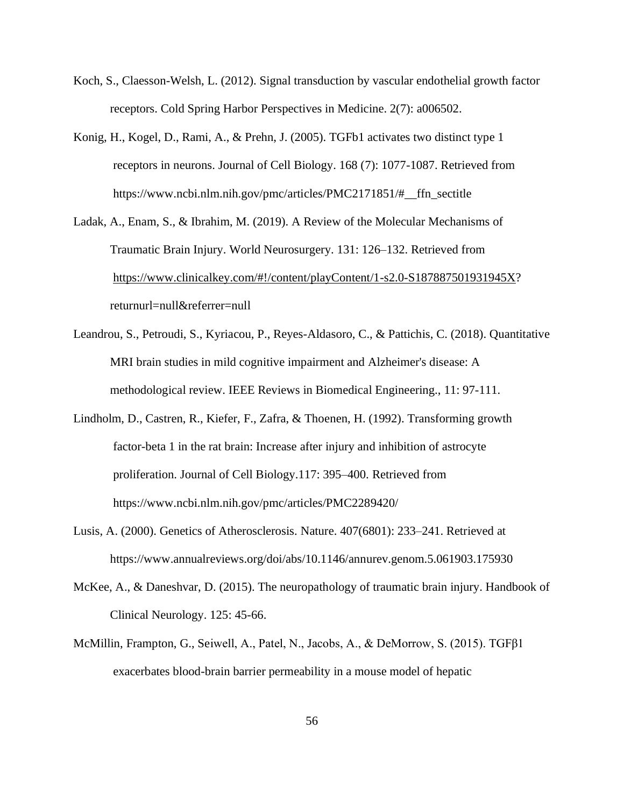- Koch, S., Claesson-Welsh, L. (2012). Signal transduction by vascular endothelial growth factor receptors. Cold Spring Harbor Perspectives in Medicine. 2(7): a006502.
- Konig, H., Kogel, D., Rami, A., & Prehn, J. (2005). TGFb1 activates two distinct type 1 receptors in neurons. Journal of Cell Biology. 168 (7): 1077-1087. Retrieved from https://www.ncbi.nlm.nih.gov/pmc/articles/PMC2171851/#\_\_ffn\_sectitle
- Ladak, A., Enam, S., & Ibrahim, M. (2019). A Review of the Molecular Mechanisms of Traumatic Brain Injury. World Neurosurgery. 131: 126–132. Retrieved from [https://www.clinicalkey.com/#!/content/playContent/1-s2.0-S187887501931945X?](https://www.clinicalkey.com/#!/content/playContent/1-s2.0-S187887501931945X) returnurl=null&referrer=null
- Leandrou, S., Petroudi, S., Kyriacou, P., Reyes-Aldasoro, C., & Pattichis, C. (2018). Quantitative MRI brain studies in mild cognitive impairment and Alzheimer's disease: A methodological review. IEEE Reviews in Biomedical Engineering., 11: 97-111.
- Lindholm, D., Castren, R., Kiefer, F., Zafra, & Thoenen, H. (1992). Transforming growth factor-beta 1 in the rat brain: Increase after injury and inhibition of astrocyte proliferation. Journal of Cell Biology.117: 395–400. Retrieved from https://www.ncbi.nlm.nih.gov/pmc/articles/PMC2289420/
- Lusis, A. (2000). Genetics of Atherosclerosis. Nature. 407(6801): 233–241. Retrieved at https://www.annualreviews.org/doi/abs/10.1146/annurev.genom.5.061903.175930
- McKee, A., & Daneshvar, D. (2015). The neuropathology of traumatic brain injury. Handbook of Clinical Neurology. 125: 45-66.
- McMillin, Frampton, G., Seiwell, A., Patel, N., Jacobs, A., & DeMorrow, S. (2015). ΤGFβ1 exacerbates blood-brain barrier permeability in a mouse model of hepatic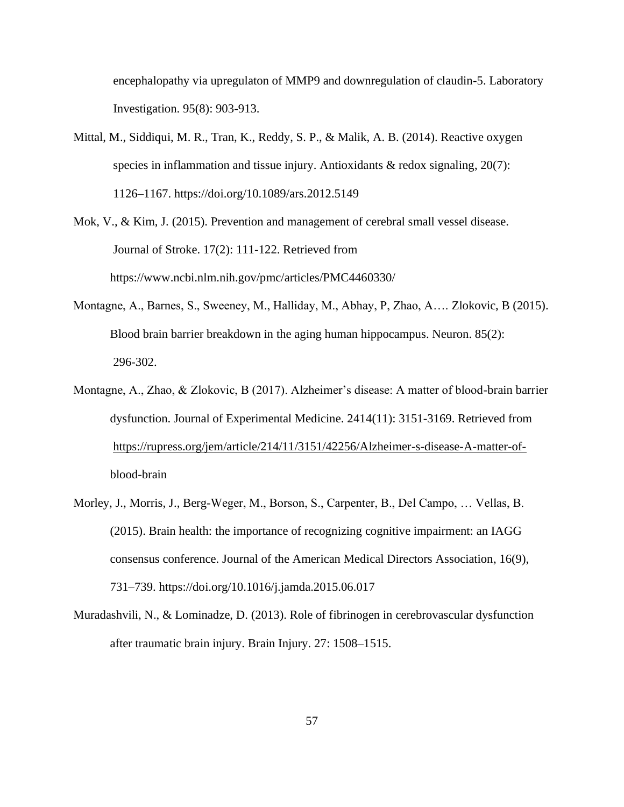encephalopathy via upregulaton of MMP9 and downregulation of claudin-5. Laboratory Investigation. 95(8): 903-913.

- Mittal, M., Siddiqui, M. R., Tran, K., Reddy, S. P., & Malik, A. B. (2014). Reactive oxygen species in inflammation and tissue injury. Antioxidants & redox signaling, 20(7): 1126–1167. https://doi.org/10.1089/ars.2012.5149
- Mok, V., & Kim, J. (2015). Prevention and management of cerebral small vessel disease. Journal of Stroke. 17(2): 111-122. Retrieved from https://www.ncbi.nlm.nih.gov/pmc/articles/PMC4460330/
- Montagne, A., Barnes, S., Sweeney, M., Halliday, M., Abhay, P, Zhao, A…. Zlokovic, B (2015). Blood brain barrier breakdown in the aging human hippocampus. Neuron. 85(2): 296-302.
- Montagne, A., Zhao, & Zlokovic, B (2017). Alzheimer's disease: A matter of blood-brain barrier dysfunction. Journal of Experimental Medicine. 2414(11): 3151-3169. Retrieved from [https://rupress.org/jem/article/214/11/3151/42256/Alzheimer-s-disease-A-matter-of](https://rupress.org/jem/article/214/11/3151/42256/Alzheimer-s-disease-A-matter-of-)blood-brain
- Morley, J., Morris, J., Berg-Weger, M., Borson, S., Carpenter, B., Del Campo, … Vellas, B. (2015). Brain health: the importance of recognizing cognitive impairment: an IAGG consensus conference. Journal of the American Medical Directors Association, 16(9), 731–739. https://doi.org/10.1016/j.jamda.2015.06.017
- Muradashvili, N., & Lominadze, D. (2013). Role of fibrinogen in cerebrovascular dysfunction after traumatic brain injury. Brain Injury. 27: 1508–1515.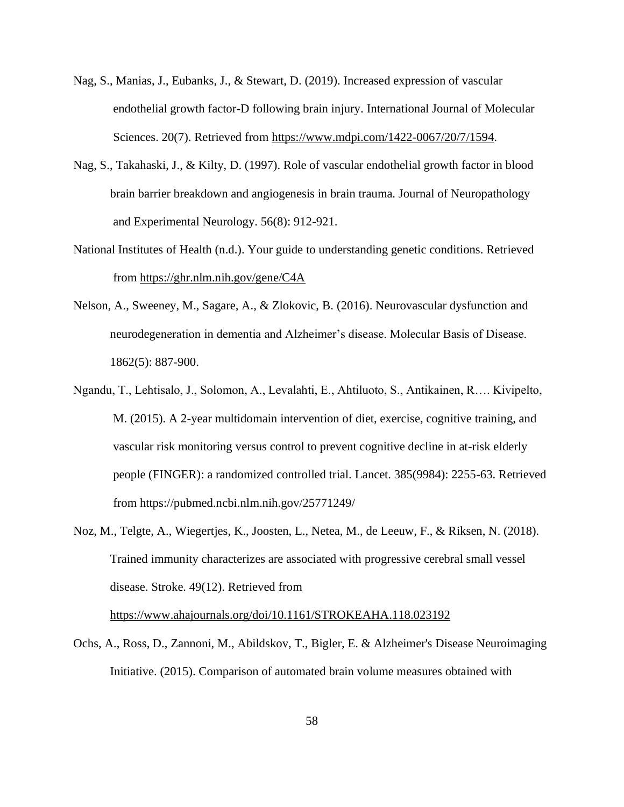- Nag, S., Manias, J., Eubanks, J., & Stewart, D. (2019). Increased expression of vascular endothelial growth factor-D following brain injury. International Journal of Molecular Sciences. 20(7). Retrieved from [https://www.mdpi.com/1422-0067/20/7/1594.](https://www.mdpi.com/1422-0067/20/7/1594)
- Nag, S., Takahaski, J., & Kilty, D. (1997). Role of vascular endothelial growth factor in blood brain barrier breakdown and angiogenesis in brain trauma. Journal of Neuropathology and Experimental Neurology. 56(8): 912-921.
- National Institutes of Health (n.d.). Your guide to understanding genetic conditions. Retrieved from<https://ghr.nlm.nih.gov/gene/C4A>
- Nelson, A., Sweeney, M., Sagare, A., & Zlokovic, B. (2016). Neurovascular dysfunction and neurodegeneration in dementia and Alzheimer's disease. Molecular Basis of Disease. 1862(5): 887-900.
- Ngandu, T., Lehtisalo, J., Solomon, A., Levalahti, E., Ahtiluoto, S., Antikainen, R…. Kivipelto, M. (2015). A 2-year multidomain intervention of diet, exercise, cognitive training, and vascular risk monitoring versus control to prevent cognitive decline in at-risk elderly people (FINGER): a randomized controlled trial. Lancet. 385(9984): 2255-63. Retrieved from https://pubmed.ncbi.nlm.nih.gov/25771249/
- Noz, M., Telgte, A., Wiegertjes, K., Joosten, L., Netea, M., de Leeuw, F., & Riksen, N. (2018). Trained immunity characterizes are associated with progressive cerebral small vessel disease. Stroke. 49(12). Retrieved from

<https://www.ahajournals.org/doi/10.1161/STROKEAHA.118.023192>

Ochs, A., Ross, D., Zannoni, M., Abildskov, T., Bigler, E. & Alzheimer's Disease Neuroimaging Initiative. (2015). Comparison of automated brain volume measures obtained with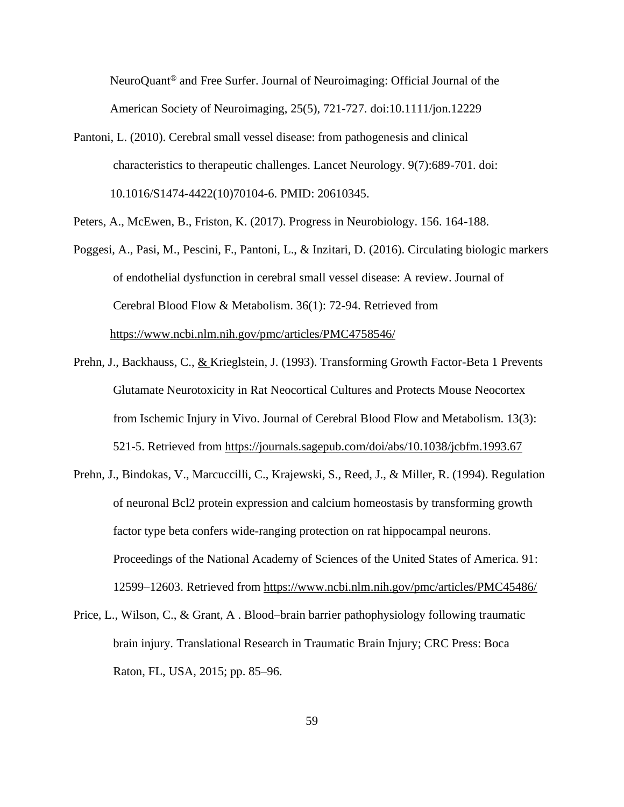NeuroQuant® and Free Surfer. Journal of Neuroimaging: Official Journal of the American Society of Neuroimaging, 25(5), 721-727. doi:10.1111/jon.12229

Pantoni, L. (2010). Cerebral small vessel disease: from pathogenesis and clinical characteristics to therapeutic challenges. Lancet Neurology. 9(7):689-701. doi: 10.1016/S1474-4422(10)70104-6. PMID: 20610345.

Peters, A., McEwen, B., Friston, K. (2017). Progress in Neurobiology. 156. 164-188.

- Poggesi, A., Pasi, M., Pescini, F., Pantoni, L., & Inzitari, D. (2016). Circulating biologic markers of endothelial dysfunction in cerebral small vessel disease: A review. Journal of Cerebral Blood Flow & Metabolism. 36(1): 72-94. Retrieved from <https://www.ncbi.nlm.nih.gov/pmc/articles/PMC4758546/>
- Prehn, J., Backhauss, C., & Krieglstein, J. (1993). Transforming Growth Factor-Beta 1 Prevents Glutamate Neurotoxicity in Rat Neocortical Cultures and Protects Mouse Neocortex from Ischemic Injury in Vivo. Journal of Cerebral Blood Flow and Metabolism. 13(3): 521-5. Retrieved from<https://journals.sagepub.com/doi/abs/10.1038/jcbfm.1993.67>
- Prehn, J., Bindokas, V., Marcuccilli, C., Krajewski, S., Reed, J., & Miller, R. (1994). Regulation of neuronal Bcl2 protein expression and calcium homeostasis by transforming growth factor type beta confers wide-ranging protection on rat hippocampal neurons. Proceedings of the National Academy of Sciences of the United States of America. 91: 12599–12603. Retrieved from<https://www.ncbi.nlm.nih.gov/pmc/articles/PMC45486/>
- Price, L., Wilson, C., & Grant, A . Blood–brain barrier pathophysiology following traumatic brain injury. Translational Research in Traumatic Brain Injury; CRC Press: Boca Raton, FL, USA, 2015; pp. 85–96.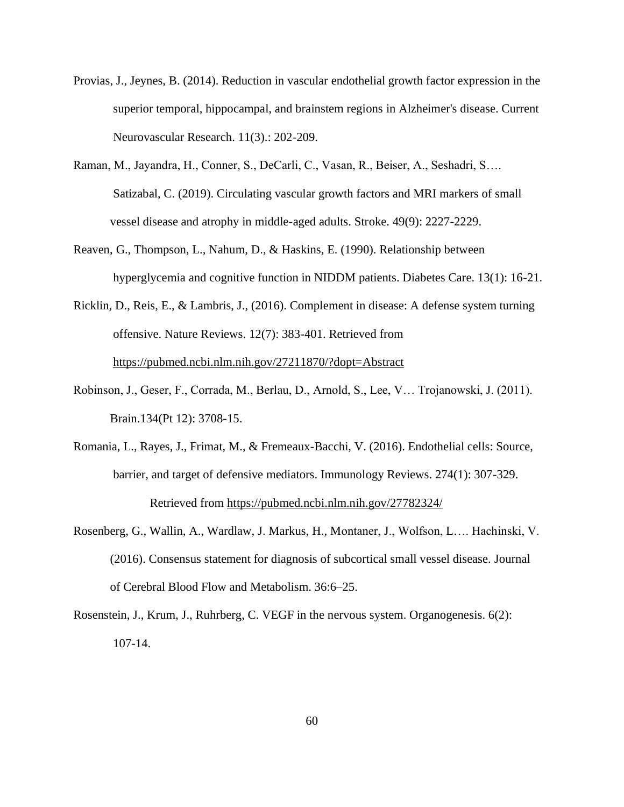- Provias, J., Jeynes, B. (2014). Reduction in vascular endothelial growth factor expression in the superior temporal, hippocampal, and brainstem regions in Alzheimer's disease. Current Neurovascular Research. 11(3).: 202-209.
- Raman, M., Jayandra, H., Conner, S., DeCarli, C., Vasan, R., Beiser, A., Seshadri, S…. Satizabal, C. (2019). Circulating vascular growth factors and MRI markers of small vessel disease and atrophy in middle-aged adults. Stroke. 49(9): 2227-2229.
- Reaven, G., Thompson, L., Nahum, D., & Haskins, E. (1990). Relationship between hyperglycemia and cognitive function in NIDDM patients. Diabetes Care. 13(1): 16-21.
- Ricklin, D., Reis, E., & Lambris, J., (2016). Complement in disease: A defense system turning offensive. Nature Reviews. 12(7): 383-401. Retrieved from <https://pubmed.ncbi.nlm.nih.gov/27211870/?dopt=Abstract>
- Robinson, J., Geser, F., Corrada, M., Berlau, D., Arnold, S., Lee, V… Trojanowski, J. (2011). Brain.134(Pt 12): 3708-15.
- Romania, L., Rayes, J., Frimat, M., & Fremeaux-Bacchi, V. (2016). Endothelial cells: Source, barrier, and target of defensive mediators. Immunology Reviews. 274(1): 307-329. Retrieved from<https://pubmed.ncbi.nlm.nih.gov/27782324/>
- Rosenberg, G., Wallin, A., Wardlaw, J. Markus, H., Montaner, J., Wolfson, L…. Hachinski, V. (2016). Consensus statement for diagnosis of subcortical small vessel disease. Journal of Cerebral Blood Flow and Metabolism. 36:6–25.
- Rosenstein, J., Krum, J., Ruhrberg, C. VEGF in the nervous system. Organogenesis. 6(2): 107-14.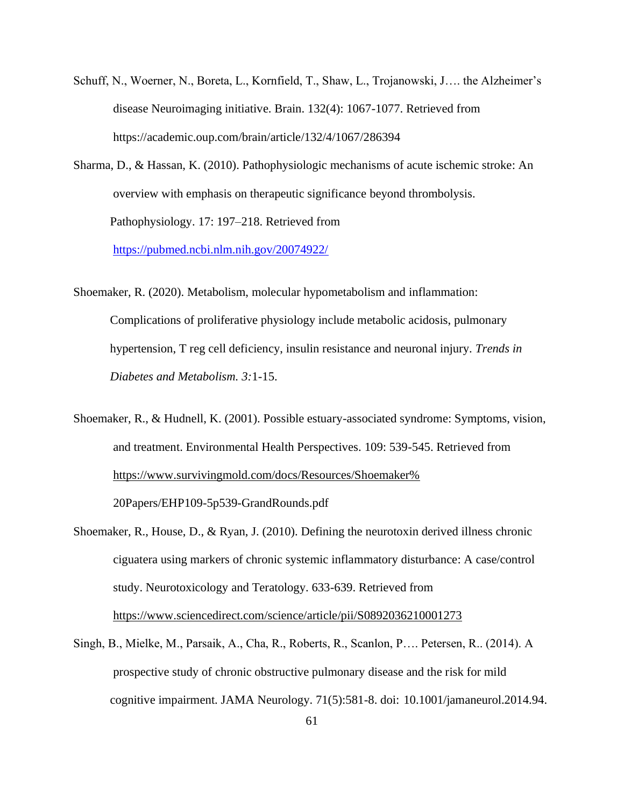- Schuff, N., Woerner, N., Boreta, L., Kornfield, T., Shaw, L., Trojanowski, J…. the Alzheimer's disease Neuroimaging initiative. Brain. 132(4): 1067-1077. Retrieved from https://academic.oup.com/brain/article/132/4/1067/286394
- Sharma, D., & Hassan, K. (2010). Pathophysiologic mechanisms of acute ischemic stroke: An overview with emphasis on therapeutic significance beyond thrombolysis. Pathophysiology. 17: 197–218. Retrieved from

<https://pubmed.ncbi.nlm.nih.gov/20074922/>

- Shoemaker, R. (2020). Metabolism, molecular hypometabolism and inflammation: Complications of proliferative physiology include metabolic acidosis, pulmonary hypertension, T reg cell deficiency, insulin resistance and neuronal injury. *Trends in Diabetes and Metabolism. 3:*1-15.
- Shoemaker, R., & Hudnell, K. (2001). Possible estuary-associated syndrome: Symptoms, vision, and treatment. Environmental Health Perspectives. 109: 539-545. Retrieved from [https://www.survivingmold.com/docs/Resources/Shoemaker%](https://www.survivingmold.com/docs/Resources/Shoemaker%25)

20Papers/EHP109-5p539-GrandRounds.pdf

- Shoemaker, R., House, D., & Ryan, J. (2010). Defining the neurotoxin derived illness chronic ciguatera using markers of chronic systemic inflammatory disturbance: A case/control study. Neurotoxicology and Teratology. 633-639. Retrieved from <https://www.sciencedirect.com/science/article/pii/S0892036210001273>
- Singh, B., Mielke, M., Parsaik, A., Cha, R., Roberts, R., Scanlon, P…. Petersen, R.. (2014). A prospective study of chronic obstructive pulmonary disease and the risk for mild cognitive impairment. JAMA Neurology. 71(5):581-8. doi: 10.1001/jamaneurol.2014.94.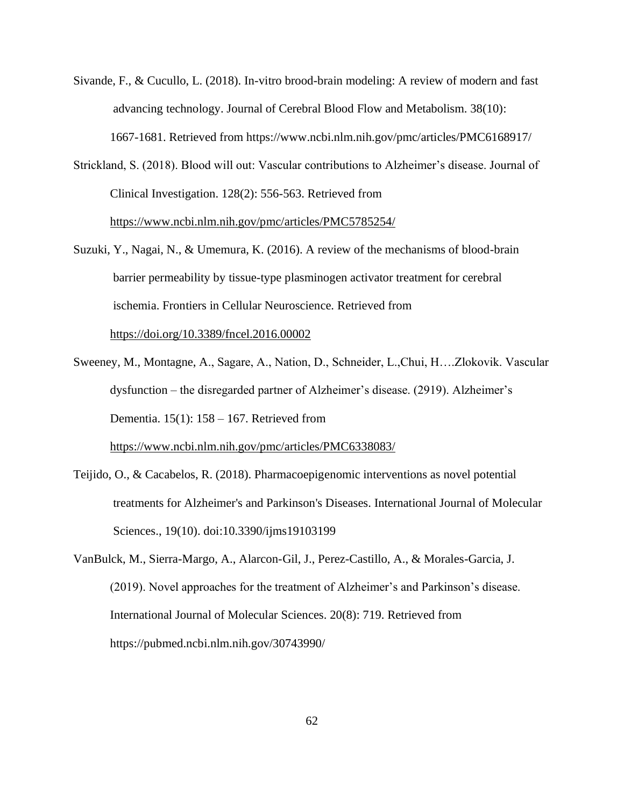- Sivande, F., & Cucullo, L. (2018). In-vitro brood-brain modeling: A review of modern and fast advancing technology. Journal of Cerebral Blood Flow and Metabolism. 38(10): 1667-1681. Retrieved from https://www.ncbi.nlm.nih.gov/pmc/articles/PMC6168917/
- Strickland, S. (2018). Blood will out: Vascular contributions to Alzheimer's disease. Journal of Clinical Investigation. 128(2): 556-563. Retrieved from <https://www.ncbi.nlm.nih.gov/pmc/articles/PMC5785254/>
- Suzuki, Y., Nagai, N., & Umemura, K. (2016). A review of the mechanisms of blood-brain barrier permeability by tissue-type plasminogen activator treatment for cerebral ischemia. Frontiers in Cellular Neuroscience. Retrieved from <https://doi.org/10.3389/fncel.2016.00002>
- Sweeney, M., Montagne, A., Sagare, A., Nation, D., Schneider, L.,Chui, H….Zlokovik. Vascular dysfunction – the disregarded partner of Alzheimer's disease. (2919). Alzheimer's Dementia. 15(1): 158 – 167. Retrieved from

<https://www.ncbi.nlm.nih.gov/pmc/articles/PMC6338083/>

- Teijido, O., & Cacabelos, R. (2018). Pharmacoepigenomic interventions as novel potential treatments for Alzheimer's and Parkinson's Diseases. International Journal of Molecular Sciences., 19(10). doi:10.3390/ijms19103199
- VanBulck, M., Sierra-Margo, A., Alarcon-Gil, J., Perez-Castillo, A., & Morales-Garcia, J. (2019). Novel approaches for the treatment of Alzheimer's and Parkinson's disease. International Journal of Molecular Sciences. 20(8): 719. Retrieved from https://pubmed.ncbi.nlm.nih.gov/30743990/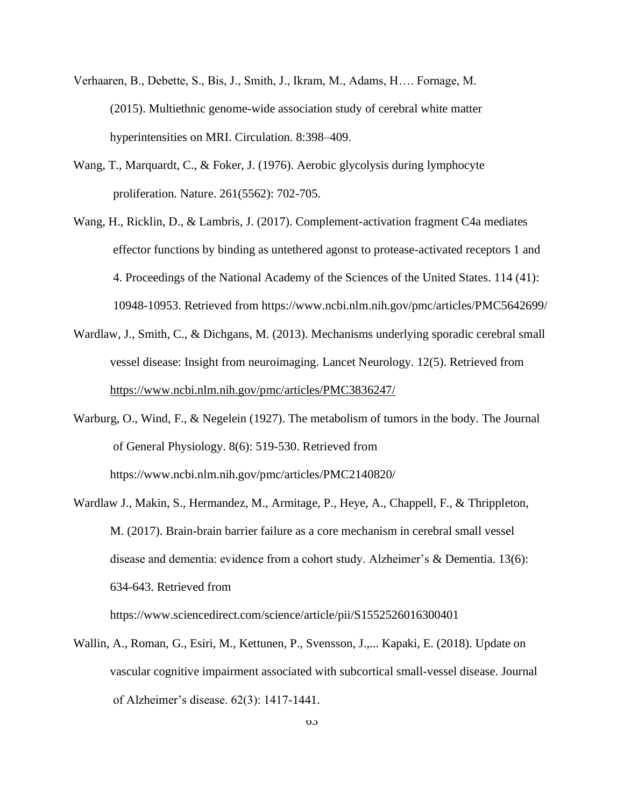- Verhaaren, B., Debette, S., Bis, J., Smith, J., Ikram, M., Adams, H…. Fornage, M. (2015). Multiethnic genome-wide association study of cerebral white matter hyperintensities on MRI. Circulation. 8:398–409.
- Wang, T., Marquardt, C., & Foker, J. (1976). Aerobic glycolysis during lymphocyte proliferation. Nature. 261(5562): 702-705.
- Wang, H., Ricklin, D., & Lambris, J. (2017). Complement-activation fragment C4a mediates effector functions by binding as untethered agonst to protease-activated receptors 1 and 4. Proceedings of the National Academy of the Sciences of the United States. 114 (41): 10948-10953. Retrieved from https://www.ncbi.nlm.nih.gov/pmc/articles/PMC5642699/
- Wardlaw, J., Smith, C., & Dichgans, M. (2013). Mechanisms underlying sporadic cerebral small vessel disease: Insight from neuroimaging. Lancet Neurology. 12(5). Retrieved from <https://www.ncbi.nlm.nih.gov/pmc/articles/PMC3836247/>
- Warburg, O., Wind, F., & Negelein (1927). The metabolism of tumors in the body. The Journal of General Physiology. 8(6): 519-530. Retrieved from https://www.ncbi.nlm.nih.gov/pmc/articles/PMC2140820/
- Wardlaw J., Makin, S., Hermandez, M., Armitage, P., Heye, A., Chappell, F., & Thrippleton, M. (2017). Brain-brain barrier failure as a core mechanism in cerebral small vessel disease and dementia: evidence from a cohort study. Alzheimer's & Dementia. 13(6): 634-643. Retrieved from

https://www.sciencedirect.com/science/article/pii/S1552526016300401

Wallin, A., Roman, G., Esiri, M., Kettunen, P., Svensson, J.,... Kapaki, E. (2018). Update on vascular cognitive impairment associated with subcortical small-vessel disease. Journal of Alzheimer's disease. 62(3): 1417-1441.